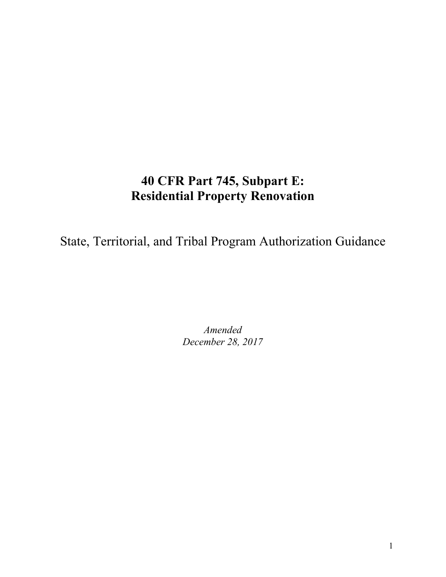# **40 CFR Part 745, Subpart E: Residential Property Renovation**

State, Territorial, and Tribal Program Authorization Guidance

*Amended December 28, 2017*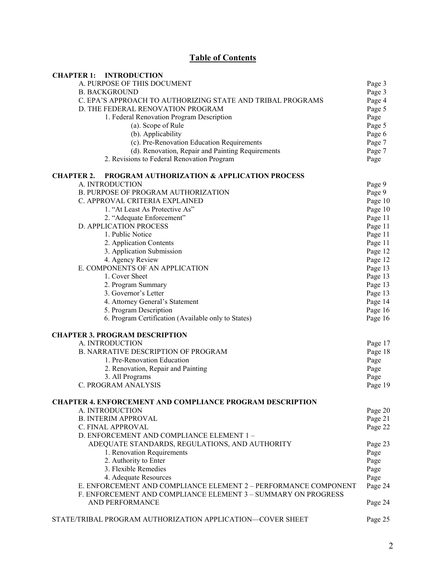# **Table of Contents**

| <b>CHAPTER 1:</b><br><b>INTRODUCTION</b>                         |                               |  |  |
|------------------------------------------------------------------|-------------------------------|--|--|
| A. PURPOSE OF THIS DOCUMENT                                      | Page 3                        |  |  |
| <b>B. BACKGROUND</b>                                             | Page 3                        |  |  |
| C. EPA'S APPROACH TO AUTHORIZING STATE AND TRIBAL PROGRAMS       |                               |  |  |
| D. THE FEDERAL RENOVATION PROGRAM                                |                               |  |  |
| 1. Federal Renovation Program Description                        | Page 5<br>Page                |  |  |
| (a). Scope of Rule                                               | Page 5                        |  |  |
| (b). Applicability                                               | Page 6                        |  |  |
| (c). Pre-Renovation Education Requirements                       | Page 7                        |  |  |
| (d). Renovation, Repair and Painting Requirements                | Page 7                        |  |  |
| 2. Revisions to Federal Renovation Program                       | Page                          |  |  |
| PROGRAM AUTHORIZATION & APPLICATION PROCESS<br><b>CHAPTER 2.</b> |                               |  |  |
| A. INTRODUCTION                                                  | Page 9                        |  |  |
| B. PURPOSE OF PROGRAM AUTHORIZATION                              | Page 9                        |  |  |
| C. APPROVAL CRITERIA EXPLAINED                                   | Page 10                       |  |  |
| 1. "At Least As Protective As"                                   | Page 10                       |  |  |
| 2. "Adequate Enforcement"                                        | Page 11                       |  |  |
| <b>D. APPLICATION PROCESS</b>                                    | Page 11                       |  |  |
| 1. Public Notice                                                 | Page 11                       |  |  |
| 2. Application Contents                                          | Page 11                       |  |  |
| 3. Application Submission                                        |                               |  |  |
| 4. Agency Review                                                 | Page 12<br>Page 12            |  |  |
| E. COMPONENTS OF AN APPLICATION                                  | Page 13                       |  |  |
| 1. Cover Sheet                                                   | Page 13                       |  |  |
| 2. Program Summary                                               | Page 13                       |  |  |
| 3. Governor's Letter                                             | Page 13<br>Page 14<br>Page 16 |  |  |
| 4. Attorney General's Statement                                  |                               |  |  |
| 5. Program Description                                           |                               |  |  |
| 6. Program Certification (Available only to States)              | Page 16                       |  |  |
| <b>CHAPTER 3. PROGRAM DESCRIPTION</b>                            |                               |  |  |
| A. INTRODUCTION                                                  | Page 17                       |  |  |
| <b>B. NARRATIVE DESCRIPTION OF PROGRAM</b>                       | Page 18                       |  |  |
| 1. Pre-Renovation Education                                      | Page                          |  |  |
| 2. Renovation, Repair and Painting                               |                               |  |  |
| 3. All Programs                                                  | Page<br>Page                  |  |  |
| C. PROGRAM ANALYSIS                                              | Page 19                       |  |  |
| <b>CHAPTER 4. ENFORCEMENT AND COMPLIANCE PROGRAM DESCRIPTION</b> |                               |  |  |
| A. INTRODUCTION                                                  | Page 20                       |  |  |
| <b>B. INTERIM APPROVAL</b>                                       | Page 21                       |  |  |
| C. FINAL APPROVAL                                                | Page 22                       |  |  |
| D. ENFORCEMENT AND COMPLIANCE ELEMENT 1-                         |                               |  |  |
| ADEQUATE STANDARDS, REGULATIONS, AND AUTHORITY                   | Page 23                       |  |  |
| 1. Renovation Requirements                                       | Page                          |  |  |
| 2. Authority to Enter                                            | Page                          |  |  |
| 3. Flexible Remedies                                             | Page                          |  |  |
| 4. Adequate Resources                                            | Page                          |  |  |
| E. ENFORCEMENT AND COMPLIANCE ELEMENT 2 - PERFORMANCE COMPONENT  |                               |  |  |
| F. ENFORCEMENT AND COMPLIANCE ELEMENT 3 - SUMMARY ON PROGRESS    |                               |  |  |
| AND PERFORMANCE                                                  | Page 24                       |  |  |
| STATE/TRIBAL PROGRAM AUTHORIZATION APPLICATION-COVER SHEET       | Page 25                       |  |  |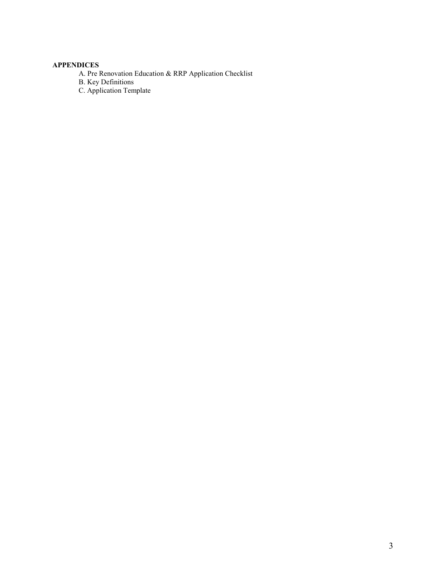#### **APPENDICES**

A. Pre Renovation Education & RRP Application Checklist

B. Key Definitions

C. Application Template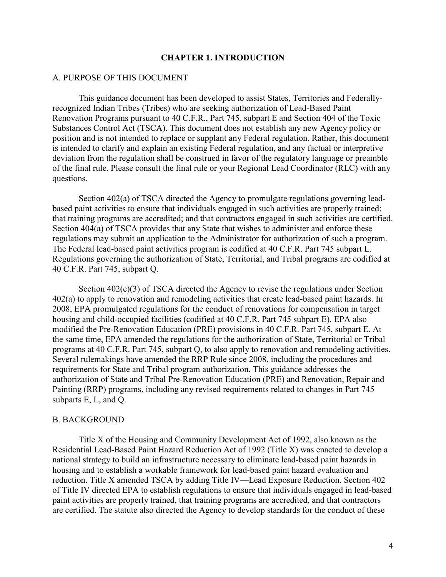#### **CHAPTER 1. INTRODUCTION**

#### A. PURPOSE OF THIS DOCUMENT

This guidance document has been developed to assist States, Territories and Federallyrecognized Indian Tribes (Tribes) who are seeking authorization of Lead-Based Paint Renovation Programs pursuant to 40 C.F.R., Part 745, subpart E and Section 404 of the Toxic Substances Control Act (TSCA). This document does not establish any new Agency policy or position and is not intended to replace or supplant any Federal regulation. Rather, this document is intended to clarify and explain an existing Federal regulation, and any factual or interpretive deviation from the regulation shall be construed in favor of the regulatory language or preamble of the final rule. Please consult the final rule or your Regional Lead Coordinator (RLC) with any questions.

Section 402(a) of TSCA directed the Agency to promulgate regulations governing leadbased paint activities to ensure that individuals engaged in such activities are properly trained; that training programs are accredited; and that contractors engaged in such activities are certified. Section 404(a) of TSCA provides that any State that wishes to administer and enforce these regulations may submit an application to the Administrator for authorization of such a program. The Federal lead-based paint activities program is codified at 40 C.F.R. Part 745 subpart L. Regulations governing the authorization of State, Territorial, and Tribal programs are codified at 40 C.F.R. Part 745, subpart Q.

Section 402(c)(3) of TSCA directed the Agency to revise the regulations under Section 402(a) to apply to renovation and remodeling activities that create lead-based paint hazards. In 2008, EPA promulgated regulations for the conduct of renovations for compensation in target housing and child-occupied facilities (codified at 40 C.F.R. Part 745 subpart E). EPA also modified the Pre-Renovation Education (PRE) provisions in 40 C.F.R. Part 745, subpart E. At the same time, EPA amended the regulations for the authorization of State, Territorial or Tribal programs at 40 C.F.R. Part 745, subpart Q, to also apply to renovation and remodeling activities. Several rulemakings have amended the RRP Rule since 2008, including the procedures and requirements for State and Tribal program authorization. This guidance addresses the authorization of State and Tribal Pre-Renovation Education (PRE) and Renovation, Repair and Painting (RRP) programs, including any revised requirements related to changes in Part 745 subparts E, L, and Q.

#### B. BACKGROUND

Title X of the Housing and Community Development Act of 1992, also known as the Residential Lead-Based Paint Hazard Reduction Act of 1992 (Title X) was enacted to develop a national strategy to build an infrastructure necessary to eliminate lead-based paint hazards in housing and to establish a workable framework for lead-based paint hazard evaluation and reduction. Title X amended TSCA by adding Title IV—Lead Exposure Reduction. Section 402 of Title IV directed EPA to establish regulations to ensure that individuals engaged in lead-based paint activities are properly trained, that training programs are accredited, and that contractors are certified. The statute also directed the Agency to develop standards for the conduct of these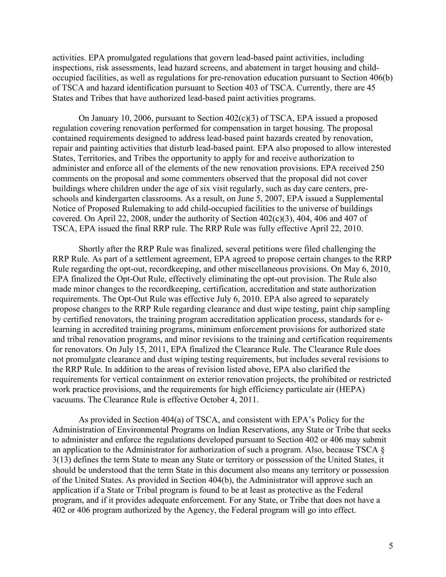activities. EPA promulgated regulations that govern lead-based paint activities, including inspections, risk assessments, lead hazard screens, and abatement in target housing and childoccupied facilities, as well as regulations for pre-renovation education pursuant to Section 406(b) of TSCA and hazard identification pursuant to Section 403 of TSCA. Currently, there are 45 States and Tribes that have authorized lead-based paint activities programs.

On January 10, 2006, pursuant to Section 402(c)(3) of TSCA, EPA issued a proposed regulation covering renovation performed for compensation in target housing. The proposal contained requirements designed to address lead-based paint hazards created by renovation, repair and painting activities that disturb lead-based paint. EPA also proposed to allow interested States, Territories, and Tribes the opportunity to apply for and receive authorization to administer and enforce all of the elements of the new renovation provisions. EPA received 250 comments on the proposal and some commenters observed that the proposal did not cover buildings where children under the age of six visit regularly, such as day care centers, preschools and kindergarten classrooms. As a result, on June 5, 2007, EPA issued a Supplemental Notice of Proposed Rulemaking to add child-occupied facilities to the universe of buildings covered. On April 22, 2008, under the authority of Section 402(c)(3), 404, 406 and 407 of TSCA, EPA issued the final RRP rule. The RRP Rule was fully effective April 22, 2010.

Shortly after the RRP Rule was finalized, several petitions were filed challenging the RRP Rule. As part of a settlement agreement, EPA agreed to propose certain changes to the RRP Rule regarding the opt-out, recordkeeping, and other miscellaneous provisions. On May 6, 2010, EPA finalized the Opt-Out Rule, effectively eliminating the opt-out provision. The Rule also made minor changes to the recordkeeping, certification, accreditation and state authorization requirements. The Opt-Out Rule was effective July 6, 2010. EPA also agreed to separately propose changes to the RRP Rule regarding clearance and dust wipe testing, paint chip sampling by certified renovators, the training program accreditation application process, standards for elearning in accredited training programs, minimum enforcement provisions for authorized state and tribal renovation programs, and minor revisions to the training and certification requirements for renovators. On July 15, 2011, EPA finalized the Clearance Rule. The Clearance Rule does not promulgate clearance and dust wiping testing requirements, but includes several revisions to the RRP Rule. In addition to the areas of revision listed above, EPA also clarified the requirements for vertical containment on exterior renovation projects, the prohibited or restricted work practice provisions, and the requirements for high efficiency particulate air (HEPA) vacuums. The Clearance Rule is effective October 4, 2011.

As provided in Section 404(a) of TSCA, and consistent with EPA's Policy for the Administration of Environmental Programs on Indian Reservations, any State or Tribe that seeks to administer and enforce the regulations developed pursuant to Section 402 or 406 may submit an application to the Administrator for authorization of such a program. Also, because TSCA § 3(13) defines the term State to mean any State or territory or possession of the United States, it should be understood that the term State in this document also means any territory or possession of the United States. As provided in Section 404(b), the Administrator will approve such an application if a State or Tribal program is found to be at least as protective as the Federal program, and if it provides adequate enforcement. For any State, or Tribe that does not have a 402 or 406 program authorized by the Agency, the Federal program will go into effect.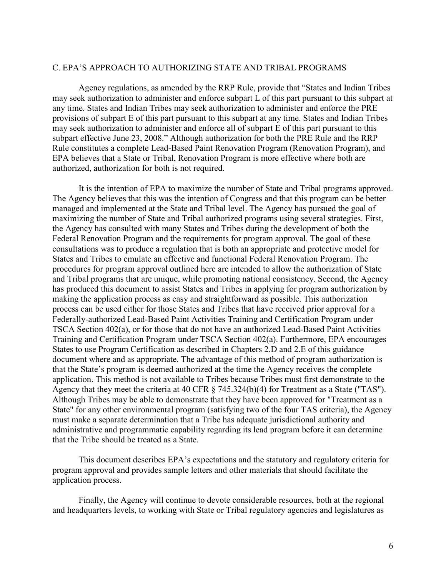#### C. EPA'S APPROACH TO AUTHORIZING STATE AND TRIBAL PROGRAMS

Agency regulations, as amended by the RRP Rule, provide that "States and Indian Tribes may seek authorization to administer and enforce subpart L of this part pursuant to this subpart at any time. States and Indian Tribes may seek authorization to administer and enforce the PRE provisions of subpart E of this part pursuant to this subpart at any time. States and Indian Tribes may seek authorization to administer and enforce all of subpart E of this part pursuant to this subpart effective June 23, 2008." Although authorization for both the PRE Rule and the RRP Rule constitutes a complete Lead-Based Paint Renovation Program (Renovation Program), and EPA believes that a State or Tribal, Renovation Program is more effective where both are authorized, authorization for both is not required.

It is the intention of EPA to maximize the number of State and Tribal programs approved. The Agency believes that this was the intention of Congress and that this program can be better managed and implemented at the State and Tribal level. The Agency has pursued the goal of maximizing the number of State and Tribal authorized programs using several strategies. First, the Agency has consulted with many States and Tribes during the development of both the Federal Renovation Program and the requirements for program approval. The goal of these consultations was to produce a regulation that is both an appropriate and protective model for States and Tribes to emulate an effective and functional Federal Renovation Program. The procedures for program approval outlined here are intended to allow the authorization of State and Tribal programs that are unique, while promoting national consistency. Second, the Agency has produced this document to assist States and Tribes in applying for program authorization by making the application process as easy and straightforward as possible. This authorization process can be used either for those States and Tribes that have received prior approval for a Federally-authorized Lead-Based Paint Activities Training and Certification Program under TSCA Section 402(a), or for those that do not have an authorized Lead-Based Paint Activities Training and Certification Program under TSCA Section 402(a). Furthermore, EPA encourages States to use Program Certification as described in Chapters 2.D and 2.E of this guidance document where and as appropriate. The advantage of this method of program authorization is that the State's program is deemed authorized at the time the Agency receives the complete application. This method is not available to Tribes because Tribes must first demonstrate to the Agency that they meet the criteria at 40 CFR § 745.324(b)(4) for Treatment as a State ("TAS"). Although Tribes may be able to demonstrate that they have been approved for "Treatment as a State" for any other environmental program (satisfying two of the four TAS criteria), the Agency must make a separate determination that a Tribe has adequate jurisdictional authority and administrative and programmatic capability regarding its lead program before it can determine that the Tribe should be treated as a State.

This document describes EPA's expectations and the statutory and regulatory criteria for program approval and provides sample letters and other materials that should facilitate the application process.

Finally, the Agency will continue to devote considerable resources, both at the regional and headquarters levels, to working with State or Tribal regulatory agencies and legislatures as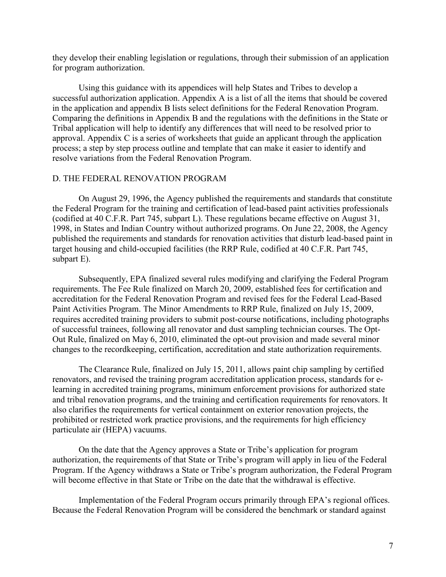they develop their enabling legislation or regulations, through their submission of an application for program authorization.

Using this guidance with its appendices will help States and Tribes to develop a successful authorization application. Appendix A is a list of all the items that should be covered in the application and appendix B lists select definitions for the Federal Renovation Program. Comparing the definitions in Appendix B and the regulations with the definitions in the State or Tribal application will help to identify any differences that will need to be resolved prior to approval. Appendix C is a series of worksheets that guide an applicant through the application process; a step by step process outline and template that can make it easier to identify and resolve variations from the Federal Renovation Program.

#### D. THE FEDERAL RENOVATION PROGRAM

On August 29, 1996, the Agency published the requirements and standards that constitute the Federal Program for the training and certification of lead-based paint activities professionals (codified at 40 C.F.R. Part 745, subpart L). These regulations became effective on August 31, 1998, in States and Indian Country without authorized programs. On June 22, 2008, the Agency published the requirements and standards for renovation activities that disturb lead-based paint in target housing and child-occupied facilities (the RRP Rule, codified at 40 C.F.R. Part 745, subpart E).

Subsequently, EPA finalized several rules modifying and clarifying the Federal Program requirements. The Fee Rule finalized on March 20, 2009, established fees for certification and accreditation for the Federal Renovation Program and revised fees for the Federal Lead-Based Paint Activities Program. The Minor Amendments to RRP Rule, finalized on July 15, 2009, requires accredited training providers to submit post-course notifications, including photographs of successful trainees, following all renovator and dust sampling technician courses. The Opt-Out Rule, finalized on May 6, 2010, eliminated the opt-out provision and made several minor changes to the recordkeeping, certification, accreditation and state authorization requirements.

The Clearance Rule, finalized on July 15, 2011, allows paint chip sampling by certified renovators, and revised the training program accreditation application process, standards for elearning in accredited training programs, minimum enforcement provisions for authorized state and tribal renovation programs, and the training and certification requirements for renovators. It also clarifies the requirements for vertical containment on exterior renovation projects, the prohibited or restricted work practice provisions, and the requirements for high efficiency particulate air (HEPA) vacuums.

On the date that the Agency approves a State or Tribe's application for program authorization, the requirements of that State or Tribe's program will apply in lieu of the Federal Program. If the Agency withdraws a State or Tribe's program authorization, the Federal Program will become effective in that State or Tribe on the date that the withdrawal is effective.

Implementation of the Federal Program occurs primarily through EPA's regional offices. Because the Federal Renovation Program will be considered the benchmark or standard against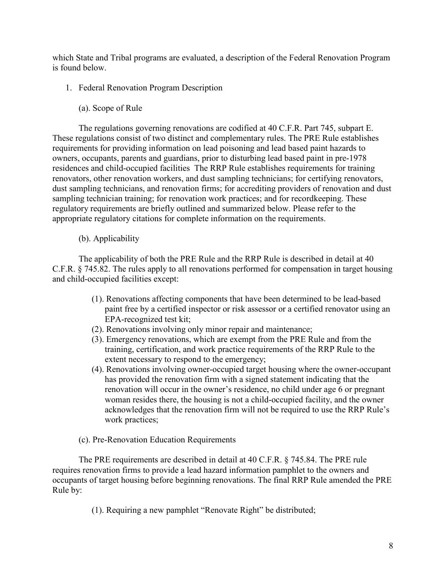which State and Tribal programs are evaluated, a description of the Federal Renovation Program is found below.

- 1. Federal Renovation Program Description
	- (a). Scope of Rule

The regulations governing renovations are codified at 40 C.F.R. Part 745, subpart E. These regulations consist of two distinct and complementary rules. The PRE Rule establishes requirements for providing information on lead poisoning and lead based paint hazards to owners, occupants, parents and guardians, prior to disturbing lead based paint in pre-1978 residences and child-occupied facilities The RRP Rule establishes requirements for training renovators, other renovation workers, and dust sampling technicians; for certifying renovators, dust sampling technicians, and renovation firms; for accrediting providers of renovation and dust sampling technician training; for renovation work practices; and for recordkeeping. These regulatory requirements are briefly outlined and summarized below. Please refer to the appropriate regulatory citations for complete information on the requirements.

(b). Applicability

The applicability of both the PRE Rule and the RRP Rule is described in detail at 40 C.F.R. § 745.82. The rules apply to all renovations performed for compensation in target housing and child-occupied facilities except:

- (1). Renovations affecting components that have been determined to be lead-based paint free by a certified inspector or risk assessor or a certified renovator using an EPA-recognized test kit;
- (2). Renovations involving only minor repair and maintenance;
- (3). Emergency renovations, which are exempt from the PRE Rule and from the training, certification, and work practice requirements of the RRP Rule to the extent necessary to respond to the emergency;
- (4). Renovations involving owner-occupied target housing where the owner-occupant has provided the renovation firm with a signed statement indicating that the renovation will occur in the owner's residence, no child under age 6 or pregnant woman resides there, the housing is not a child-occupied facility, and the owner acknowledges that the renovation firm will not be required to use the RRP Rule's work practices;
- (c). Pre-Renovation Education Requirements

The PRE requirements are described in detail at 40 C.F.R. § 745.84. The PRE rule requires renovation firms to provide a lead hazard information pamphlet to the owners and occupants of target housing before beginning renovations. The final RRP Rule amended the PRE Rule by:

(1). Requiring a new pamphlet "Renovate Right" be distributed;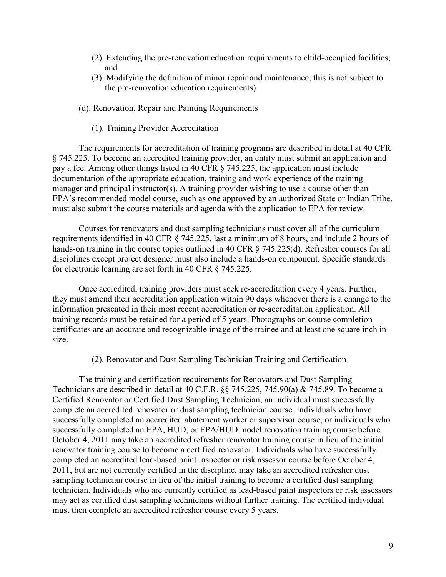- (2). Extending the pre-renovation education requirements to child-occupied facilities; and
- (3). Modifying the definition of minor repair and maintenance, this is not subject to the pre-renovation education requirements).
- (d). Renovation, Repair and Painting Requirements
	- (1). Training Provider Accreditation

The requirements for accreditation of training programs are described in detail at 40 CFR § 745.225. To become an accredited training provider, an entity must submit an application and pay a fee. Among other things listed in 40 CFR § 745.225, the application must include documentation of the appropriate education, training and work experience of the training manager and principal instructor(s). A training provider wishing to use a course other than EPA's recommended model course, such as one approved by an authorized State or Indian Tribe, must also submit the course materials and agenda with the application to EPA for review.

Courses for renovators and dust sampling technicians must cover all of the curriculum requirements identified in 40 CFR § 745.225, last a minimum of 8 hours, and include 2 hours of hands-on training in the course topics outlined in 40 CFR § 745.225(d). Refresher courses for all disciplines except project designer must also include a hands-on component. Specific standards for electronic learning are set forth in 40 CFR § 745.225.

Once accredited, training providers must seek re-accreditation every 4 years. Further, they must amend their accreditation application within 90 days whenever there is a change to the information presented in their most recent accreditation or re-accreditation application. All training records must be retained for a period of 5 years. Photographs on course completion certificates are an accurate and recognizable image of the trainee and at least one square inch in size.

#### (2). Renovator and Dust Sampling Technician Training and Certification

The training and certification requirements for Renovators and Dust Sampling Technicians are described in detail at 40 C.F.R. §§ 745.225, 745.90(a) & 745.89. To become a Certified Renovator or Certified Dust Sampling Technician, an individual must successfully complete an accredited renovator or dust sampling technician course. Individuals who have successfully completed an accredited abatement worker or supervisor course, or individuals who successfully completed an EPA, HUD, or EPA/HUD model renovation training course before October 4, 2011 may take an accredited refresher renovator training course in lieu of the initial renovator training course to become a certified renovator. Individuals who have successfully completed an accredited lead-based paint inspector or risk assessor course before October 4, 2011, but are not currently certified in the discipline, may take an accredited refresher dust sampling technician course in lieu of the initial training to become a certified dust sampling technician. Individuals who are currently certified as lead-based paint inspectors or risk assessors may act as certified dust sampling technicians without further training. The certified individual must then complete an accredited refresher course every 5 years.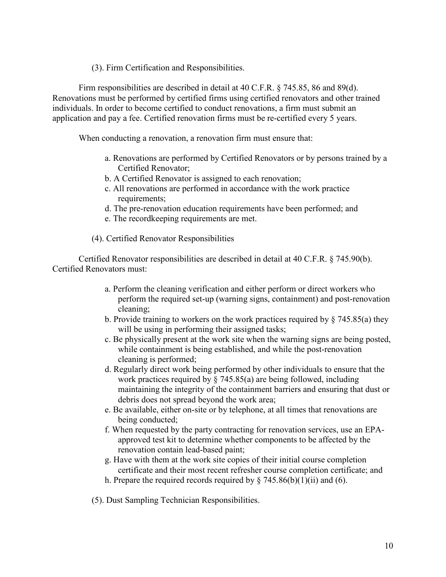(3). Firm Certification and Responsibilities.

Firm responsibilities are described in detail at 40 C.F.R. § 745.85, 86 and 89(d). Renovations must be performed by certified firms using certified renovators and other trained individuals. In order to become certified to conduct renovations, a firm must submit an application and pay a fee. Certified renovation firms must be re-certified every 5 years.

When conducting a renovation, a renovation firm must ensure that:

- a. Renovations are performed by Certified Renovators or by persons trained by a Certified Renovator;
- b. A Certified Renovator is assigned to each renovation;
- c. All renovations are performed in accordance with the work practice requirements;
- d. The pre-renovation education requirements have been performed; and
- e. The recordkeeping requirements are met.
- (4). Certified Renovator Responsibilities

Certified Renovator responsibilities are described in detail at 40 C.F.R. § 745.90(b). Certified Renovators must:

- a. Perform the cleaning verification and either perform or direct workers who perform the required set-up (warning signs, containment) and post-renovation cleaning;
- b. Provide training to workers on the work practices required by § 745.85(a) they will be using in performing their assigned tasks;
- c. Be physically present at the work site when the warning signs are being posted, while containment is being established, and while the post-renovation cleaning is performed;
- d. Regularly direct work being performed by other individuals to ensure that the work practices required by § 745.85(a) are being followed, including maintaining the integrity of the containment barriers and ensuring that dust or debris does not spread beyond the work area;
- e. Be available, either on-site or by telephone, at all times that renovations are being conducted;
- f. When requested by the party contracting for renovation services, use an EPAapproved test kit to determine whether components to be affected by the renovation contain lead-based paint;
- g. Have with them at the work site copies of their initial course completion certificate and their most recent refresher course completion certificate; and
- h. Prepare the required records required by  $\S$  745.86(b)(1)(ii) and (6).
- (5). Dust Sampling Technician Responsibilities.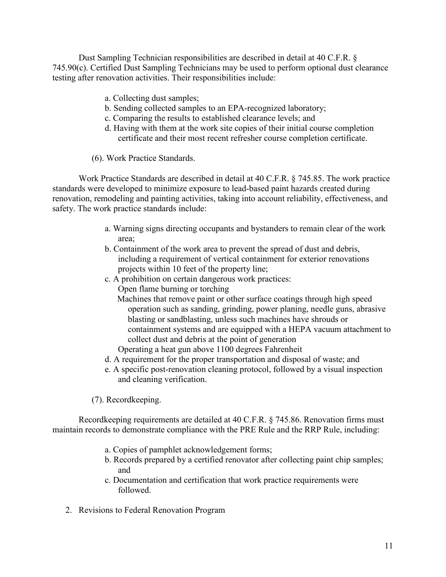Dust Sampling Technician responsibilities are described in detail at 40 C.F.R. § 745.90(c). Certified Dust Sampling Technicians may be used to perform optional dust clearance testing after renovation activities. Their responsibilities include:

- a. Collecting dust samples;
- b. Sending collected samples to an EPA-recognized laboratory;
- c. Comparing the results to established clearance levels; and
- d. Having with them at the work site copies of their initial course completion certificate and their most recent refresher course completion certificate.
- (6). Work Practice Standards.

Work Practice Standards are described in detail at 40 C.F.R. § 745.85. The work practice standards were developed to minimize exposure to lead-based paint hazards created during renovation, remodeling and painting activities, taking into account reliability, effectiveness, and safety. The work practice standards include:

- a. Warning signs directing occupants and bystanders to remain clear of the work area;
- b. Containment of the work area to prevent the spread of dust and debris, including a requirement of vertical containment for exterior renovations projects within 10 feet of the property line;
- c. A prohibition on certain dangerous work practices:
	- Open flame burning or torching
	- Machines that remove paint or other surface coatings through high speed operation such as sanding, grinding, power planing, needle guns, abrasive blasting or sandblasting, unless such machines have shrouds or containment systems and are equipped with a HEPA vacuum attachment to collect dust and debris at the point of generation
	- Operating a heat gun above 1100 degrees Fahrenheit
- d. A requirement for the proper transportation and disposal of waste; and
- e. A specific post-renovation cleaning protocol, followed by a visual inspection and cleaning verification.

(7). Recordkeeping.

Recordkeeping requirements are detailed at 40 C.F.R. § 745.86. Renovation firms must maintain records to demonstrate compliance with the PRE Rule and the RRP Rule, including:

- a. Copies of pamphlet acknowledgement forms;
- b. Records prepared by a certified renovator after collecting paint chip samples; and
- c. Documentation and certification that work practice requirements were followed.
- 2. Revisions to Federal Renovation Program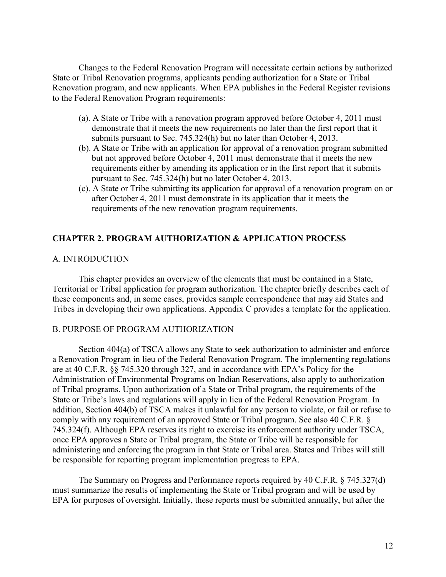Changes to the Federal Renovation Program will necessitate certain actions by authorized State or Tribal Renovation programs, applicants pending authorization for a State or Tribal Renovation program, and new applicants. When EPA publishes in the Federal Register revisions to the Federal Renovation Program requirements:

- (a). A State or Tribe with a renovation program approved before October 4, 2011 must demonstrate that it meets the new requirements no later than the first report that it submits pursuant to Sec. 745.324(h) but no later than October 4, 2013.
- (b). A State or Tribe with an application for approval of a renovation program submitted but not approved before October 4, 2011 must demonstrate that it meets the new requirements either by amending its application or in the first report that it submits pursuant to Sec. 745.324(h) but no later October 4, 2013.
- (c). A State or Tribe submitting its application for approval of a renovation program on or after October 4, 2011 must demonstrate in its application that it meets the requirements of the new renovation program requirements.

### **CHAPTER 2. PROGRAM AUTHORIZATION & APPLICATION PROCESS**

#### A. INTRODUCTION

This chapter provides an overview of the elements that must be contained in a State, Territorial or Tribal application for program authorization. The chapter briefly describes each of these components and, in some cases, provides sample correspondence that may aid States and Tribes in developing their own applications. Appendix C provides a template for the application.

#### B. PURPOSE OF PROGRAM AUTHORIZATION

Section 404(a) of TSCA allows any State to seek authorization to administer and enforce a Renovation Program in lieu of the Federal Renovation Program. The implementing regulations are at 40 C.F.R. §§ 745.320 through 327, and in accordance with EPA's Policy for the Administration of Environmental Programs on Indian Reservations, also apply to authorization of Tribal programs. Upon authorization of a State or Tribal program, the requirements of the State or Tribe's laws and regulations will apply in lieu of the Federal Renovation Program. In addition, Section 404(b) of TSCA makes it unlawful for any person to violate, or fail or refuse to comply with any requirement of an approved State or Tribal program. See also 40 C.F.R. § 745.324(f). Although EPA reserves its right to exercise its enforcement authority under TSCA, once EPA approves a State or Tribal program, the State or Tribe will be responsible for administering and enforcing the program in that State or Tribal area. States and Tribes will still be responsible for reporting program implementation progress to EPA.

The Summary on Progress and Performance reports required by 40 C.F.R. § 745.327(d) must summarize the results of implementing the State or Tribal program and will be used by EPA for purposes of oversight. Initially, these reports must be submitted annually, but after the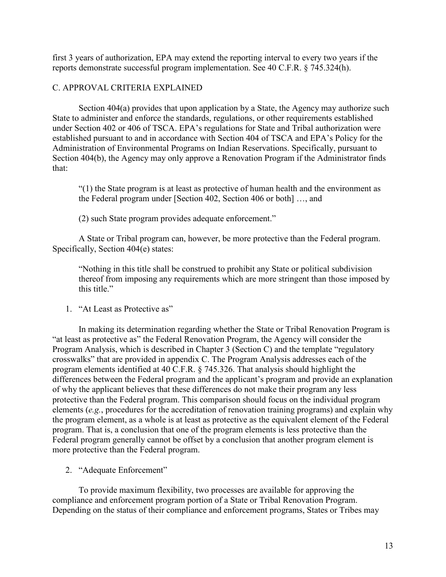first 3 years of authorization, EPA may extend the reporting interval to every two years if the reports demonstrate successful program implementation. See 40 C.F.R. § 745.324(h).

### C. APPROVAL CRITERIA EXPLAINED

Section 404(a) provides that upon application by a State, the Agency may authorize such State to administer and enforce the standards, regulations, or other requirements established under Section 402 or 406 of TSCA. EPA's regulations for State and Tribal authorization were established pursuant to and in accordance with Section 404 of TSCA and EPA's Policy for the Administration of Environmental Programs on Indian Reservations. Specifically, pursuant to Section 404(b), the Agency may only approve a Renovation Program if the Administrator finds that:

"(1) the State program is at least as protective of human health and the environment as the Federal program under [Section 402, Section 406 or both] …, and

(2) such State program provides adequate enforcement."

A State or Tribal program can, however, be more protective than the Federal program. Specifically, Section 404(e) states:

"Nothing in this title shall be construed to prohibit any State or political subdivision thereof from imposing any requirements which are more stringent than those imposed by this title."

1. "At Least as Protective as"

In making its determination regarding whether the State or Tribal Renovation Program is "at least as protective as" the Federal Renovation Program, the Agency will consider the Program Analysis, which is described in Chapter 3 (Section C) and the template "regulatory crosswalks" that are provided in appendix C. The Program Analysis addresses each of the program elements identified at 40 C.F.R. § 745.326. That analysis should highlight the differences between the Federal program and the applicant's program and provide an explanation of why the applicant believes that these differences do not make their program any less protective than the Federal program. This comparison should focus on the individual program elements (*e.g.*, procedures for the accreditation of renovation training programs) and explain why the program element, as a whole is at least as protective as the equivalent element of the Federal program. That is, a conclusion that one of the program elements is less protective than the Federal program generally cannot be offset by a conclusion that another program element is more protective than the Federal program.

2. "Adequate Enforcement"

To provide maximum flexibility, two processes are available for approving the compliance and enforcement program portion of a State or Tribal Renovation Program. Depending on the status of their compliance and enforcement programs, States or Tribes may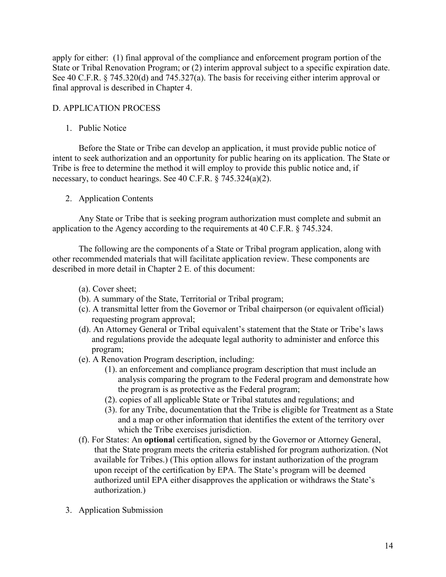apply for either: (1) final approval of the compliance and enforcement program portion of the State or Tribal Renovation Program; or (2) interim approval subject to a specific expiration date. See 40 C.F.R. § 745.320(d) and 745.327(a). The basis for receiving either interim approval or final approval is described in Chapter 4.

# D. APPLICATION PROCESS

1. Public Notice

Before the State or Tribe can develop an application, it must provide public notice of intent to seek authorization and an opportunity for public hearing on its application. The State or Tribe is free to determine the method it will employ to provide this public notice and, if necessary, to conduct hearings. See 40 C.F.R. § 745.324(a)(2).

### 2. Application Contents

Any State or Tribe that is seeking program authorization must complete and submit an application to the Agency according to the requirements at 40 C.F.R. § 745.324.

The following are the components of a State or Tribal program application, along with other recommended materials that will facilitate application review. These components are described in more detail in Chapter 2 E. of this document:

- (a). Cover sheet;
- (b). A summary of the State, Territorial or Tribal program;
- (c). A transmittal letter from the Governor or Tribal chairperson (or equivalent official) requesting program approval;
- (d). An Attorney General or Tribal equivalent's statement that the State or Tribe's laws and regulations provide the adequate legal authority to administer and enforce this program;
- (e). A Renovation Program description, including:
	- (1). an enforcement and compliance program description that must include an analysis comparing the program to the Federal program and demonstrate how the program is as protective as the Federal program;
	- (2). copies of all applicable State or Tribal statutes and regulations; and
	- (3). for any Tribe, documentation that the Tribe is eligible for Treatment as a State and a map or other information that identifies the extent of the territory over which the Tribe exercises jurisdiction.
- (f). For States: An **optiona**l certification, signed by the Governor or Attorney General, that the State program meets the criteria established for program authorization. (Not available for Tribes.) (This option allows for instant authorization of the program upon receipt of the certification by EPA. The State's program will be deemed authorized until EPA either disapproves the application or withdraws the State's authorization.)
- 3. Application Submission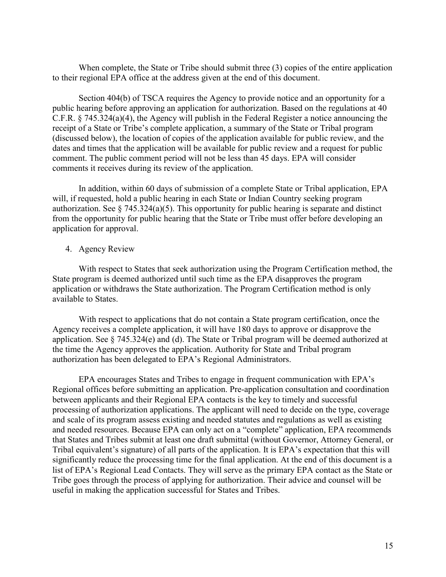When complete, the State or Tribe should submit three (3) copies of the entire application to their regional EPA office at the address given at the end of this document.

Section 404(b) of TSCA requires the Agency to provide notice and an opportunity for a public hearing before approving an application for authorization. Based on the regulations at 40 C.F.R. § 745.324(a)(4), the Agency will publish in the Federal Register a notice announcing the receipt of a State or Tribe's complete application, a summary of the State or Tribal program (discussed below), the location of copies of the application available for public review, and the dates and times that the application will be available for public review and a request for public comment. The public comment period will not be less than 45 days. EPA will consider comments it receives during its review of the application.

In addition, within 60 days of submission of a complete State or Tribal application, EPA will, if requested, hold a public hearing in each State or Indian Country seeking program authorization. See  $\S$  745.324(a)(5). This opportunity for public hearing is separate and distinct from the opportunity for public hearing that the State or Tribe must offer before developing an application for approval.

#### 4. Agency Review

With respect to States that seek authorization using the Program Certification method, the State program is deemed authorized until such time as the EPA disapproves the program application or withdraws the State authorization. The Program Certification method is only available to States.

With respect to applications that do not contain a State program certification, once the Agency receives a complete application, it will have 180 days to approve or disapprove the application. See § 745.324(e) and (d). The State or Tribal program will be deemed authorized at the time the Agency approves the application. Authority for State and Tribal program authorization has been delegated to EPA's Regional Administrators.

EPA encourages States and Tribes to engage in frequent communication with EPA's Regional offices before submitting an application. Pre-application consultation and coordination between applicants and their Regional EPA contacts is the key to timely and successful processing of authorization applications. The applicant will need to decide on the type, coverage and scale of its program assess existing and needed statutes and regulations as well as existing and needed resources. Because EPA can only act on a "complete" application, EPA recommends that States and Tribes submit at least one draft submittal (without Governor, Attorney General, or Tribal equivalent's signature) of all parts of the application. It is EPA's expectation that this will significantly reduce the processing time for the final application. At the end of this document is a list of EPA's Regional Lead Contacts. They will serve as the primary EPA contact as the State or Tribe goes through the process of applying for authorization. Their advice and counsel will be useful in making the application successful for States and Tribes.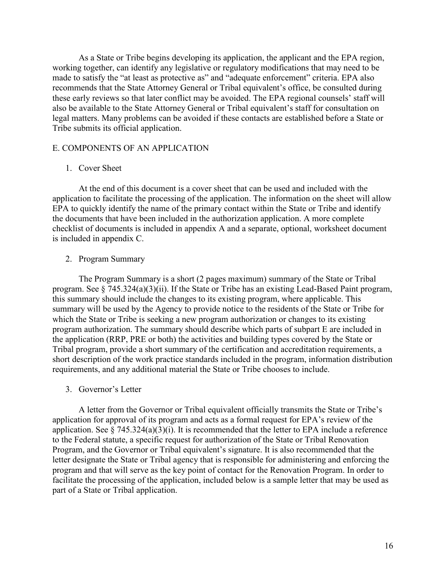As a State or Tribe begins developing its application, the applicant and the EPA region, working together, can identify any legislative or regulatory modifications that may need to be made to satisfy the "at least as protective as" and "adequate enforcement" criteria. EPA also recommends that the State Attorney General or Tribal equivalent's office, be consulted during these early reviews so that later conflict may be avoided. The EPA regional counsels' staff will also be available to the State Attorney General or Tribal equivalent's staff for consultation on legal matters. Many problems can be avoided if these contacts are established before a State or Tribe submits its official application.

#### E. COMPONENTS OF AN APPLICATION

#### 1. Cover Sheet

At the end of this document is a cover sheet that can be used and included with the application to facilitate the processing of the application. The information on the sheet will allow EPA to quickly identify the name of the primary contact within the State or Tribe and identify the documents that have been included in the authorization application. A more complete checklist of documents is included in appendix A and a separate, optional, worksheet document is included in appendix C.

#### 2. Program Summary

The Program Summary is a short (2 pages maximum) summary of the State or Tribal program. See § 745.324(a)(3)(ii). If the State or Tribe has an existing Lead-Based Paint program, this summary should include the changes to its existing program, where applicable. This summary will be used by the Agency to provide notice to the residents of the State or Tribe for which the State or Tribe is seeking a new program authorization or changes to its existing program authorization. The summary should describe which parts of subpart E are included in the application (RRP, PRE or both) the activities and building types covered by the State or Tribal program, provide a short summary of the certification and accreditation requirements, a short description of the work practice standards included in the program, information distribution requirements, and any additional material the State or Tribe chooses to include.

#### 3. Governor's Letter

A letter from the Governor or Tribal equivalent officially transmits the State or Tribe's application for approval of its program and acts as a formal request for EPA's review of the application. See  $\S$  745.324(a)(3)(i). It is recommended that the letter to EPA include a reference to the Federal statute, a specific request for authorization of the State or Tribal Renovation Program, and the Governor or Tribal equivalent's signature. It is also recommended that the letter designate the State or Tribal agency that is responsible for administering and enforcing the program and that will serve as the key point of contact for the Renovation Program. In order to facilitate the processing of the application, included below is a sample letter that may be used as part of a State or Tribal application.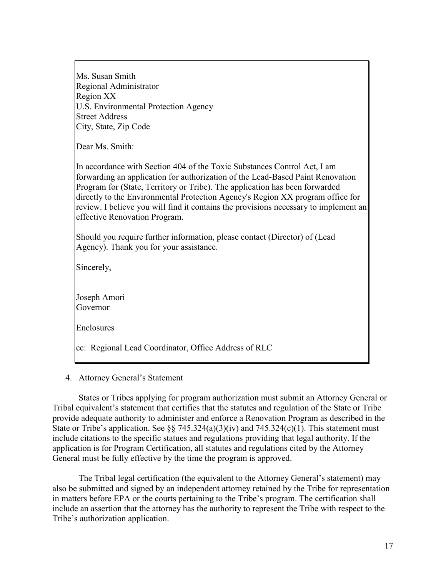Ms. Susan Smith Regional Administrator Region XX U.S. Environmental Protection Agency Street Address City, State, Zip Code

Dear Ms. Smith:

In accordance with Section 404 of the Toxic Substances Control Act, I am forwarding an application for authorization of the Lead-Based Paint Renovation Program for (State, Territory or Tribe). The application has been forwarded directly to the Environmental Protection Agency's Region XX program office for review. I believe you will find it contains the provisions necessary to implement an effective Renovation Program.

Should you require further information, please contact (Director) of (Lead Agency). Thank you for your assistance.

Sincerely,

Joseph Amori Governor

Enclosures

cc: Regional Lead Coordinator, Office Address of RLC

#### 4. Attorney General's Statement

States or Tribes applying for program authorization must submit an Attorney General or Tribal equivalent's statement that certifies that the statutes and regulation of the State or Tribe provide adequate authority to administer and enforce a Renovation Program as described in the State or Tribe's application. See §§ 745.324(a)(3)(iv) and 745.324(c)(1). This statement must include citations to the specific statues and regulations providing that legal authority. If the application is for Program Certification, all statutes and regulations cited by the Attorney General must be fully effective by the time the program is approved.

The Tribal legal certification (the equivalent to the Attorney General's statement) may also be submitted and signed by an independent attorney retained by the Tribe for representation in matters before EPA or the courts pertaining to the Tribe's program. The certification shall include an assertion that the attorney has the authority to represent the Tribe with respect to the Tribe's authorization application.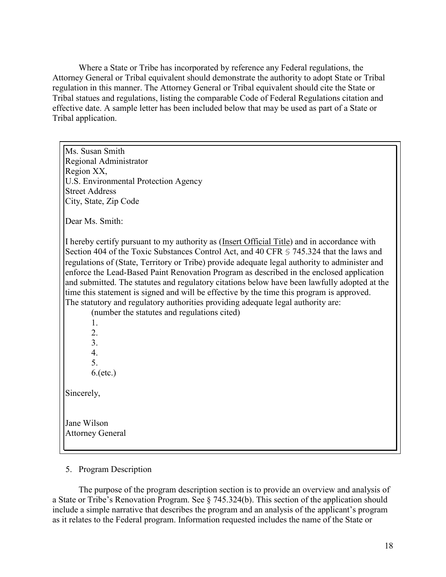Where a State or Tribe has incorporated by reference any Federal regulations, the Attorney General or Tribal equivalent should demonstrate the authority to adopt State or Tribal regulation in this manner. The Attorney General or Tribal equivalent should cite the State or Tribal statues and regulations, listing the comparable Code of Federal Regulations citation and effective date. A sample letter has been included below that may be used as part of a State or Tribal application.

Ms. Susan Smith Regional Administrator Region XX, U.S. Environmental Protection Agency Street Address City, State, Zip Code Dear Ms. Smith: I hereby certify pursuant to my authority as (Insert Official Title) and in accordance with Section 404 of the Toxic Substances Control Act, and 40 CFR § 745.324 that the laws and regulations of (State, Territory or Tribe) provide adequate legal authority to administer and enforce the Lead-Based Paint Renovation Program as described in the enclosed application and submitted. The statutes and regulatory citations below have been lawfully adopted at the time this statement is signed and will be effective by the time this program is approved. The statutory and regulatory authorities providing adequate legal authority are: (number the statutes and regulations cited) 1. 2. 3. 4. 5. 6.(etc.) Sincerely, Jane Wilson Attorney General

5. Program Description

The purpose of the program description section is to provide an overview and analysis of a State or Tribe's Renovation Program. See § 745.324(b). This section of the application should include a simple narrative that describes the program and an analysis of the applicant's program as it relates to the Federal program. Information requested includes the name of the State or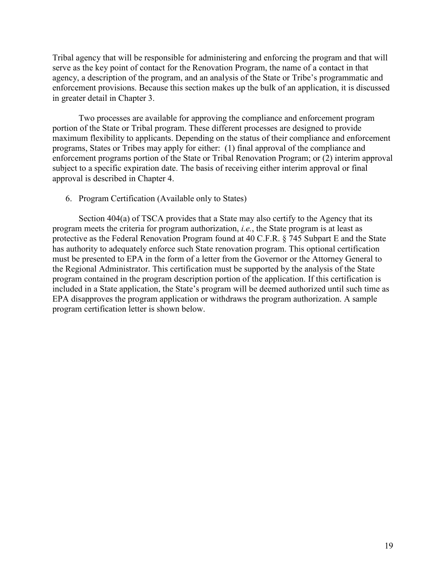Tribal agency that will be responsible for administering and enforcing the program and that will serve as the key point of contact for the Renovation Program, the name of a contact in that agency, a description of the program, and an analysis of the State or Tribe's programmatic and enforcement provisions. Because this section makes up the bulk of an application, it is discussed in greater detail in Chapter 3.

Two processes are available for approving the compliance and enforcement program portion of the State or Tribal program. These different processes are designed to provide maximum flexibility to applicants. Depending on the status of their compliance and enforcement programs, States or Tribes may apply for either: (1) final approval of the compliance and enforcement programs portion of the State or Tribal Renovation Program; or (2) interim approval subject to a specific expiration date. The basis of receiving either interim approval or final approval is described in Chapter 4.

#### 6. Program Certification (Available only to States)

Section 404(a) of TSCA provides that a State may also certify to the Agency that its program meets the criteria for program authorization, *i.e.*, the State program is at least as protective as the Federal Renovation Program found at 40 C.F.R. § 745 Subpart E and the State has authority to adequately enforce such State renovation program. This optional certification must be presented to EPA in the form of a letter from the Governor or the Attorney General to the Regional Administrator. This certification must be supported by the analysis of the State program contained in the program description portion of the application. If this certification is included in a State application, the State's program will be deemed authorized until such time as EPA disapproves the program application or withdraws the program authorization. A sample program certification letter is shown below.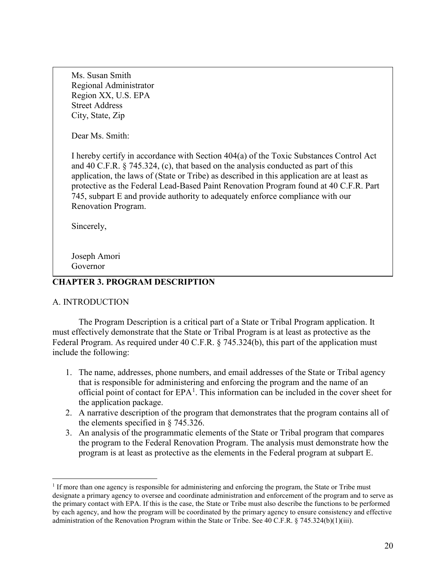Ms. Susan Smith Regional Administrator Region XX, U.S. EPA Street Address City, State, Zip

Dear Ms. Smith:

I hereby certify in accordance with Section 404(a) of the Toxic Substances Control Act and 40 C.F.R.  $\S$  745.324, (c), that based on the analysis conducted as part of this application, the laws of (State or Tribe) as described in this application are at least as protective as the Federal Lead-Based Paint Renovation Program found at 40 C.F.R. Part 745, subpart E and provide authority to adequately enforce compliance with our Renovation Program.

Sincerely,

Joseph Amori Governor

### **CHAPTER 3. PROGRAM DESCRIPTION**

#### A. INTRODUCTION

The Program Description is a critical part of a State or Tribal Program application. It must effectively demonstrate that the State or Tribal Program is at least as protective as the Federal Program. As required under 40 C.F.R. § 745.324(b), this part of the application must include the following:

- 1. The name, addresses, phone numbers, and email addresses of the State or Tribal agency that is responsible for administering and enforcing the program and the name of an official point of contact for  $EPA<sup>1</sup>$  $EPA<sup>1</sup>$  $EPA<sup>1</sup>$ . This information can be included in the cover sheet for the application package.
- 2. A narrative description of the program that demonstrates that the program contains all of the elements specified in § 745.326.
- 3. An analysis of the programmatic elements of the State or Tribal program that compares the program to the Federal Renovation Program. The analysis must demonstrate how the program is at least as protective as the elements in the Federal program at subpart E.

<span id="page-19-0"></span><sup>&</sup>lt;sup>1</sup> If more than one agency is responsible for administering and enforcing the program, the State or Tribe must designate a primary agency to oversee and coordinate administration and enforcement of the program and to serve as the primary contact with EPA. If this is the case, the State or Tribe must also describe the functions to be performed by each agency, and how the program will be coordinated by the primary agency to ensure consistency and effective administration of the Renovation Program within the State or Tribe. See 40 C.F.R. § 745.324(b)(1)(iii).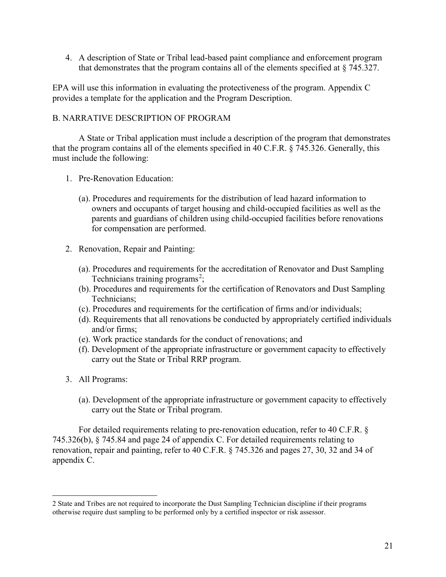4. A description of State or Tribal lead-based paint compliance and enforcement program that demonstrates that the program contains all of the elements specified at § 745.327.

EPA will use this information in evaluating the protectiveness of the program. Appendix C provides a template for the application and the Program Description.

#### B. NARRATIVE DESCRIPTION OF PROGRAM

A State or Tribal application must include a description of the program that demonstrates that the program contains all of the elements specified in 40 C.F.R. § 745.326. Generally, this must include the following:

- 1. Pre-Renovation Education:
	- (a). Procedures and requirements for the distribution of lead hazard information to owners and occupants of target housing and child-occupied facilities as well as the parents and guardians of children using child-occupied facilities before renovations for compensation are performed.
- 2. Renovation, Repair and Painting:
	- (a). Procedures and requirements for the accreditation of Renovator and Dust Sampling Technicians training programs<sup>[2](#page-20-0)</sup>;
	- (b). Procedures and requirements for the certification of Renovators and Dust Sampling Technicians;
	- (c). Procedures and requirements for the certification of firms and/or individuals;
	- (d). Requirements that all renovations be conducted by appropriately certified individuals and/or firms;
	- (e). Work practice standards for the conduct of renovations; and
	- (f). Development of the appropriate infrastructure or government capacity to effectively carry out the State or Tribal RRP program.
- 3. All Programs:
	- (a). Development of the appropriate infrastructure or government capacity to effectively carry out the State or Tribal program.

For detailed requirements relating to pre-renovation education, refer to 40 C.F.R. § 745.326(b), § 745.84 and page 24 of appendix C. For detailed requirements relating to renovation, repair and painting, refer to 40 C.F.R. § 745.326 and pages 27, 30, 32 and 34 of appendix C.

<span id="page-20-0"></span> <sup>2</sup> State and Tribes are not required to incorporate the Dust Sampling Technician discipline if their programs otherwise require dust sampling to be performed only by a certified inspector or risk assessor.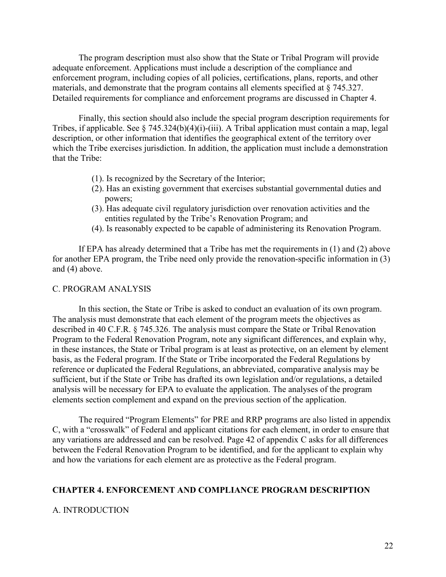The program description must also show that the State or Tribal Program will provide adequate enforcement. Applications must include a description of the compliance and enforcement program, including copies of all policies, certifications, plans, reports, and other materials, and demonstrate that the program contains all elements specified at § 745.327. Detailed requirements for compliance and enforcement programs are discussed in Chapter 4.

Finally, this section should also include the special program description requirements for Tribes, if applicable. See  $\S$  745.324(b)(4)(i)-(iii). A Tribal application must contain a map, legal description, or other information that identifies the geographical extent of the territory over which the Tribe exercises jurisdiction. In addition, the application must include a demonstration that the Tribe:

- (1). Is recognized by the Secretary of the Interior;
- (2). Has an existing government that exercises substantial governmental duties and powers;
- (3). Has adequate civil regulatory jurisdiction over renovation activities and the entities regulated by the Tribe's Renovation Program; and
- (4). Is reasonably expected to be capable of administering its Renovation Program.

If EPA has already determined that a Tribe has met the requirements in (1) and (2) above for another EPA program, the Tribe need only provide the renovation-specific information in (3) and (4) above.

#### C. PROGRAM ANALYSIS

In this section, the State or Tribe is asked to conduct an evaluation of its own program. The analysis must demonstrate that each element of the program meets the objectives as described in 40 C.F.R. § 745.326. The analysis must compare the State or Tribal Renovation Program to the Federal Renovation Program, note any significant differences, and explain why, in these instances, the State or Tribal program is at least as protective, on an element by element basis, as the Federal program. If the State or Tribe incorporated the Federal Regulations by reference or duplicated the Federal Regulations, an abbreviated, comparative analysis may be sufficient, but if the State or Tribe has drafted its own legislation and/or regulations, a detailed analysis will be necessary for EPA to evaluate the application. The analyses of the program elements section complement and expand on the previous section of the application.

The required "Program Elements" for PRE and RRP programs are also listed in appendix C, with a "crosswalk" of Federal and applicant citations for each element, in order to ensure that any variations are addressed and can be resolved. Page 42 of appendix C asks for all differences between the Federal Renovation Program to be identified, and for the applicant to explain why and how the variations for each element are as protective as the Federal program.

#### **CHAPTER 4. ENFORCEMENT AND COMPLIANCE PROGRAM DESCRIPTION**

#### A. INTRODUCTION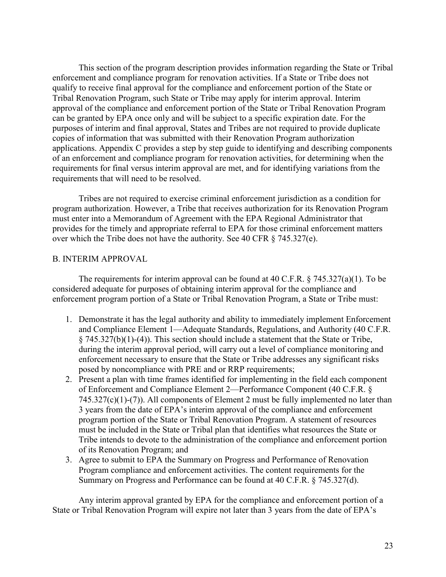This section of the program description provides information regarding the State or Tribal enforcement and compliance program for renovation activities. If a State or Tribe does not qualify to receive final approval for the compliance and enforcement portion of the State or Tribal Renovation Program, such State or Tribe may apply for interim approval. Interim approval of the compliance and enforcement portion of the State or Tribal Renovation Program can be granted by EPA once only and will be subject to a specific expiration date. For the purposes of interim and final approval, States and Tribes are not required to provide duplicate copies of information that was submitted with their Renovation Program authorization applications. Appendix C provides a step by step guide to identifying and describing components of an enforcement and compliance program for renovation activities, for determining when the requirements for final versus interim approval are met, and for identifying variations from the requirements that will need to be resolved.

Tribes are not required to exercise criminal enforcement jurisdiction as a condition for program authorization. However, a Tribe that receives authorization for its Renovation Program must enter into a Memorandum of Agreement with the EPA Regional Administrator that provides for the timely and appropriate referral to EPA for those criminal enforcement matters over which the Tribe does not have the authority. See 40 CFR § 745.327(e).

### B. INTERIM APPROVAL

The requirements for interim approval can be found at 40 C.F.R.  $\S$  745.327(a)(1). To be considered adequate for purposes of obtaining interim approval for the compliance and enforcement program portion of a State or Tribal Renovation Program, a State or Tribe must:

- 1. Demonstrate it has the legal authority and ability to immediately implement Enforcement and Compliance Element 1—Adequate Standards, Regulations, and Authority (40 C.F.R. § 745.327(b)(1)-(4)). This section should include a statement that the State or Tribe, during the interim approval period, will carry out a level of compliance monitoring and enforcement necessary to ensure that the State or Tribe addresses any significant risks posed by noncompliance with PRE and or RRP requirements;
- 2. Present a plan with time frames identified for implementing in the field each component of Enforcement and Compliance Element 2—Performance Component (40 C.F.R. §  $745.327(c)(1)-(7)$ ). All components of Element 2 must be fully implemented no later than 3 years from the date of EPA's interim approval of the compliance and enforcement program portion of the State or Tribal Renovation Program. A statement of resources must be included in the State or Tribal plan that identifies what resources the State or Tribe intends to devote to the administration of the compliance and enforcement portion of its Renovation Program; and
- 3. Agree to submit to EPA the Summary on Progress and Performance of Renovation Program compliance and enforcement activities. The content requirements for the Summary on Progress and Performance can be found at 40 C.F.R. § 745.327(d).

Any interim approval granted by EPA for the compliance and enforcement portion of a State or Tribal Renovation Program will expire not later than 3 years from the date of EPA's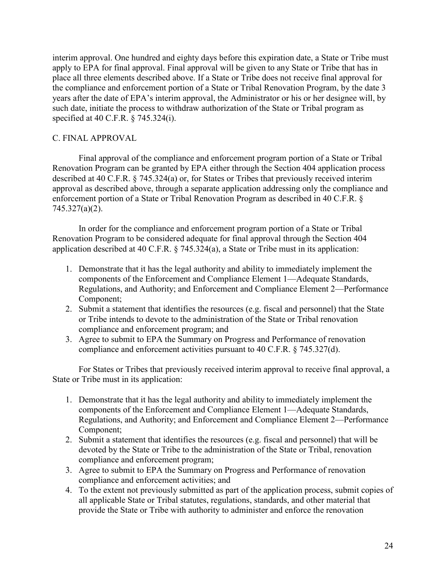interim approval. One hundred and eighty days before this expiration date, a State or Tribe must apply to EPA for final approval. Final approval will be given to any State or Tribe that has in place all three elements described above. If a State or Tribe does not receive final approval for the compliance and enforcement portion of a State or Tribal Renovation Program, by the date 3 years after the date of EPA's interim approval, the Administrator or his or her designee will, by such date, initiate the process to withdraw authorization of the State or Tribal program as specified at 40 C.F.R. § 745.324(i).

#### C. FINAL APPROVAL

Final approval of the compliance and enforcement program portion of a State or Tribal Renovation Program can be granted by EPA either through the Section 404 application process described at 40 C.F.R. § 745.324(a) or, for States or Tribes that previously received interim approval as described above, through a separate application addressing only the compliance and enforcement portion of a State or Tribal Renovation Program as described in 40 C.F.R. § 745.327(a)(2).

In order for the compliance and enforcement program portion of a State or Tribal Renovation Program to be considered adequate for final approval through the Section 404 application described at 40 C.F.R. § 745.324(a), a State or Tribe must in its application:

- 1. Demonstrate that it has the legal authority and ability to immediately implement the components of the Enforcement and Compliance Element 1—Adequate Standards, Regulations, and Authority; and Enforcement and Compliance Element 2—Performance Component;
- 2. Submit a statement that identifies the resources (e.g. fiscal and personnel) that the State or Tribe intends to devote to the administration of the State or Tribal renovation compliance and enforcement program; and
- 3. Agree to submit to EPA the Summary on Progress and Performance of renovation compliance and enforcement activities pursuant to 40 C.F.R. § 745.327(d).

For States or Tribes that previously received interim approval to receive final approval, a State or Tribe must in its application:

- 1. Demonstrate that it has the legal authority and ability to immediately implement the components of the Enforcement and Compliance Element 1—Adequate Standards, Regulations, and Authority; and Enforcement and Compliance Element 2—Performance Component;
- 2. Submit a statement that identifies the resources (e.g. fiscal and personnel) that will be devoted by the State or Tribe to the administration of the State or Tribal, renovation compliance and enforcement program;
- 3. Agree to submit to EPA the Summary on Progress and Performance of renovation compliance and enforcement activities; and
- 4. To the extent not previously submitted as part of the application process, submit copies of all applicable State or Tribal statutes, regulations, standards, and other material that provide the State or Tribe with authority to administer and enforce the renovation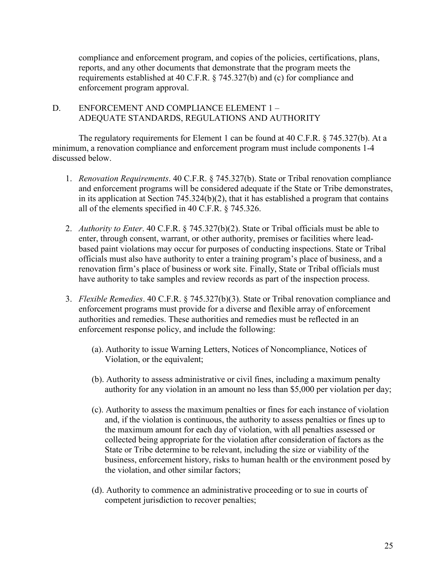compliance and enforcement program, and copies of the policies, certifications, plans, reports, and any other documents that demonstrate that the program meets the requirements established at 40 C.F.R. § 745.327(b) and (c) for compliance and enforcement program approval.

D. ENFORCEMENT AND COMPLIANCE ELEMENT 1 – ADEQUATE STANDARDS, REGULATIONS AND AUTHORITY

The regulatory requirements for Element 1 can be found at 40 C.F.R. § 745.327(b). At a minimum, a renovation compliance and enforcement program must include components 1-4 discussed below.

- 1. *Renovation Requirements*. 40 C.F.R. § 745.327(b). State or Tribal renovation compliance and enforcement programs will be considered adequate if the State or Tribe demonstrates, in its application at Section 745.324(b)(2), that it has established a program that contains all of the elements specified in 40 C.F.R. § 745.326.
- 2. *Authority to Enter*. 40 C.F.R. § 745.327(b)(2). State or Tribal officials must be able to enter, through consent, warrant, or other authority, premises or facilities where leadbased paint violations may occur for purposes of conducting inspections. State or Tribal officials must also have authority to enter a training program's place of business, and a renovation firm's place of business or work site. Finally, State or Tribal officials must have authority to take samples and review records as part of the inspection process.
- 3. *Flexible Remedies*. 40 C.F.R. § 745.327(b)(3). State or Tribal renovation compliance and enforcement programs must provide for a diverse and flexible array of enforcement authorities and remedies. These authorities and remedies must be reflected in an enforcement response policy, and include the following:
	- (a). Authority to issue Warning Letters, Notices of Noncompliance, Notices of Violation, or the equivalent;
	- (b). Authority to assess administrative or civil fines, including a maximum penalty authority for any violation in an amount no less than \$5,000 per violation per day;
	- (c). Authority to assess the maximum penalties or fines for each instance of violation and, if the violation is continuous, the authority to assess penalties or fines up to the maximum amount for each day of violation, with all penalties assessed or collected being appropriate for the violation after consideration of factors as the State or Tribe determine to be relevant, including the size or viability of the business, enforcement history, risks to human health or the environment posed by the violation, and other similar factors;
	- (d). Authority to commence an administrative proceeding or to sue in courts of competent jurisdiction to recover penalties;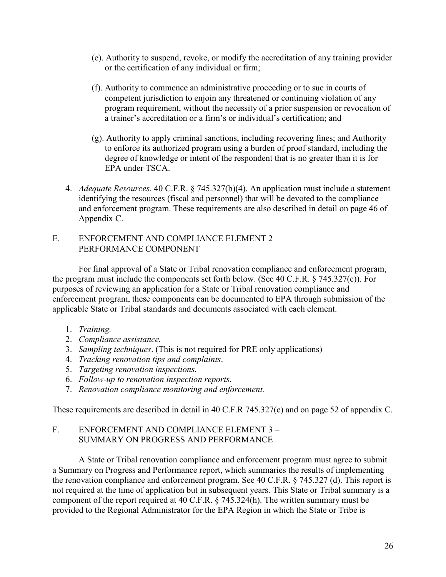- (e). Authority to suspend, revoke, or modify the accreditation of any training provider or the certification of any individual or firm;
- (f). Authority to commence an administrative proceeding or to sue in courts of competent jurisdiction to enjoin any threatened or continuing violation of any program requirement, without the necessity of a prior suspension or revocation of a trainer's accreditation or a firm's or individual's certification; and
- (g). Authority to apply criminal sanctions, including recovering fines; and Authority to enforce its authorized program using a burden of proof standard, including the degree of knowledge or intent of the respondent that is no greater than it is for EPA under TSCA.
- 4. *Adequate Resources.* 40 C.F.R. § 745.327(b)(4). An application must include a statement identifying the resources (fiscal and personnel) that will be devoted to the compliance and enforcement program. These requirements are also described in detail on page 46 of Appendix C.
- E. ENFORCEMENT AND COMPLIANCE ELEMENT 2 PERFORMANCE COMPONENT

For final approval of a State or Tribal renovation compliance and enforcement program, the program must include the components set forth below. (See 40 C.F.R. § 745.327(c)). For purposes of reviewing an application for a State or Tribal renovation compliance and enforcement program, these components can be documented to EPA through submission of the applicable State or Tribal standards and documents associated with each element.

- 1. *Training.*
- 2. *Compliance assistance.*
- 3. *Sampling techniques*. (This is not required for PRE only applications)
- 4. *Tracking renovation tips and complaints*.
- 5. *Targeting renovation inspections.*
- 6. *Follow-up to renovation inspection reports*.
- 7. *Renovation compliance monitoring and enforcement.*

These requirements are described in detail in 40 C.F.R 745.327(c) and on page 52 of appendix C.

### F. ENFORCEMENT AND COMPLIANCE ELEMENT 3 – SUMMARY ON PROGRESS AND PERFORMANCE

A State or Tribal renovation compliance and enforcement program must agree to submit a Summary on Progress and Performance report, which summaries the results of implementing the renovation compliance and enforcement program. See 40 C.F.R. § 745.327 (d). This report is not required at the time of application but in subsequent years. This State or Tribal summary is a component of the report required at 40 C.F.R. § 745.324(h). The written summary must be provided to the Regional Administrator for the EPA Region in which the State or Tribe is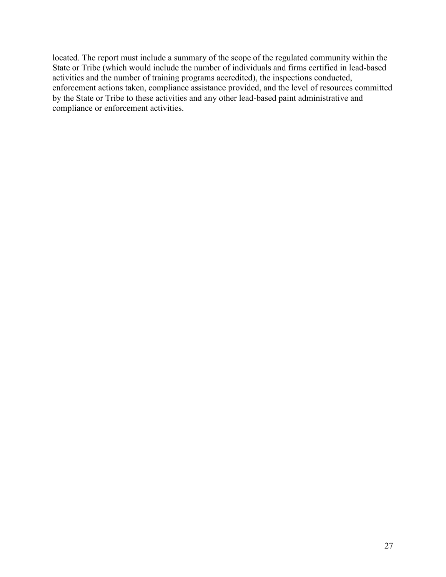located. The report must include a summary of the scope of the regulated community within the State or Tribe (which would include the number of individuals and firms certified in lead-based activities and the number of training programs accredited), the inspections conducted, enforcement actions taken, compliance assistance provided, and the level of resources committed by the State or Tribe to these activities and any other lead-based paint administrative and compliance or enforcement activities.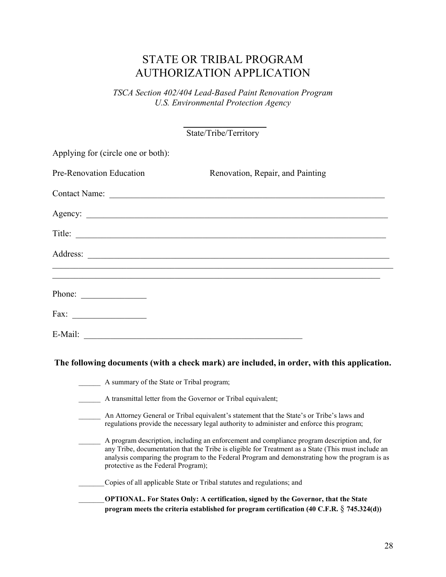# STATE OR TRIBAL PROGRAM AUTHORIZATION APPLICATION

*TSCA Section 402/404 Lead-Based Paint Renovation Program U.S. Environmental Protection Agency*

> $\overline{\phantom{a}}$  , where  $\overline{\phantom{a}}$ State/Tribe/Territory

| Applying for (circle one or both):                           |                                                                                                                                                                                                                                                                                                    |
|--------------------------------------------------------------|----------------------------------------------------------------------------------------------------------------------------------------------------------------------------------------------------------------------------------------------------------------------------------------------------|
| Pre-Renovation Education                                     | Renovation, Repair, and Painting                                                                                                                                                                                                                                                                   |
|                                                              |                                                                                                                                                                                                                                                                                                    |
|                                                              |                                                                                                                                                                                                                                                                                                    |
|                                                              |                                                                                                                                                                                                                                                                                                    |
|                                                              |                                                                                                                                                                                                                                                                                                    |
|                                                              | ,我们也不能在这里的时候,我们也不能在这里的时候,我们也不能会在这里的时候,我们也不能会在这里的时候,我们也不能会在这里的时候,我们也不能会在这里的时候,我们也                                                                                                                                                                                                                   |
| Phone: $\qquad \qquad$                                       |                                                                                                                                                                                                                                                                                                    |
|                                                              |                                                                                                                                                                                                                                                                                                    |
|                                                              |                                                                                                                                                                                                                                                                                                    |
|                                                              | The following documents (with a check mark) are included, in order, with this application.                                                                                                                                                                                                         |
| A summary of the State or Tribal program;                    |                                                                                                                                                                                                                                                                                                    |
| A transmittal letter from the Governor or Tribal equivalent; |                                                                                                                                                                                                                                                                                                    |
|                                                              | An Attorney General or Tribal equivalent's statement that the State's or Tribe's laws and<br>regulations provide the necessary legal authority to administer and enforce this program;                                                                                                             |
| protective as the Federal Program);                          | A program description, including an enforcement and compliance program description and, for<br>any Tribe, documentation that the Tribe is eligible for Treatment as a State (This must include an<br>analysis comparing the program to the Federal Program and demonstrating how the program is as |
|                                                              | Copies of all applicable State or Tribal statutes and regulations; and                                                                                                                                                                                                                             |
|                                                              | OPTIONAL. For States Only: A certification, signed by the Governor, that the State<br>program meets the criteria established for program certification (40 C.F.R. § 745.324(d))                                                                                                                    |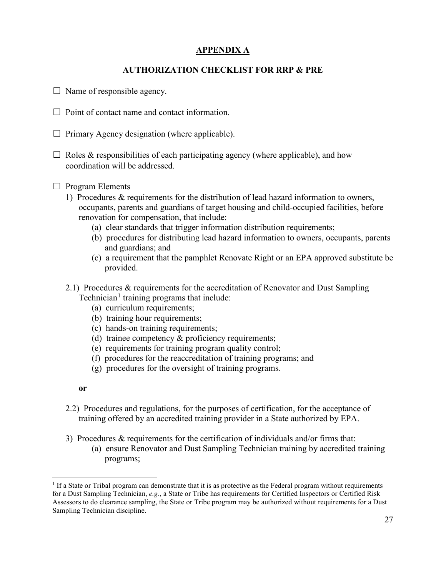# **APPENDIX A**

# **AUTHORIZATION CHECKLIST FOR RRP & PRE**

- $\Box$  Name of responsible agency.
- $\Box$  Point of contact name and contact information.
- $\Box$  Primary Agency designation (where applicable).
- $\Box$  Roles & responsibilities of each participating agency (where applicable), and how coordination will be addressed.
- $\Box$  Program Elements
	- 1) Procedures & requirements for the distribution of lead hazard information to owners, occupants, parents and guardians of target housing and child-occupied facilities, before renovation for compensation, that include:
		- (a) clear standards that trigger information distribution requirements;
		- (b) procedures for distributing lead hazard information to owners, occupants, parents and guardians; and
		- (c) a requirement that the pamphlet Renovate Right or an EPA approved substitute be provided.
	- 2.1) Procedures & requirements for the accreditation of Renovator and Dust Sampling Technician<sup>[1](#page-28-0)</sup> training programs that include:
		- (a) curriculum requirements;
		- (b) training hour requirements;
		- (c) hands-on training requirements;
		- (d) trainee competency & proficiency requirements;
		- (e) requirements for training program quality control;
		- (f) procedures for the reaccreditation of training programs; and
		- (g) procedures for the oversight of training programs.
		- **or**
	- 2.2) Procedures and regulations, for the purposes of certification, for the acceptance of training offered by an accredited training provider in a State authorized by EPA.
	- 3) Procedures & requirements for the certification of individuals and/or firms that:
		- (a) ensure Renovator and Dust Sampling Technician training by accredited training programs;

<span id="page-28-0"></span> $<sup>1</sup>$  If a State or Tribal program can demonstrate that it is as protective as the Federal program without requirements</sup> for a Dust Sampling Technician, *e.g.*, a State or Tribe has requirements for Certified Inspectors or Certified Risk Assessors to do clearance sampling, the State or Tribe program may be authorized without requirements for a Dust Sampling Technician discipline.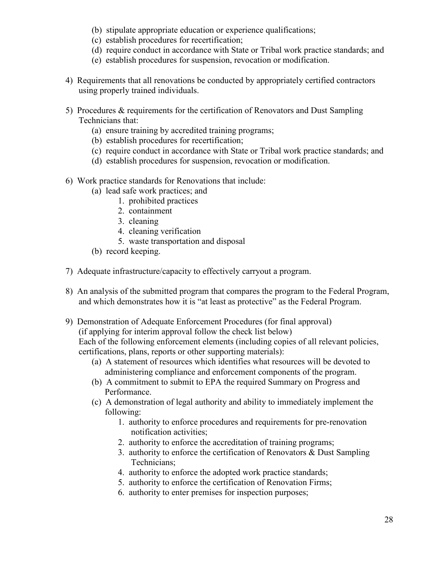- (b) stipulate appropriate education or experience qualifications;
- (c) establish procedures for recertification;
- (d) require conduct in accordance with State or Tribal work practice standards; and
- (e) establish procedures for suspension, revocation or modification.
- 4) Requirements that all renovations be conducted by appropriately certified contractors using properly trained individuals.
- 5) Procedures & requirements for the certification of Renovators and Dust Sampling Technicians that:
	- (a) ensure training by accredited training programs;
	- (b) establish procedures for recertification;
	- (c) require conduct in accordance with State or Tribal work practice standards; and
	- (d) establish procedures for suspension, revocation or modification.
- 6) Work practice standards for Renovations that include:
	- (a) lead safe work practices; and
		- 1. prohibited practices
		- 2. containment
		- 3. cleaning
		- 4. cleaning verification
		- 5. waste transportation and disposal
	- (b) record keeping.
- 7) Adequate infrastructure/capacity to effectively carryout a program.
- 8) An analysis of the submitted program that compares the program to the Federal Program, and which demonstrates how it is "at least as protective" as the Federal Program.
- 9) Demonstration of Adequate Enforcement Procedures (for final approval) (if applying for interim approval follow the check list below)

Each of the following enforcement elements (including copies of all relevant policies, certifications, plans, reports or other supporting materials):

- (a) A statement of resources which identifies what resources will be devoted to administering compliance and enforcement components of the program.
- (b) A commitment to submit to EPA the required Summary on Progress and Performance.
- (c) A demonstration of legal authority and ability to immediately implement the following:
	- 1. authority to enforce procedures and requirements for pre-renovation notification activities;
	- 2. authority to enforce the accreditation of training programs;
	- 3. authority to enforce the certification of Renovators & Dust Sampling Technicians;
	- 4. authority to enforce the adopted work practice standards;
	- 5. authority to enforce the certification of Renovation Firms;
	- 6. authority to enter premises for inspection purposes;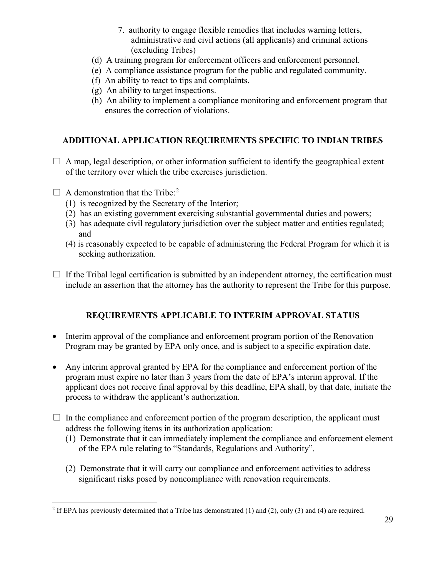- 7. authority to engage flexible remedies that includes warning letters, administrative and civil actions (all applicants) and criminal actions (excluding Tribes)
- (d) A training program for enforcement officers and enforcement personnel.
- (e) A compliance assistance program for the public and regulated community.
- (f) An ability to react to tips and complaints.
- (g) An ability to target inspections.
- (h) An ability to implement a compliance monitoring and enforcement program that ensures the correction of violations.

# **ADDITIONAL APPLICATION REQUIREMENTS SPECIFIC TO INDIAN TRIBES**

- $\Box$  A map, legal description, or other information sufficient to identify the geographical extent of the territory over which the tribe exercises jurisdiction.
- $\Box$  A demonstration that the Tribe:<sup>[2](#page-30-0)</sup>
	- (1) is recognized by the Secretary of the Interior;
	- (2) has an existing government exercising substantial governmental duties and powers;
	- (3) has adequate civil regulatory jurisdiction over the subject matter and entities regulated; and
	- (4) is reasonably expected to be capable of administering the Federal Program for which it is seeking authorization.
- $\Box$  If the Tribal legal certification is submitted by an independent attorney, the certification must include an assertion that the attorney has the authority to represent the Tribe for this purpose.

# **REQUIREMENTS APPLICABLE TO INTERIM APPROVAL STATUS**

- Interim approval of the compliance and enforcement program portion of the Renovation Program may be granted by EPA only once, and is subject to a specific expiration date.
- Any interim approval granted by EPA for the compliance and enforcement portion of the program must expire no later than 3 years from the date of EPA's interim approval. If the applicant does not receive final approval by this deadline, EPA shall, by that date, initiate the process to withdraw the applicant's authorization.
- $\Box$  In the compliance and enforcement portion of the program description, the applicant must address the following items in its authorization application:
	- (1) Demonstrate that it can immediately implement the compliance and enforcement element of the EPA rule relating to "Standards, Regulations and Authority".
	- (2) Demonstrate that it will carry out compliance and enforcement activities to address significant risks posed by noncompliance with renovation requirements.

<span id="page-30-0"></span><sup>&</sup>lt;sup>2</sup> If EPA has previously determined that a Tribe has demonstrated (1) and (2), only (3) and (4) are required.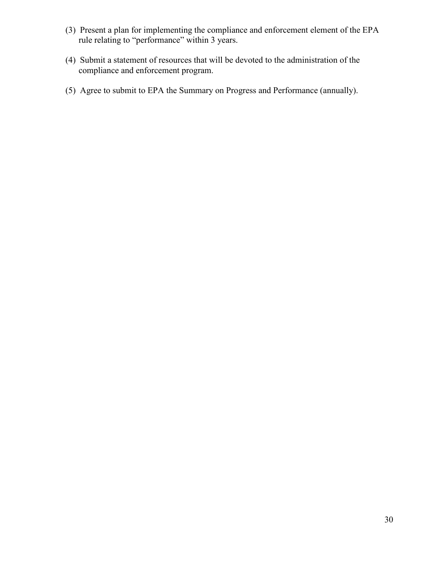- (3) Present a plan for implementing the compliance and enforcement element of the EPA rule relating to "performance" within 3 years.
- (4) Submit a statement of resources that will be devoted to the administration of the compliance and enforcement program.
- (5) Agree to submit to EPA the Summary on Progress and Performance (annually).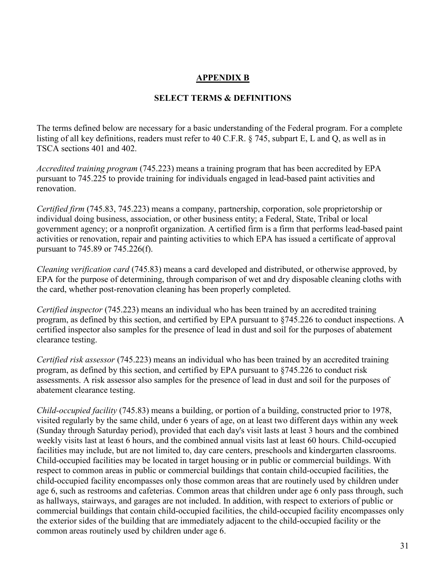# **APPENDIX B**

# **SELECT TERMS & DEFINITIONS**

The terms defined below are necessary for a basic understanding of the Federal program. For a complete listing of all key definitions, readers must refer to 40 C.F.R. § 745, subpart E, L and Q, as well as in TSCA sections 401 and 402.

*Accredited training program* (745.223) means a training program that has been accredited by EPA pursuant to 745.225 to provide training for individuals engaged in lead-based paint activities and renovation.

*Certified firm* (745.83, 745.223) means a company, partnership, corporation, sole proprietorship or individual doing business, association, or other business entity; a Federal, State, Tribal or local government agency; or a nonprofit organization. A certified firm is a firm that performs lead-based paint activities or renovation, repair and painting activities to which EPA has issued a certificate of approval pursuant to 745.89 or 745.226(f).

*Cleaning verification card* (745.83) means a card developed and distributed, or otherwise approved, by EPA for the purpose of determining, through comparison of wet and dry disposable cleaning cloths with the card, whether post-renovation cleaning has been properly completed.

*Certified inspector* (745.223) means an individual who has been trained by an accredited training program, as defined by this section, and certified by EPA pursuant to §745.226 to conduct inspections. A certified inspector also samples for the presence of lead in dust and soil for the purposes of abatement clearance testing.

*Certified risk assessor* (745.223) means an individual who has been trained by an accredited training program, as defined by this section, and certified by EPA pursuant to §745.226 to conduct risk assessments. A risk assessor also samples for the presence of lead in dust and soil for the purposes of abatement clearance testing.

*Child-occupied facility* (745.83) means a building, or portion of a building, constructed prior to 1978, visited regularly by the same child, under 6 years of age, on at least two different days within any week (Sunday through Saturday period), provided that each day's visit lasts at least 3 hours and the combined weekly visits last at least 6 hours, and the combined annual visits last at least 60 hours. Child-occupied facilities may include, but are not limited to, day care centers, preschools and kindergarten classrooms. Child-occupied facilities may be located in target housing or in public or commercial buildings. With respect to common areas in public or commercial buildings that contain child-occupied facilities, the child-occupied facility encompasses only those common areas that are routinely used by children under age 6, such as restrooms and cafeterias. Common areas that children under age 6 only pass through, such as hallways, stairways, and garages are not included. In addition, with respect to exteriors of public or commercial buildings that contain child-occupied facilities, the child-occupied facility encompasses only the exterior sides of the building that are immediately adjacent to the child-occupied facility or the common areas routinely used by children under age 6.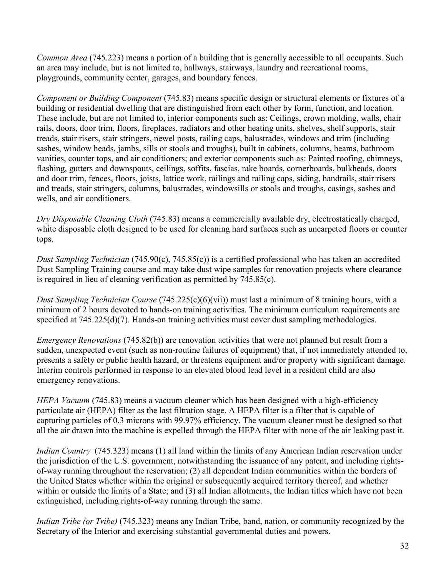*Common Area* (745.223) means a portion of a building that is generally accessible to all occupants. Such an area may include, but is not limited to, hallways, stairways, laundry and recreational rooms, playgrounds, community center, garages, and boundary fences.

*Component or Building Component* (745.83) means specific design or structural elements or fixtures of a building or residential dwelling that are distinguished from each other by form, function, and location. These include, but are not limited to, interior components such as: Ceilings, crown molding, walls, chair rails, doors, door trim, floors, fireplaces, radiators and other heating units, shelves, shelf supports, stair treads, stair risers, stair stringers, newel posts, railing caps, balustrades, windows and trim (including sashes, window heads, jambs, sills or stools and troughs), built in cabinets, columns, beams, bathroom vanities, counter tops, and air conditioners; and exterior components such as: Painted roofing, chimneys, flashing, gutters and downspouts, ceilings, soffits, fascias, rake boards, cornerboards, bulkheads, doors and door trim, fences, floors, joists, lattice work, railings and railing caps, siding, handrails, stair risers and treads, stair stringers, columns, balustrades, windowsills or stools and troughs, casings, sashes and wells, and air conditioners.

*Dry Disposable Cleaning Cloth* (745.83) means a commercially available dry, electrostatically charged, white disposable cloth designed to be used for cleaning hard surfaces such as uncarpeted floors or counter tops.

*Dust Sampling Technician* (745.90(c), 745.85(c)) is a certified professional who has taken an accredited Dust Sampling Training course and may take dust wipe samples for renovation projects where clearance is required in lieu of cleaning verification as permitted by 745.85(c).

*Dust Sampling Technician Course* (745.225(c)(6)(vii)) must last a minimum of 8 training hours, with a minimum of 2 hours devoted to hands-on training activities. The minimum curriculum requirements are specified at 745.225(d)(7). Hands-on training activities must cover dust sampling methodologies.

*Emergency Renovations* (745.82(b)) are renovation activities that were not planned but result from a sudden, unexpected event (such as non-routine failures of equipment) that, if not immediately attended to, presents a safety or public health hazard, or threatens equipment and/or property with significant damage. Interim controls performed in response to an elevated blood lead level in a resident child are also emergency renovations.

*HEPA Vacuum* (745.83) means a vacuum cleaner which has been designed with a high-efficiency particulate air (HEPA) filter as the last filtration stage. A HEPA filter is a filter that is capable of capturing particles of 0.3 microns with 99.97% efficiency. The vacuum cleaner must be designed so that all the air drawn into the machine is expelled through the HEPA filter with none of the air leaking past it.

*Indian Country* (745.323) means (1) all land within the limits of any American Indian reservation under the jurisdiction of the U.S. government, notwithstanding the issuance of any patent, and including rightsof-way running throughout the reservation; (2) all dependent Indian communities within the borders of the United States whether within the original or subsequently acquired territory thereof, and whether within or outside the limits of a State; and (3) all Indian allotments, the Indian titles which have not been extinguished, including rights-of-way running through the same.

*Indian Tribe (or Tribe)* (745.323) means any Indian Tribe, band, nation, or community recognized by the Secretary of the Interior and exercising substantial governmental duties and powers.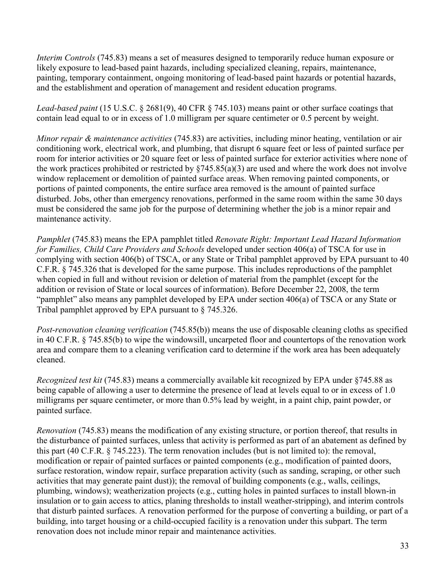*Interim Controls* (745.83) means a set of measures designed to temporarily reduce human exposure or likely exposure to lead-based paint hazards, including specialized cleaning, repairs, maintenance, painting, temporary containment, ongoing monitoring of lead-based paint hazards or potential hazards, and the establishment and operation of management and resident education programs.

*Lead-based paint* (15 U.S.C. § 2681(9), 40 CFR § 745.103) means paint or other surface coatings that contain lead equal to or in excess of 1.0 milligram per square centimeter or 0.5 percent by weight.

*Minor repair & maintenance activities* (745.83) are activities, including minor heating, ventilation or air conditioning work, electrical work, and plumbing, that disrupt 6 square feet or less of painted surface per room for interior activities or 20 square feet or less of painted surface for exterior activities where none of the work practices prohibited or restricted by  $\S745.85(a)(3)$  are used and where the work does not involve window replacement or demolition of painted surface areas. When removing painted components, or portions of painted components, the entire surface area removed is the amount of painted surface disturbed. Jobs, other than emergency renovations, performed in the same room within the same 30 days must be considered the same job for the purpose of determining whether the job is a minor repair and maintenance activity.

*Pamphlet* (745.83) means the EPA pamphlet titled *Renovate Right: Important Lead Hazard Information for Families, Child Care Providers and Schools* developed under section 406(a) of TSCA for use in complying with section 406(b) of TSCA, or any State or Tribal pamphlet approved by EPA pursuant to 40 C.F.R. § 745.326 that is developed for the same purpose. This includes reproductions of the pamphlet when copied in full and without revision or deletion of material from the pamphlet (except for the addition or revision of State or local sources of information). Before December 22, 2008, the term "pamphlet" also means any pamphlet developed by EPA under section 406(a) of TSCA or any State or Tribal pamphlet approved by EPA pursuant to § 745.326.

*Post-renovation cleaning verification* (745.85(b)) means the use of disposable cleaning cloths as specified in 40 C.F.R. § 745.85(b) to wipe the windowsill, uncarpeted floor and countertops of the renovation work area and compare them to a cleaning verification card to determine if the work area has been adequately cleaned.

*Recognized test kit* (745.83) means a commercially available kit recognized by EPA under §745.88 as being capable of allowing a user to determine the presence of lead at levels equal to or in excess of 1.0 milligrams per square centimeter, or more than 0.5% lead by weight, in a paint chip, paint powder, or painted surface.

*Renovation* (745.83) means the modification of any existing structure, or portion thereof, that results in the disturbance of painted surfaces, unless that activity is performed as part of an abatement as defined by this part (40 C.F.R. § 745.223). The term renovation includes (but is not limited to): the removal, modification or repair of painted surfaces or painted components (e.g., modification of painted doors, surface restoration, window repair, surface preparation activity (such as sanding, scraping, or other such activities that may generate paint dust)); the removal of building components (e.g., walls, ceilings, plumbing, windows); weatherization projects (e.g., cutting holes in painted surfaces to install blown-in insulation or to gain access to attics, planing thresholds to install weather-stripping), and interim controls that disturb painted surfaces. A renovation performed for the purpose of converting a building, or part of a building, into target housing or a child-occupied facility is a renovation under this subpart. The term renovation does not include minor repair and maintenance activities.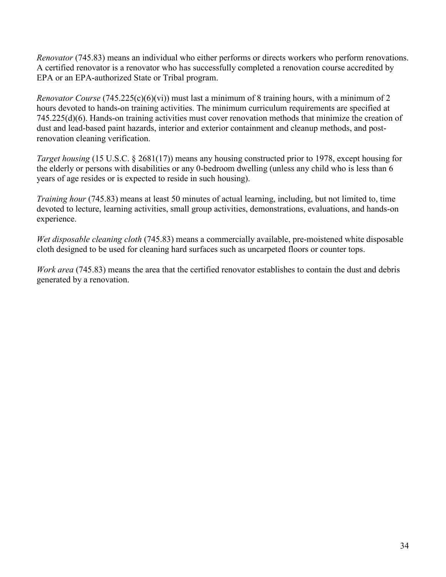*Renovator* (745.83) means an individual who either performs or directs workers who perform renovations. A certified renovator is a renovator who has successfully completed a renovation course accredited by EPA or an EPA-authorized State or Tribal program.

*Renovator Course* (745.225(c)(6)(vi)) must last a minimum of 8 training hours, with a minimum of 2 hours devoted to hands-on training activities. The minimum curriculum requirements are specified at 745.225(d)(6). Hands-on training activities must cover renovation methods that minimize the creation of dust and lead-based paint hazards, interior and exterior containment and cleanup methods, and postrenovation cleaning verification.

*Target housing* (15 U.S.C. § 2681(17)) means any housing constructed prior to 1978, except housing for the elderly or persons with disabilities or any 0-bedroom dwelling (unless any child who is less than 6 years of age resides or is expected to reside in such housing).

*Training hour* (745.83) means at least 50 minutes of actual learning, including, but not limited to, time devoted to lecture, learning activities, small group activities, demonstrations, evaluations, and hands-on experience.

*Wet disposable cleaning cloth* (745.83) means a commercially available, pre-moistened white disposable cloth designed to be used for cleaning hard surfaces such as uncarpeted floors or counter tops.

*Work area* (745.83) means the area that the certified renovator establishes to contain the dust and debris generated by a renovation.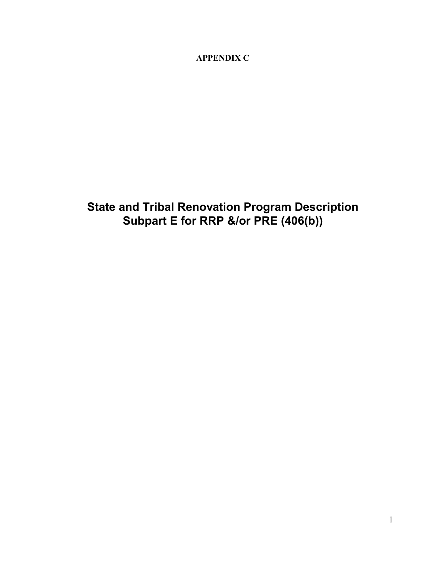**APPENDIX C**

**State and Tribal Renovation Program Description Subpart E for RRP &/or PRE (406(b))**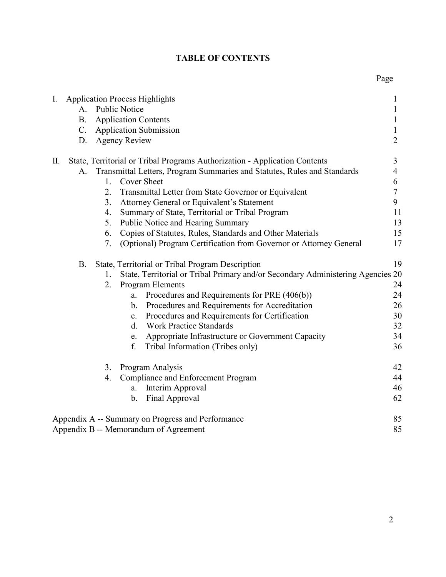#### 2

#### **TABLE OF CONTENTS**

| I. |                |    | <b>Application Process Highlights</b>                                           | $\mathbf{1}$     |
|----|----------------|----|---------------------------------------------------------------------------------|------------------|
|    | A <sub>1</sub> |    | <b>Public Notice</b>                                                            | $\mathbf{1}$     |
|    | <b>B.</b>      |    | <b>Application Contents</b>                                                     | $\mathbf{1}$     |
|    | $\mathbf{C}$ . |    | <b>Application Submission</b>                                                   | $\mathbf{1}$     |
|    | D.             |    | <b>Agency Review</b>                                                            | $\overline{2}$   |
| П. |                |    | State, Territorial or Tribal Programs Authorization - Application Contents      | 3                |
|    | A.             |    | Transmittal Letters, Program Summaries and Statutes, Rules and Standards        | $\overline{4}$   |
|    |                | 1. | <b>Cover Sheet</b>                                                              | 6                |
|    |                | 2. | Transmittal Letter from State Governor or Equivalent                            | $\boldsymbol{7}$ |
|    |                | 3. | Attorney General or Equivalent's Statement                                      | 9                |
|    |                | 4. | Summary of State, Territorial or Tribal Program                                 | 11               |
|    |                | 5. | Public Notice and Hearing Summary                                               | 13               |
|    |                | 6. | Copies of Statutes, Rules, Standards and Other Materials                        | 15               |
|    |                | 7. | (Optional) Program Certification from Governor or Attorney General              | 17               |
|    | <b>B.</b>      |    | State, Territorial or Tribal Program Description                                | 19               |
|    |                | 1. | State, Territorial or Tribal Primary and/or Secondary Administering Agencies 20 |                  |
|    |                | 2. | <b>Program Elements</b>                                                         | 24               |
|    |                |    | Procedures and Requirements for PRE (406(b))<br>a.                              | 24               |
|    |                |    | Procedures and Requirements for Accreditation<br>b.                             | 26               |
|    |                |    | Procedures and Requirements for Certification<br>$c_{\cdot}$                    | 30               |
|    |                |    | <b>Work Practice Standards</b><br>$\mathbf{d}$ .                                | 32               |
|    |                |    | Appropriate Infrastructure or Government Capacity<br>e.                         | 34               |
|    |                |    | f.<br>Tribal Information (Tribes only)                                          | 36               |
|    |                | 3. | Program Analysis                                                                | 42               |
|    |                | 4. | <b>Compliance and Enforcement Program</b>                                       | 44               |
|    |                |    | Interim Approval<br>a.                                                          | 46               |
|    |                |    | Final Approval<br>$\mathbf b$ .                                                 | 62               |
|    |                |    | Appendix A -- Summary on Progress and Performance                               | 85               |
|    |                |    | Appendix B -- Memorandum of Agreement                                           | 85               |

#### Page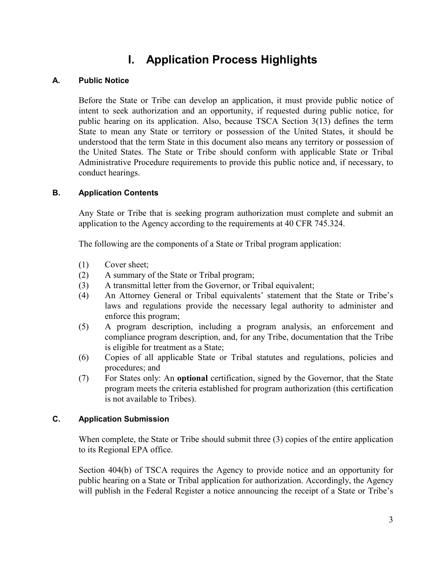# **I. Application Process Highlights**

#### **A. Public Notice**

Before the State or Tribe can develop an application, it must provide public notice of intent to seek authorization and an opportunity, if requested during public notice, for public hearing on its application. Also, because TSCA Section 3(13) defines the term State to mean any State or territory or possession of the United States, it should be understood that the term State in this document also means any territory or possession of the United States. The State or Tribe should conform with applicable State or Tribal Administrative Procedure requirements to provide this public notice and, if necessary, to conduct hearings.

#### **B. Application Contents**

Any State or Tribe that is seeking program authorization must complete and submit an application to the Agency according to the requirements at 40 CFR 745.324.

The following are the components of a State or Tribal program application:

- (1) Cover sheet;
- (2) A summary of the State or Tribal program;
- (3) A transmittal letter from the Governor, or Tribal equivalent;
- (4) An Attorney General or Tribal equivalents' statement that the State or Tribe's laws and regulations provide the necessary legal authority to administer and enforce this program;
- (5) A program description, including a program analysis, an enforcement and compliance program description, and, for any Tribe, documentation that the Tribe is eligible for treatment as a State;
- (6) Copies of all applicable State or Tribal statutes and regulations, policies and procedures; and
- (7) For States only: An **optional** certification, signed by the Governor, that the State program meets the criteria established for program authorization (this certification is not available to Tribes).

#### **C. Application Submission**

When complete, the State or Tribe should submit three (3) copies of the entire application to its Regional EPA office.

Section 404(b) of TSCA requires the Agency to provide notice and an opportunity for public hearing on a State or Tribal application for authorization. Accordingly, the Agency will publish in the Federal Register a notice announcing the receipt of a State or Tribe's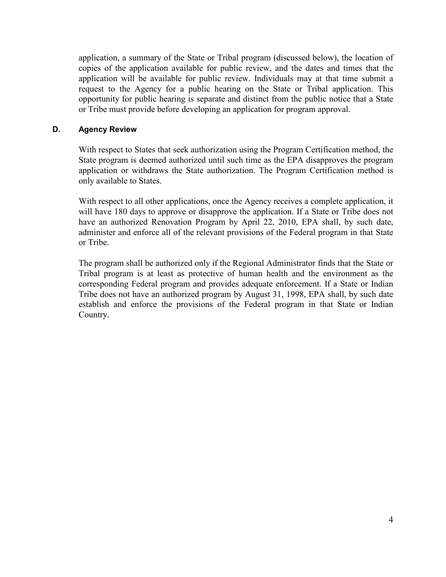application, a summary of the State or Tribal program (discussed below), the location of copies of the application available for public review, and the dates and times that the application will be available for public review. Individuals may at that time submit a request to the Agency for a public hearing on the State or Tribal application. This opportunity for public hearing is separate and distinct from the public notice that a State or Tribe must provide before developing an application for program approval.

#### **D. Agency Review**

With respect to States that seek authorization using the Program Certification method, the State program is deemed authorized until such time as the EPA disapproves the program application or withdraws the State authorization. The Program Certification method is only available to States.

With respect to all other applications, once the Agency receives a complete application, it will have 180 days to approve or disapprove the application. If a State or Tribe does not have an authorized Renovation Program by April 22, 2010, EPA shall, by such date, administer and enforce all of the relevant provisions of the Federal program in that State or Tribe.

The program shall be authorized only if the Regional Administrator finds that the State or Tribal program is at least as protective of human health and the environment as the corresponding Federal program and provides adequate enforcement. If a State or Indian Tribe does not have an authorized program by August 31, 1998, EPA shall, by such date establish and enforce the provisions of the Federal program in that State or Indian Country.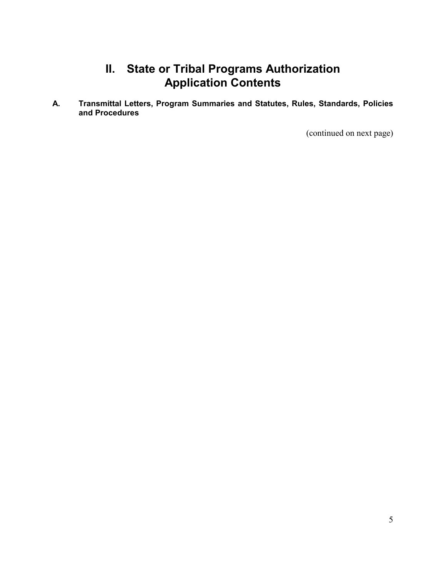# **II. State or Tribal Programs Authorization Application Contents**

**A. Transmittal Letters, Program Summaries and Statutes, Rules, Standards, Policies and Procedures**

(continued on next page)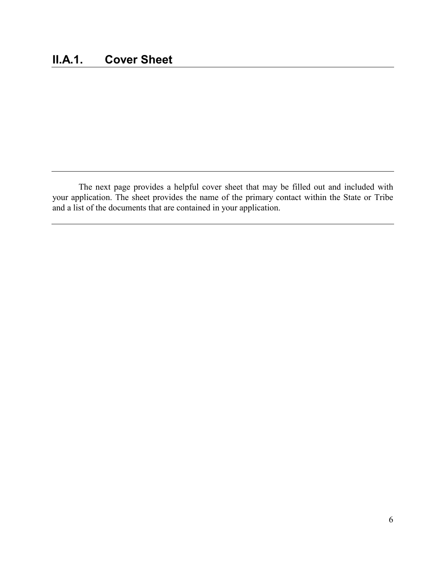The next page provides a helpful cover sheet that may be filled out and included with your application. The sheet provides the name of the primary contact within the State or Tribe and a list of the documents that are contained in your application.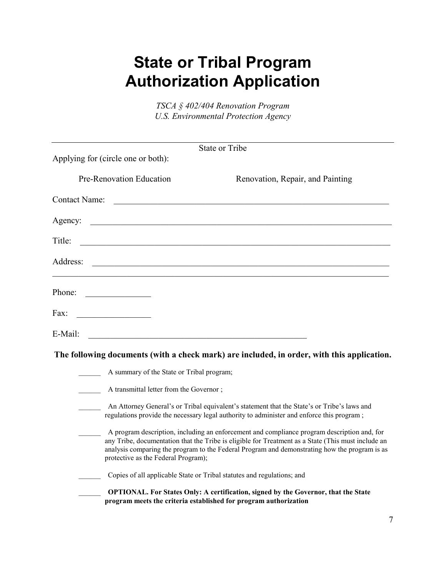# **State or Tribal Program Authorization Application**

*TSCA § 402/404 Renovation Program U.S. Environmental Protection Agency*

|                                           | <b>State or Tribe</b>                                                                                                                                                                                                                                                                              |
|-------------------------------------------|----------------------------------------------------------------------------------------------------------------------------------------------------------------------------------------------------------------------------------------------------------------------------------------------------|
| Applying for (circle one or both):        |                                                                                                                                                                                                                                                                                                    |
| Pre-Renovation Education                  | Renovation, Repair, and Painting                                                                                                                                                                                                                                                                   |
| <b>Contact Name:</b>                      |                                                                                                                                                                                                                                                                                                    |
| Agency:                                   | <u> 1989 - Johann John Stone, markin sanadi amerikan bahasa dalam pengaran sebagai pengaran sebagai pengaran seba</u>                                                                                                                                                                              |
| Title:                                    |                                                                                                                                                                                                                                                                                                    |
| Address:                                  | <u> 1989 - Jan James James, martin amerikan basar (j. 1989)</u>                                                                                                                                                                                                                                    |
| Phone:                                    |                                                                                                                                                                                                                                                                                                    |
| Fax:                                      |                                                                                                                                                                                                                                                                                                    |
| E-Mail:                                   | <u> 1989 - Johann John Stone, mars eta bainar eta mondo eta mondo eta erresta eta erresta eta erresta eta erresta</u>                                                                                                                                                                              |
|                                           | The following documents (with a check mark) are included, in order, with this application.                                                                                                                                                                                                         |
| A summary of the State or Tribal program; |                                                                                                                                                                                                                                                                                                    |
| A transmittal letter from the Governor;   |                                                                                                                                                                                                                                                                                                    |
|                                           | An Attorney General's or Tribal equivalent's statement that the State's or Tribe's laws and<br>regulations provide the necessary legal authority to administer and enforce this program;                                                                                                           |
| protective as the Federal Program);       | A program description, including an enforcement and compliance program description and, for<br>any Tribe, documentation that the Tribe is eligible for Treatment as a State (This must include an<br>analysis comparing the program to the Federal Program and demonstrating how the program is as |
|                                           | Copies of all applicable State or Tribal statutes and regulations; and                                                                                                                                                                                                                             |
|                                           | OPTIONAL. For States Only: A certification, signed by the Governor, that the State<br>program meets the criteria established for program authorization                                                                                                                                             |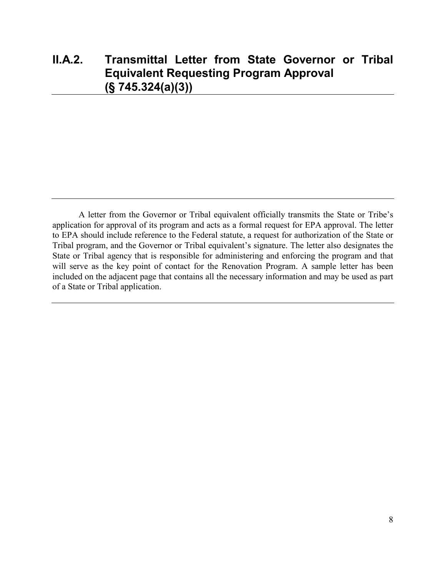## **II.A.2. Transmittal Letter from State Governor or Tribal Equivalent Requesting Program Approval (§ 745.324(a)(3))**

A letter from the Governor or Tribal equivalent officially transmits the State or Tribe's application for approval of its program and acts as a formal request for EPA approval. The letter to EPA should include reference to the Federal statute, a request for authorization of the State or Tribal program, and the Governor or Tribal equivalent's signature. The letter also designates the State or Tribal agency that is responsible for administering and enforcing the program and that will serve as the key point of contact for the Renovation Program. A sample letter has been included on the adjacent page that contains all the necessary information and may be used as part of a State or Tribal application.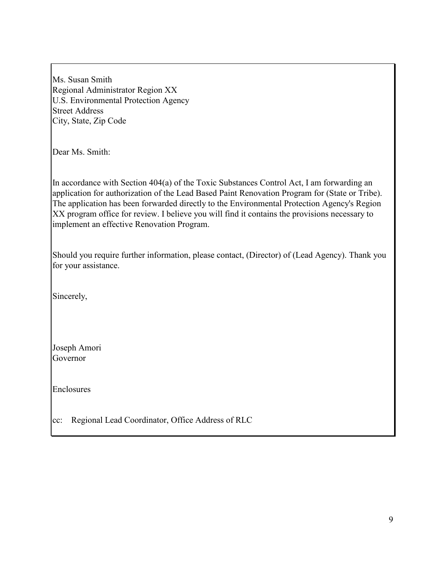Ms. Susan Smith Regional Administrator Region XX U.S. Environmental Protection Agency Street Address City, State, Zip Code

Dear Ms. Smith:

In accordance with Section 404(a) of the Toxic Substances Control Act, I am forwarding an application for authorization of the Lead Based Paint Renovation Program for (State or Tribe). The application has been forwarded directly to the Environmental Protection Agency's Region XX program office for review. I believe you will find it contains the provisions necessary to implement an effective Renovation Program.

Should you require further information, please contact, (Director) of (Lead Agency). Thank you for your assistance.

Sincerely,

Joseph Amori Governor

Enclosures

cc: Regional Lead Coordinator, Office Address of RLC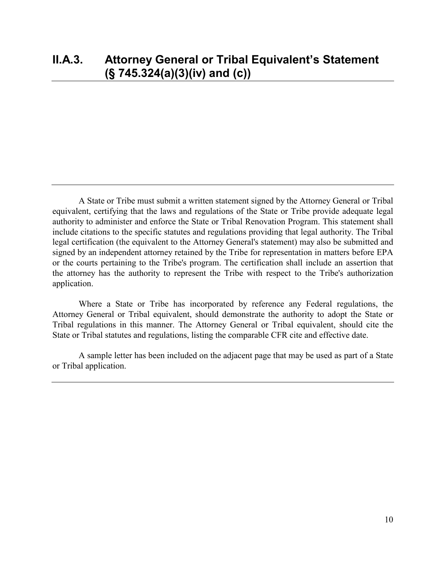A State or Tribe must submit a written statement signed by the Attorney General or Tribal equivalent, certifying that the laws and regulations of the State or Tribe provide adequate legal authority to administer and enforce the State or Tribal Renovation Program. This statement shall include citations to the specific statutes and regulations providing that legal authority. The Tribal legal certification (the equivalent to the Attorney General's statement) may also be submitted and signed by an independent attorney retained by the Tribe for representation in matters before EPA or the courts pertaining to the Tribe's program. The certification shall include an assertion that the attorney has the authority to represent the Tribe with respect to the Tribe's authorization application.

Where a State or Tribe has incorporated by reference any Federal regulations, the Attorney General or Tribal equivalent, should demonstrate the authority to adopt the State or Tribal regulations in this manner. The Attorney General or Tribal equivalent, should cite the State or Tribal statutes and regulations, listing the comparable CFR cite and effective date.

A sample letter has been included on the adjacent page that may be used as part of a State or Tribal application.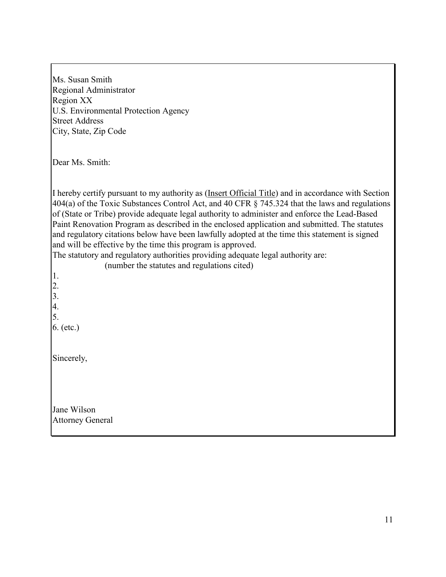| Ms. Susan Smith<br>Regional Administrator<br>Region XX<br>U.S. Environmental Protection Agency<br><b>Street Address</b><br>City, State, Zip Code                                                                                                                                                                                                                                                                                                                                                                                                                                                                                                                                                                                                                                                  |
|---------------------------------------------------------------------------------------------------------------------------------------------------------------------------------------------------------------------------------------------------------------------------------------------------------------------------------------------------------------------------------------------------------------------------------------------------------------------------------------------------------------------------------------------------------------------------------------------------------------------------------------------------------------------------------------------------------------------------------------------------------------------------------------------------|
| Dear Ms. Smith:                                                                                                                                                                                                                                                                                                                                                                                                                                                                                                                                                                                                                                                                                                                                                                                   |
| I hereby certify pursuant to my authority as (Insert Official Title) and in accordance with Section<br>404(a) of the Toxic Substances Control Act, and 40 CFR $\S$ 745.324 that the laws and regulations<br>of (State or Tribe) provide adequate legal authority to administer and enforce the Lead-Based<br>Paint Renovation Program as described in the enclosed application and submitted. The statutes<br>and regulatory citations below have been lawfully adopted at the time this statement is signed<br>and will be effective by the time this program is approved.<br>The statutory and regulatory authorities providing adequate legal authority are:<br>(number the statutes and regulations cited)<br>$\vert 1.$<br>$\begin{bmatrix} 2. \\ 3. \\ 4. \\ 5. \end{bmatrix}$<br>6. (etc.) |
| Sincerely,                                                                                                                                                                                                                                                                                                                                                                                                                                                                                                                                                                                                                                                                                                                                                                                        |
| Jane Wilson<br><b>Attorney General</b>                                                                                                                                                                                                                                                                                                                                                                                                                                                                                                                                                                                                                                                                                                                                                            |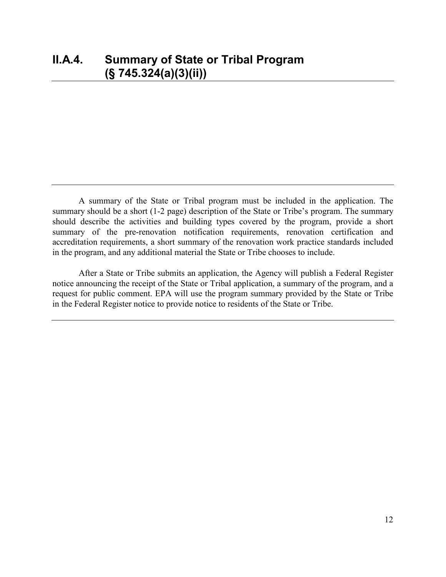A summary of the State or Tribal program must be included in the application. The summary should be a short (1-2 page) description of the State or Tribe's program. The summary should describe the activities and building types covered by the program, provide a short summary of the pre-renovation notification requirements, renovation certification and accreditation requirements, a short summary of the renovation work practice standards included in the program, and any additional material the State or Tribe chooses to include.

After a State or Tribe submits an application, the Agency will publish a Federal Register notice announcing the receipt of the State or Tribal application, a summary of the program, and a request for public comment. EPA will use the program summary provided by the State or Tribe in the Federal Register notice to provide notice to residents of the State or Tribe.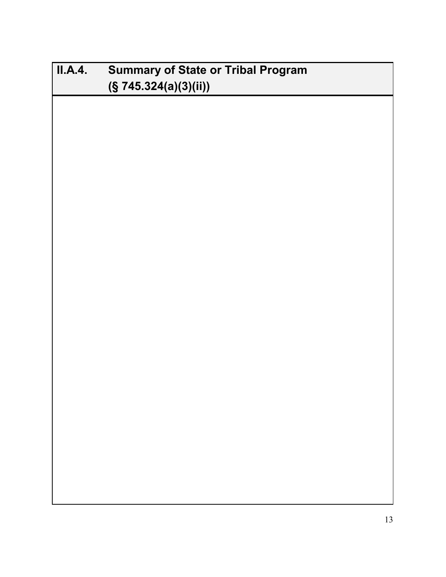| II.A.4. | <b>Summary of State or Tribal Program</b><br>(S 745.324(a)(3)(ii)) |  |  |  |
|---------|--------------------------------------------------------------------|--|--|--|
|         |                                                                    |  |  |  |
|         |                                                                    |  |  |  |
|         |                                                                    |  |  |  |
|         |                                                                    |  |  |  |
|         |                                                                    |  |  |  |
|         |                                                                    |  |  |  |
|         |                                                                    |  |  |  |
|         |                                                                    |  |  |  |
|         |                                                                    |  |  |  |
|         |                                                                    |  |  |  |
|         |                                                                    |  |  |  |
|         |                                                                    |  |  |  |
|         |                                                                    |  |  |  |
|         |                                                                    |  |  |  |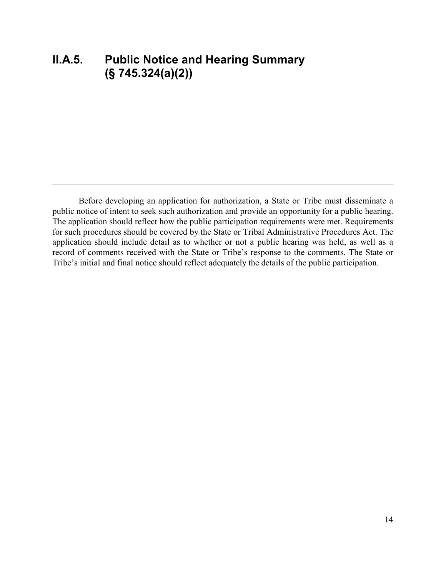Before developing an application for authorization, a State or Tribe must disseminate a public notice of intent to seek such authorization and provide an opportunity for a public hearing. The application should reflect how the public participation requirements were met. Requirements for such procedures should be covered by the State or Tribal Administrative Procedures Act. The application should include detail as to whether or not a public hearing was held, as well as a record of comments received with the State or Tribe's response to the comments. The State or Tribe's initial and final notice should reflect adequately the details of the public participation.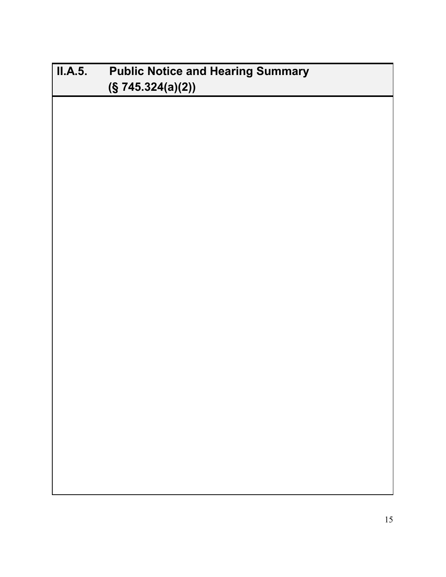| II.A.5. | <b>Public Notice and Hearing Summary</b> |  |  |
|---------|------------------------------------------|--|--|
|         | (S 745.324(a)(2))                        |  |  |
|         |                                          |  |  |
|         |                                          |  |  |
|         |                                          |  |  |
|         |                                          |  |  |
|         |                                          |  |  |
|         |                                          |  |  |
|         |                                          |  |  |
|         |                                          |  |  |
|         |                                          |  |  |
|         |                                          |  |  |
|         |                                          |  |  |
|         |                                          |  |  |
|         |                                          |  |  |
|         |                                          |  |  |
|         |                                          |  |  |
|         |                                          |  |  |
|         |                                          |  |  |
|         |                                          |  |  |
|         |                                          |  |  |
|         |                                          |  |  |
|         |                                          |  |  |
|         |                                          |  |  |
|         |                                          |  |  |
|         |                                          |  |  |
|         |                                          |  |  |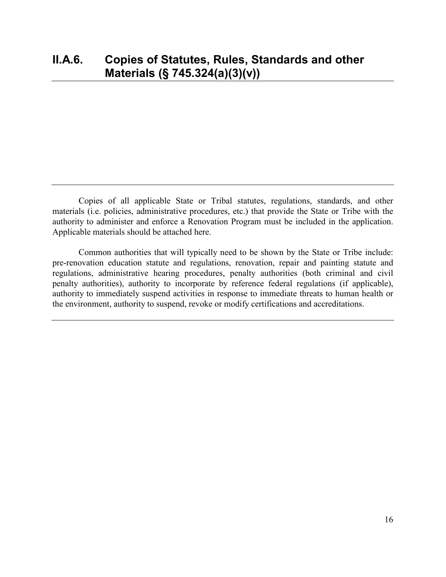Copies of all applicable State or Tribal statutes, regulations, standards, and other materials (i.e. policies, administrative procedures, etc.) that provide the State or Tribe with the authority to administer and enforce a Renovation Program must be included in the application. Applicable materials should be attached here.

Common authorities that will typically need to be shown by the State or Tribe include: pre-renovation education statute and regulations, renovation, repair and painting statute and regulations, administrative hearing procedures, penalty authorities (both criminal and civil penalty authorities), authority to incorporate by reference federal regulations (if applicable), authority to immediately suspend activities in response to immediate threats to human health or the environment, authority to suspend, revoke or modify certifications and accreditations.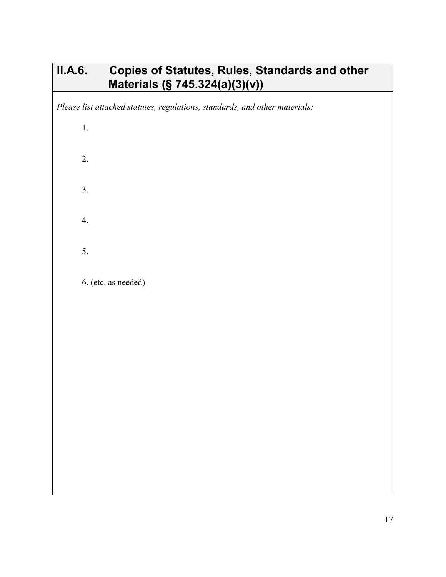# **II.A.6. Copies of Statutes, Rules, Standards and other Materials (§ 745.324(a)(3)(v))**

*Please list attached statutes, regulations, standards, and other materials:*

| $\overline{1}$ .    |
|---------------------|
| 2.                  |
| $\overline{3}$ .    |
| 4.                  |
| 5.                  |
| 6. (etc. as needed) |
|                     |
|                     |
|                     |
|                     |
|                     |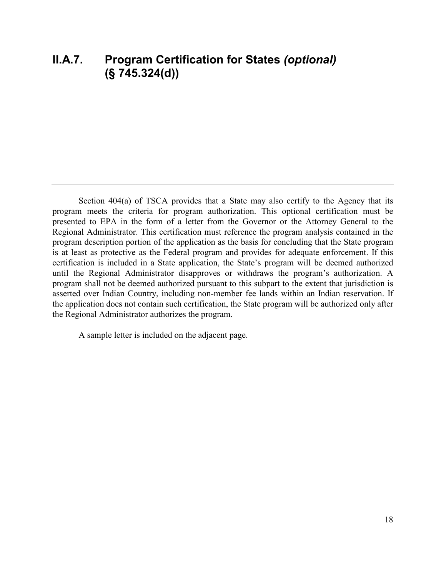Section 404(a) of TSCA provides that a State may also certify to the Agency that its program meets the criteria for program authorization. This optional certification must be presented to EPA in the form of a letter from the Governor or the Attorney General to the Regional Administrator. This certification must reference the program analysis contained in the program description portion of the application as the basis for concluding that the State program is at least as protective as the Federal program and provides for adequate enforcement. If this certification is included in a State application, the State's program will be deemed authorized until the Regional Administrator disapproves or withdraws the program's authorization. A program shall not be deemed authorized pursuant to this subpart to the extent that jurisdiction is asserted over Indian Country, including non-member fee lands within an Indian reservation. If the application does not contain such certification, the State program will be authorized only after the Regional Administrator authorizes the program.

A sample letter is included on the adjacent page.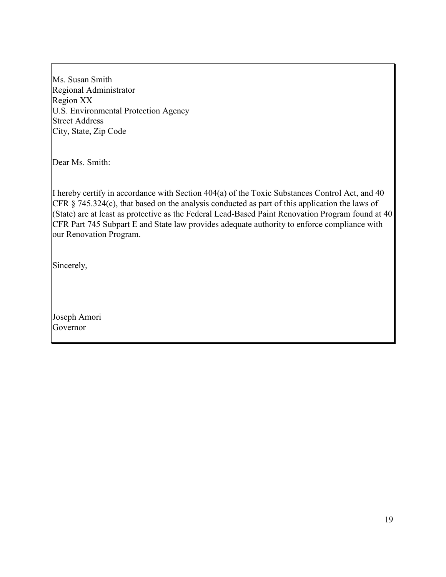Ms. Susan Smith Regional Administrator Region XX U.S. Environmental Protection Agency Street Address City, State, Zip Code

Dear Ms. Smith:

I hereby certify in accordance with Section 404(a) of the Toxic Substances Control Act, and 40 CFR § 745.324(c), that based on the analysis conducted as part of this application the laws of (State) are at least as protective as the Federal Lead-Based Paint Renovation Program found at 40 CFR Part 745 Subpart E and State law provides adequate authority to enforce compliance with our Renovation Program.

Sincerely,

Joseph Amori Governor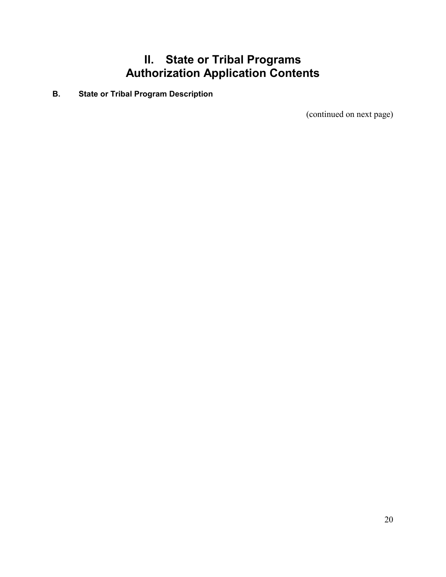# **II. State or Tribal Programs Authorization Application Contents**

**B. State or Tribal Program Description**

(continued on next page)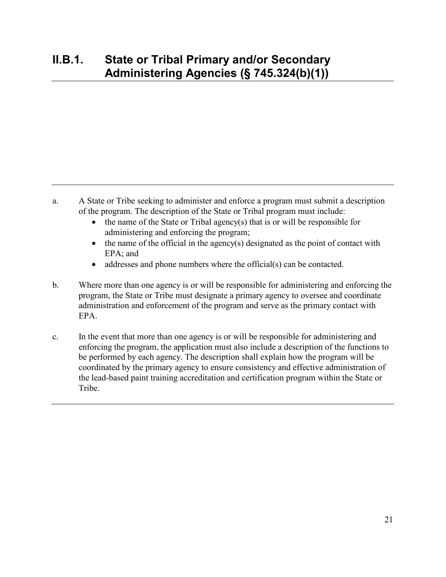- a. A State or Tribe seeking to administer and enforce a program must submit a description of the program. The description of the State or Tribal program must include:
	- the name of the State or Tribal agency(s) that is or will be responsible for administering and enforcing the program;
	- the name of the official in the agency(s) designated as the point of contact with EPA; and
	- addresses and phone numbers where the official(s) can be contacted.
- b. Where more than one agency is or will be responsible for administering and enforcing the program, the State or Tribe must designate a primary agency to oversee and coordinate administration and enforcement of the program and serve as the primary contact with EPA.
- c. In the event that more than one agency is or will be responsible for administering and enforcing the program, the application must also include a description of the functions to be performed by each agency. The description shall explain how the program will be coordinated by the primary agency to ensure consistency and effective administration of the lead-based paint training accreditation and certification program within the State or Tribe.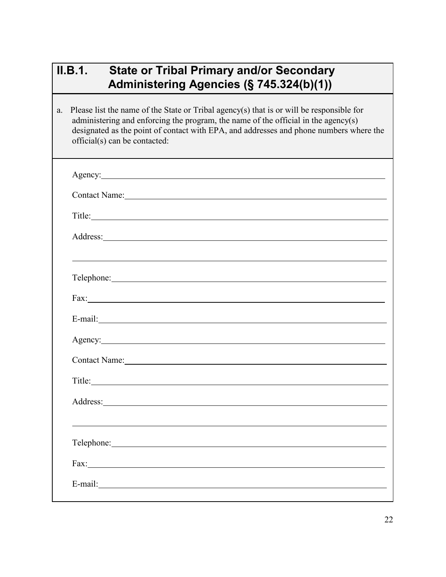# **II.B.1. State or Tribal Primary and/or Secondary Administering Agencies (§ 745.324(b)(1))**

a. Please list the name of the State or Tribal agency(s) that is or will be responsible for administering and enforcing the program, the name of the official in the agency(s) designated as the point of contact with EPA, and addresses and phone numbers where the official(s) can be contacted:

| Agency: <u>Agency</u> and the set of the set of the set of the set of the set of the set of the set of the set of the set of the set of the set of the set of the set of the set of the set of the set of the set of the set of the |  |  |  |
|-------------------------------------------------------------------------------------------------------------------------------------------------------------------------------------------------------------------------------------|--|--|--|
| Contact Name: 1988                                                                                                                                                                                                                  |  |  |  |
|                                                                                                                                                                                                                                     |  |  |  |
|                                                                                                                                                                                                                                     |  |  |  |
|                                                                                                                                                                                                                                     |  |  |  |
| Telephone: New York Change of the Change of the Change of the Change of the Change of the Change of the Change of the Change of the Change of the Change of the Change of the Change of the Change of the Change of the Change      |  |  |  |
|                                                                                                                                                                                                                                     |  |  |  |
| E-mail: No. 1998. The Commission of the Commission of the Commission of the Commission of the Commission of the Commission of the Commission of the Commission of the Commission of the Commission of the Commission of the Co      |  |  |  |
| Agency:                                                                                                                                                                                                                             |  |  |  |
| Contact Name: Name and South Assembly and South Assembly and South Assembly and South Assembly and South Assembly and South Assembly and Assembly and Assembly and Assembly and Assembly and Assembly and Assembly and Assembl      |  |  |  |
| Title:                                                                                                                                                                                                                              |  |  |  |
| Address: No. 2014 19:30 and 2015 19:30 and 2016 19:30 and 2017 19:30 and 2017 19:30 and 2017 19:30 and 2017 19:30 and 2017 19:30 and 2017 19:30 and 2017 19:30 and 2017 19:30 and 2017 19:30 and 2017 19:30 and 2017 19:30 and      |  |  |  |
|                                                                                                                                                                                                                                     |  |  |  |
|                                                                                                                                                                                                                                     |  |  |  |
|                                                                                                                                                                                                                                     |  |  |  |
|                                                                                                                                                                                                                                     |  |  |  |
|                                                                                                                                                                                                                                     |  |  |  |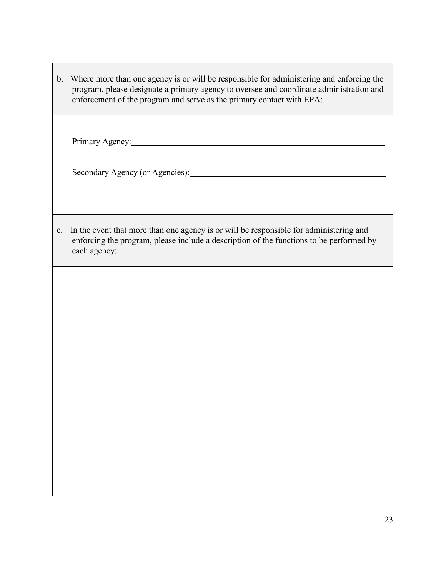| $\mathbf{b}$ . | Where more than one agency is or will be responsible for administering and enforcing the<br>program, please designate a primary agency to oversee and coordinate administration and<br>enforcement of the program and serve as the primary contact with EPA: |
|----------------|--------------------------------------------------------------------------------------------------------------------------------------------------------------------------------------------------------------------------------------------------------------|
|                | Primary Agency: 2008. Express and the primary Agency:                                                                                                                                                                                                        |
|                |                                                                                                                                                                                                                                                              |
| c.             | In the event that more than one agency is or will be responsible for administering and<br>enforcing the program, please include a description of the functions to be performed by<br>each agency:                                                            |
|                |                                                                                                                                                                                                                                                              |
|                |                                                                                                                                                                                                                                                              |
|                |                                                                                                                                                                                                                                                              |
|                |                                                                                                                                                                                                                                                              |
|                |                                                                                                                                                                                                                                                              |

**The Company**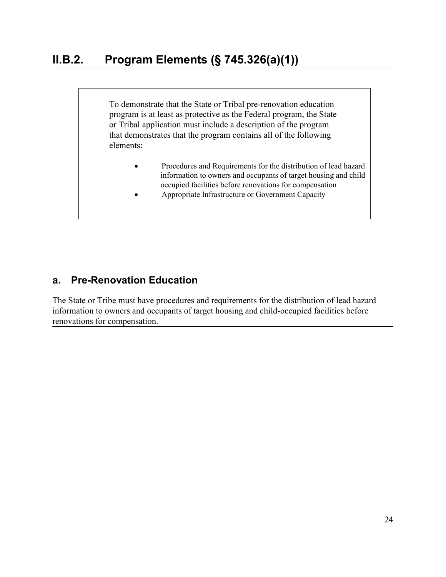To demonstrate that the State or Tribal pre-renovation education program is at least as protective as the Federal program, the State or Tribal application must include a description of the program that demonstrates that the program contains all of the following elements:

- Procedures and Requirements for the distribution of lead hazard information to owners and occupants of target housing and child occupied facilities before renovations for compensation
- Appropriate Infrastructure or Government Capacity

#### **a. Pre-Renovation Education**

The State or Tribe must have procedures and requirements for the distribution of lead hazard information to owners and occupants of target housing and child-occupied facilities before renovations for compensation.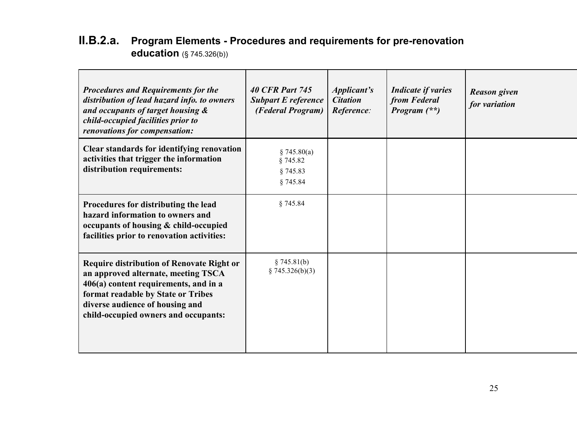## **II.B.2.a. Program Elements - Procedures and requirements for pre-renovation education** (§ 745.326(b))

| <b>Procedures and Requirements for the</b><br>distribution of lead hazard info. to owners<br>and occupants of target housing &<br>child-occupied facilities prior to<br>renovations for compensation:                                             | <b>40 CFR Part 745</b><br><b>Subpart E reference</b><br>(Federal Program) | <i>Applicant's</i><br><b>Citation</b><br>Reference: | <b>Indicate if varies</b><br>from Federal<br>Program $(**)$ | <b>Reason given</b><br>for variation |
|---------------------------------------------------------------------------------------------------------------------------------------------------------------------------------------------------------------------------------------------------|---------------------------------------------------------------------------|-----------------------------------------------------|-------------------------------------------------------------|--------------------------------------|
| Clear standards for identifying renovation<br>activities that trigger the information<br>distribution requirements:                                                                                                                               | \$745.80(a)<br>§ 745.82<br>§ 745.83<br>§ 745.84                           |                                                     |                                                             |                                      |
| Procedures for distributing the lead<br>hazard information to owners and<br>occupants of housing & child-occupied<br>facilities prior to renovation activities:                                                                                   | § 745.84                                                                  |                                                     |                                                             |                                      |
| <b>Require distribution of Renovate Right or</b><br>an approved alternate, meeting TSCA<br>406(a) content requirements, and in a<br>format readable by State or Tribes<br>diverse audience of housing and<br>child-occupied owners and occupants: | § 745.81(b)<br>§ 745.326(b)(3)                                            |                                                     |                                                             |                                      |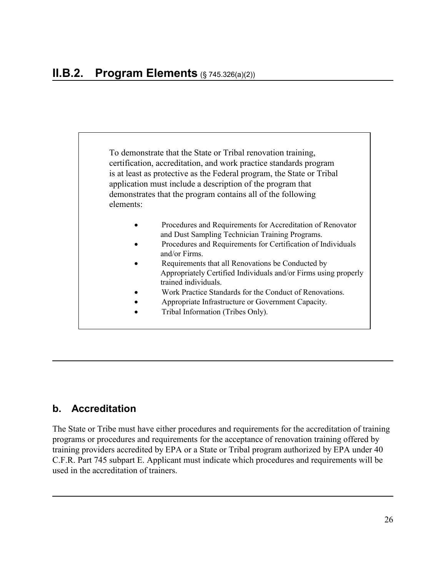To demonstrate that the State or Tribal renovation training, certification, accreditation, and work practice standards program is at least as protective as the Federal program, the State or Tribal application must include a description of the program that demonstrates that the program contains all of the following elements:

- Procedures and Requirements for Accreditation of Renovator and Dust Sampling Technician Training Programs.
- Procedures and Requirements for Certification of Individuals and/or Firms.
- Requirements that all Renovations be Conducted by Appropriately Certified Individuals and/or Firms using properly trained individuals.
- Work Practice Standards for the Conduct of Renovations.
- Appropriate Infrastructure or Government Capacity.
- Tribal Information (Tribes Only).

#### **b. Accreditation**

The State or Tribe must have either procedures and requirements for the accreditation of training programs or procedures and requirements for the acceptance of renovation training offered by training providers accredited by EPA or a State or Tribal program authorized by EPA under 40 C.F.R. Part 745 subpart E. Applicant must indicate which procedures and requirements will be used in the accreditation of trainers.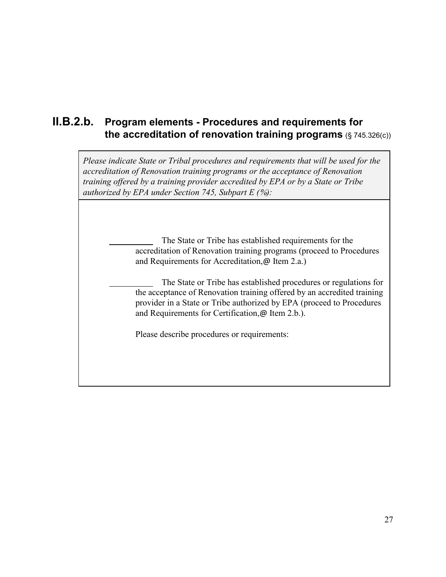### **II.B.2.b. Program elements - Procedures and requirements for the accreditation of renovation training programs** (§ 745.326(c))

*Please indicate State or Tribal procedures and requirements that will be used for the accreditation of Renovation training programs or the acceptance of Renovation training offered by a training provider accredited by EPA or by a State or Tribe authorized by EPA under Section 745, Subpart E (*%*):*

> The State or Tribe has established requirements for the accreditation of Renovation training programs (proceed to Procedures and Requirements for Accreditation,@ Item 2.a.)

 The State or Tribe has established procedures or regulations for the acceptance of Renovation training offered by an accredited training provider in a State or Tribe authorized by EPA (proceed to Procedures and Requirements for Certification,@ Item 2.b.).

Please describe procedures or requirements: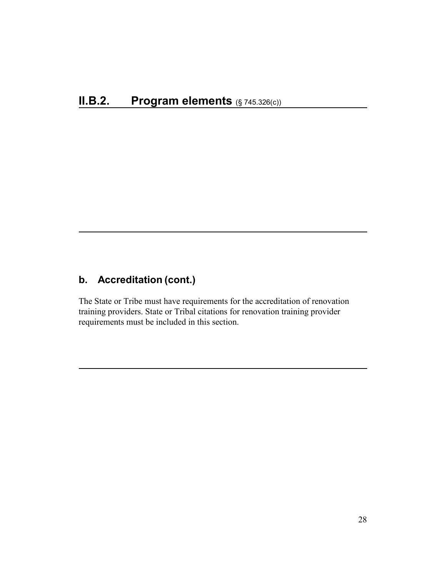### **b. Accreditation (cont.)**

The State or Tribe must have requirements for the accreditation of renovation training providers. State or Tribal citations for renovation training provider requirements must be included in this section.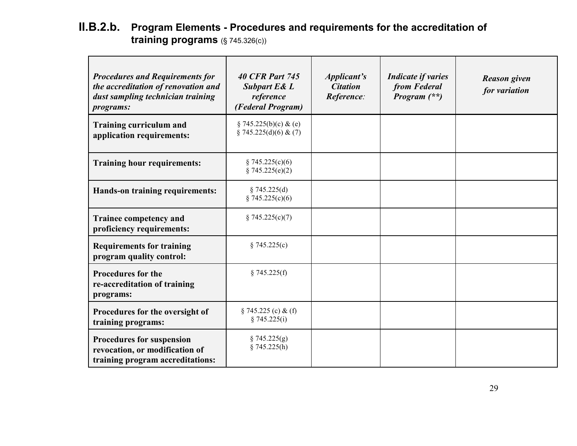### **II.B.2.b. Program Elements - Procedures and requirements for the accreditation of training programs** (§ 745.326(c))

| <b>Procedures and Requirements for</b><br>the accreditation of renovation and<br>dust sampling technician training<br><i>programs:</i> | <b>40 CFR Part 745</b><br><b>Subpart E&amp; L</b><br>reference<br>(Federal Program) | <i>Applicant's</i><br><b>Citation</b><br>Reference: | <b>Indicate if varies</b><br>from Federal<br>Program $(**)$ | <b>Reason given</b><br>for variation |
|----------------------------------------------------------------------------------------------------------------------------------------|-------------------------------------------------------------------------------------|-----------------------------------------------------|-------------------------------------------------------------|--------------------------------------|
| <b>Training curriculum and</b><br>application requirements:                                                                            | $§ 745.225(b)(c) \& (e)$<br>$\S$ 745.225(d)(6) & (7)                                |                                                     |                                                             |                                      |
| <b>Training hour requirements:</b>                                                                                                     | \$745.225(c)(6)<br>§ 745.225(e)(2)                                                  |                                                     |                                                             |                                      |
| Hands-on training requirements:                                                                                                        | § 745.225(d)<br>\$745.225(c)(6)                                                     |                                                     |                                                             |                                      |
| <b>Trainee competency and</b><br>proficiency requirements:                                                                             | \$745.225(c)(7)                                                                     |                                                     |                                                             |                                      |
| <b>Requirements for training</b><br>program quality control:                                                                           | \$745.225(c)                                                                        |                                                     |                                                             |                                      |
| <b>Procedures for the</b><br>re-accreditation of training<br>programs:                                                                 | § 745.225(f)                                                                        |                                                     |                                                             |                                      |
| Procedures for the oversight of<br>training programs:                                                                                  | $§ 745.225$ (c) & (f)<br>§ 745.225(i)                                               |                                                     |                                                             |                                      |
| <b>Procedures for suspension</b><br>revocation, or modification of<br>training program accreditations:                                 | § 745.225(g)<br>§ 745.225(h)                                                        |                                                     |                                                             |                                      |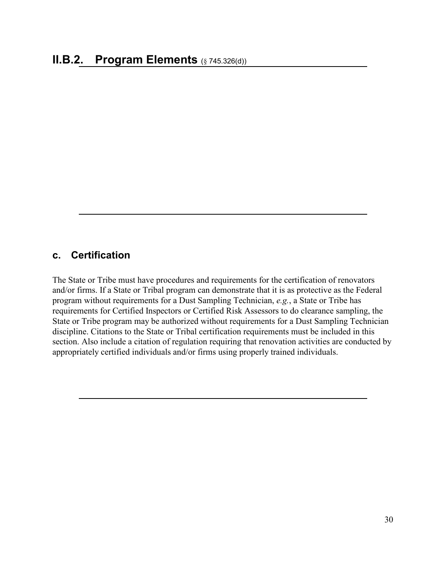#### **c. Certification**

The State or Tribe must have procedures and requirements for the certification of renovators and/or firms. If a State or Tribal program can demonstrate that it is as protective as the Federal program without requirements for a Dust Sampling Technician, *e.g.*, a State or Tribe has requirements for Certified Inspectors or Certified Risk Assessors to do clearance sampling, the State or Tribe program may be authorized without requirements for a Dust Sampling Technician discipline. Citations to the State or Tribal certification requirements must be included in this section. Also include a citation of regulation requiring that renovation activities are conducted by appropriately certified individuals and/or firms using properly trained individuals.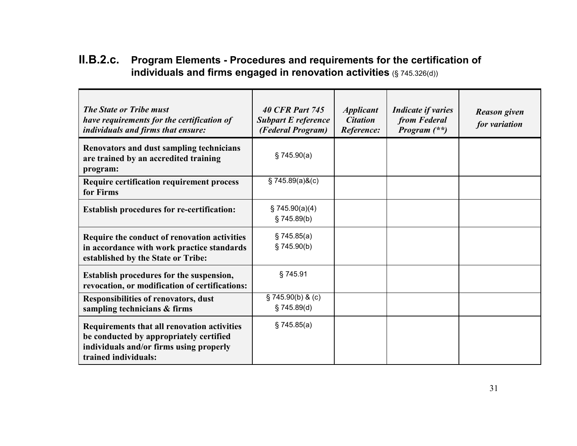| II.B.2.c. | Program Elements - Procedures and requirements for the certification of |
|-----------|-------------------------------------------------------------------------|
|           | individuals and firms engaged in renovation activities $(S$ 745.326(d)) |

| <b>The State or Tribe must</b><br>have requirements for the certification of<br>individuals and firms that ensure:                                        | <b>40 CFR Part 745</b><br><b>Subpart E reference</b><br>(Federal Program) | <i><b>Applicant</b></i><br><b>Citation</b><br>Reference: | <b>Indicate if varies</b><br>from Federal<br>Program $(**)$ | <b>Reason given</b><br>for variation |
|-----------------------------------------------------------------------------------------------------------------------------------------------------------|---------------------------------------------------------------------------|----------------------------------------------------------|-------------------------------------------------------------|--------------------------------------|
| <b>Renovators and dust sampling technicians</b><br>are trained by an accredited training<br>program:                                                      | \$745.90(a)                                                               |                                                          |                                                             |                                      |
| <b>Require certification requirement process</b><br>for Firms                                                                                             | $$745.89(a)$ &(c)                                                         |                                                          |                                                             |                                      |
| <b>Establish procedures for re-certification:</b>                                                                                                         | \$745.90(a)(4)<br>\$745.89(b)                                             |                                                          |                                                             |                                      |
| Require the conduct of renovation activities<br>in accordance with work practice standards<br>established by the State or Tribe:                          | § 745.85(a)<br>§ 745.90(b)                                                |                                                          |                                                             |                                      |
| Establish procedures for the suspension,<br>revocation, or modification of certifications:                                                                | §745.91                                                                   |                                                          |                                                             |                                      |
| <b>Responsibilities of renovators, dust</b><br>sampling technicians & firms                                                                               | $\S$ 745.90(b) & (c)<br>§ 745.89(d)                                       |                                                          |                                                             |                                      |
| Requirements that all renovation activities<br>be conducted by appropriately certified<br>individuals and/or firms using properly<br>trained individuals: | § 745.85(a)                                                               |                                                          |                                                             |                                      |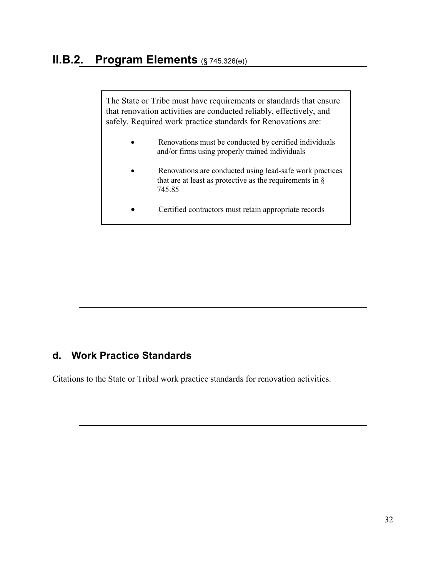The State or Tribe must have requirements or standards that ensure that renovation activities are conducted reliably, effectively, and safely. Required work practice standards for Renovations are:

- Renovations must be conducted by certified individuals and/or firms using properly trained individuals
- Renovations are conducted using lead-safe work practices that are at least as protective as the requirements in  $\S$ 745.85
- Certified contractors must retain appropriate records

#### **d. Work Practice Standards**

Citations to the State or Tribal work practice standards for renovation activities.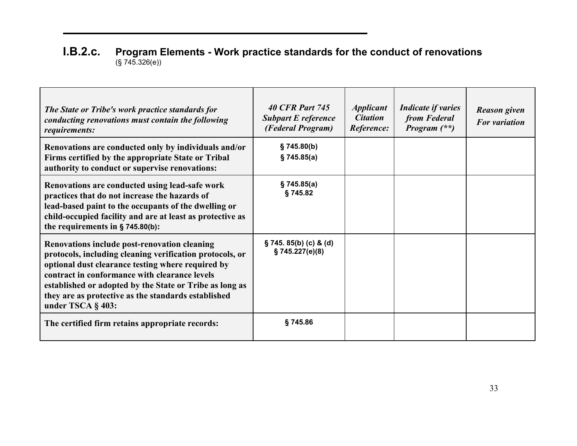#### **I.B.2.c. Program Elements - Work practice standards for the conduct of renovations** (§ 745.326(e))

| The State or Tribe's work practice standards for<br>conducting renovations must contain the following<br>requirements:                                                                                                                                                                                                                                       | <b>40 CFR Part 745</b><br><b>Subpart E reference</b><br>(Federal Program) | <i><b>Applicant</b></i><br><b>Citation</b><br>Reference: | <b>Indicate if varies</b><br>from Federal<br><i>Program</i> $(**)$ | <b>Reason given</b><br><b>For variation</b> |
|--------------------------------------------------------------------------------------------------------------------------------------------------------------------------------------------------------------------------------------------------------------------------------------------------------------------------------------------------------------|---------------------------------------------------------------------------|----------------------------------------------------------|--------------------------------------------------------------------|---------------------------------------------|
| Renovations are conducted only by individuals and/or<br>Firms certified by the appropriate State or Tribal<br>authority to conduct or supervise renovations:                                                                                                                                                                                                 | \$745.80(b)<br>§ 745.85(a)                                                |                                                          |                                                                    |                                             |
| Renovations are conducted using lead-safe work<br>practices that do not increase the hazards of<br>lead-based paint to the occupants of the dwelling or<br>child-occupied facility and are at least as protective as<br>the requirements in $\S$ 745.80(b):                                                                                                  | § 745.85(a)<br>§745.82                                                    |                                                          |                                                                    |                                             |
| <b>Renovations include post-renovation cleaning</b><br>protocols, including cleaning verification protocols, or<br>optional dust clearance testing where required by<br>contract in conformance with clearance levels<br>established or adopted by the State or Tribe as long as<br>they are as protective as the standards established<br>under TSCA § 403: | $\S$ 745. 85(b) (c) & (d)<br>\$745.227(e)(8)                              |                                                          |                                                                    |                                             |
| The certified firm retains appropriate records:                                                                                                                                                                                                                                                                                                              | §745.86                                                                   |                                                          |                                                                    |                                             |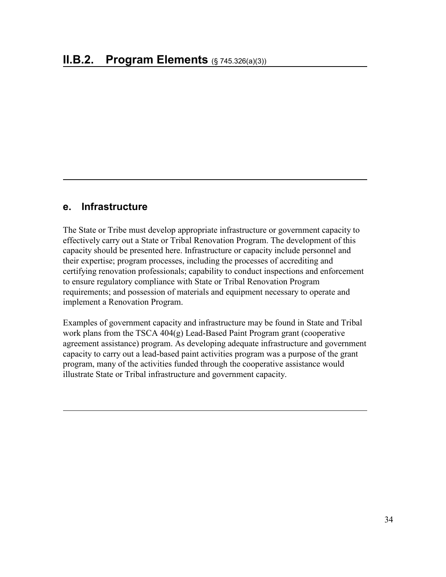#### **e. Infrastructure**

The State or Tribe must develop appropriate infrastructure or government capacity to effectively carry out a State or Tribal Renovation Program. The development of this capacity should be presented here. Infrastructure or capacity include personnel and their expertise; program processes, including the processes of accrediting and certifying renovation professionals; capability to conduct inspections and enforcement to ensure regulatory compliance with State or Tribal Renovation Program requirements; and possession of materials and equipment necessary to operate and implement a Renovation Program.

Examples of government capacity and infrastructure may be found in State and Tribal work plans from the TSCA 404(g) Lead-Based Paint Program grant (cooperative agreement assistance) program. As developing adequate infrastructure and government capacity to carry out a lead-based paint activities program was a purpose of the grant program, many of the activities funded through the cooperative assistance would illustrate State or Tribal infrastructure and government capacity.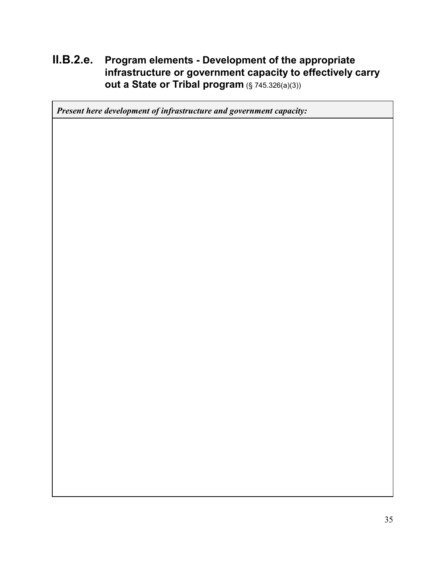### **II.B.2.e. Program elements - Development of the appropriate infrastructure or government capacity to effectively carry out a State or Tribal program** (§ 745.326(a)(3))

*Present here development of infrastructure and government capacity:*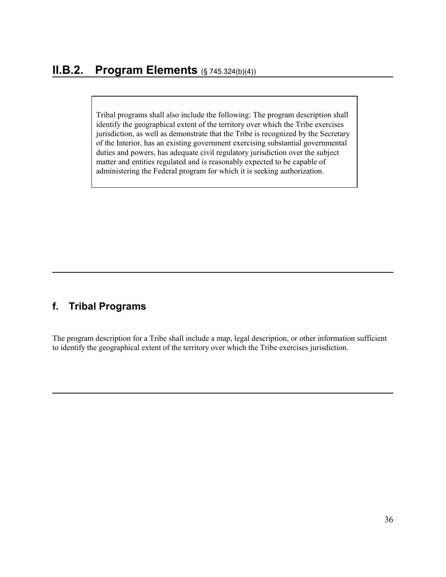Tribal programs shall also include the following: The program description shall identify the geographical extent of the territory over which the Tribe exercises jurisdiction, as well as demonstrate that the Tribe is recognized by the Secretary of the Interior, has an existing government exercising substantial governmental duties and powers, has adequate civil regulatory jurisdiction over the subject matter and entities regulated and is reasonably expected to be capable of administering the Federal program for which it is seeking authorization.

#### **f. Tribal Programs**

The program description for a Tribe shall include a map, legal description, or other information sufficient to identify the geographical extent of the territory over which the Tribe exercises jurisdiction.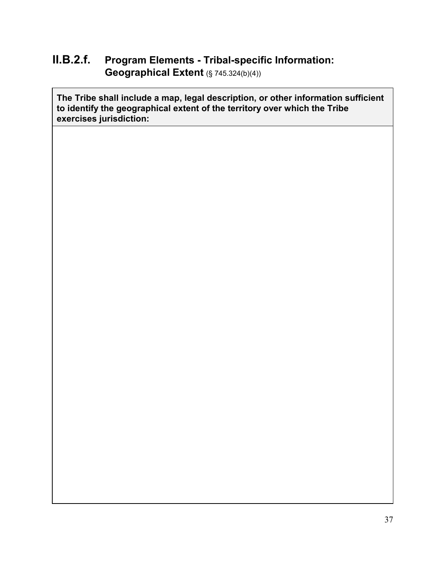## **II.B.2.f. Program Elements - Tribal-specific Information: Geographical Extent** (§ 745.324(b)(4))

**The Tribe shall include a map, legal description, or other information sufficient to identify the geographical extent of the territory over which the Tribe exercises jurisdiction:**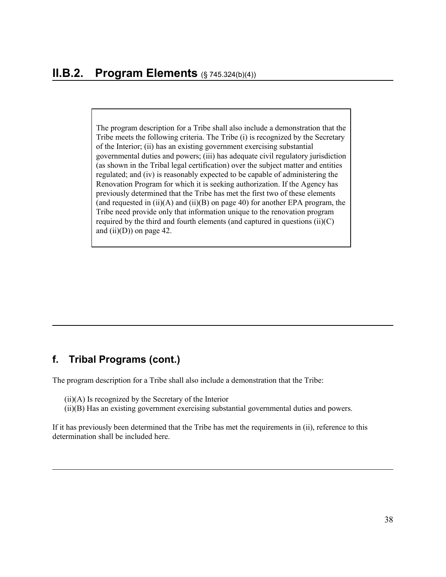The program description for a Tribe shall also include a demonstration that the Tribe meets the following criteria. The Tribe (i) is recognized by the Secretary of the Interior; (ii) has an existing government exercising substantial governmental duties and powers; (iii) has adequate civil regulatory jurisdiction (as shown in the Tribal legal certification) over the subject matter and entities regulated; and (iv) is reasonably expected to be capable of administering the Renovation Program for which it is seeking authorization. If the Agency has previously determined that the Tribe has met the first two of these elements (and requested in (ii)(A) and (ii)(B) on page 40) for another EPA program, the Tribe need provide only that information unique to the renovation program required by the third and fourth elements (and captured in questions  $(ii)(C)$ ) and  $(ii)(D)$  on page 42.

#### **f. Tribal Programs (cont.)**

The program description for a Tribe shall also include a demonstration that the Tribe:

- (ii)(A) Is recognized by the Secretary of the Interior
- (ii)(B) Has an existing government exercising substantial governmental duties and powers.

If it has previously been determined that the Tribe has met the requirements in (ii), reference to this determination shall be included here.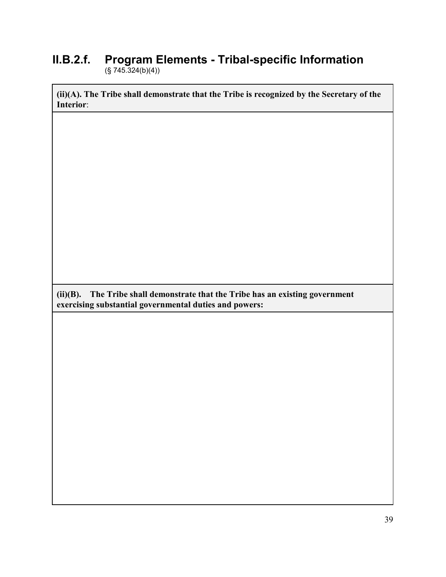#### **II.B.2.f. Program Elements - Tribal-specific Information**  (§ 745.324(b)(4))

**(ii)(A). The Tribe shall demonstrate that the Tribe is recognized by the Secretary of the Interior**:

**(ii)(B). The Tribe shall demonstrate that the Tribe has an existing government exercising substantial governmental duties and powers:**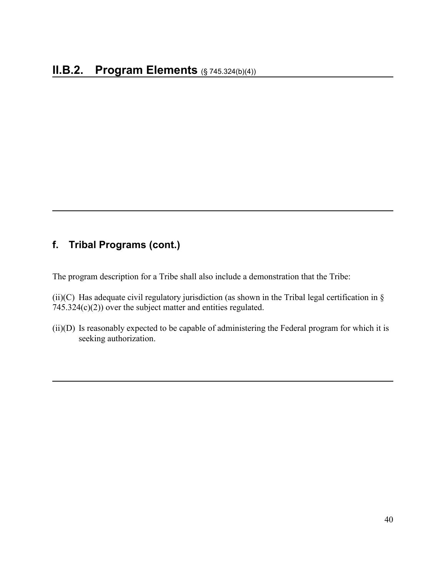#### **f. Tribal Programs (cont.)**

The program description for a Tribe shall also include a demonstration that the Tribe:

(ii)(C) Has adequate civil regulatory jurisdiction (as shown in the Tribal legal certification in  $\S$ 745.324(c)(2)) over the subject matter and entities regulated.

(ii)(D) Is reasonably expected to be capable of administering the Federal program for which it is seeking authorization.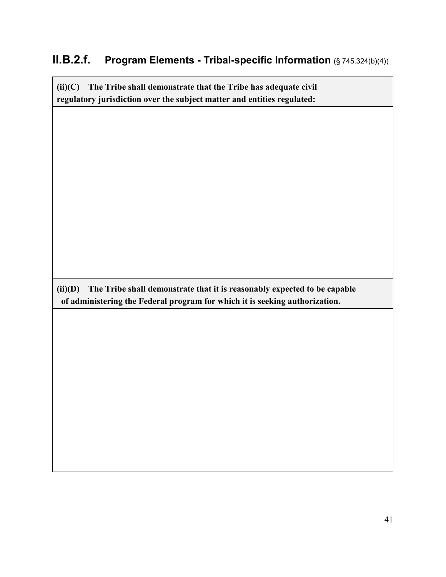## **II.B.2.f. Program Elements - Tribal-specific Information** (§ 745.324(b)(4))

**(ii)(C) The Tribe shall demonstrate that the Tribe has adequate civil regulatory jurisdiction over the subject matter and entities regulated:**

**(ii)(D) The Tribe shall demonstrate that it is reasonably expected to be capable of administering the Federal program for which it is seeking authorization.**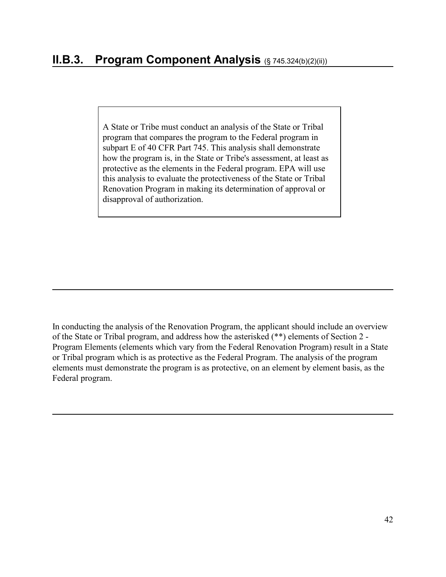A State or Tribe must conduct an analysis of the State or Tribal program that compares the program to the Federal program in subpart E of 40 CFR Part 745. This analysis shall demonstrate how the program is, in the State or Tribe's assessment, at least as protective as the elements in the Federal program. EPA will use this analysis to evaluate the protectiveness of the State or Tribal Renovation Program in making its determination of approval or disapproval of authorization.

In conducting the analysis of the Renovation Program, the applicant should include an overview of the State or Tribal program, and address how the asterisked (\*\*) elements of Section 2 - Program Elements (elements which vary from the Federal Renovation Program) result in a State or Tribal program which is as protective as the Federal Program. The analysis of the program elements must demonstrate the program is as protective, on an element by element basis, as the Federal program.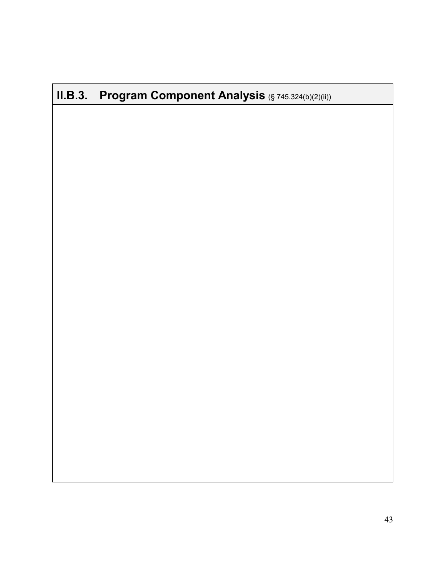# **II.B.3. Program Component Analysis** (§ 745.324(b)(2)(ii))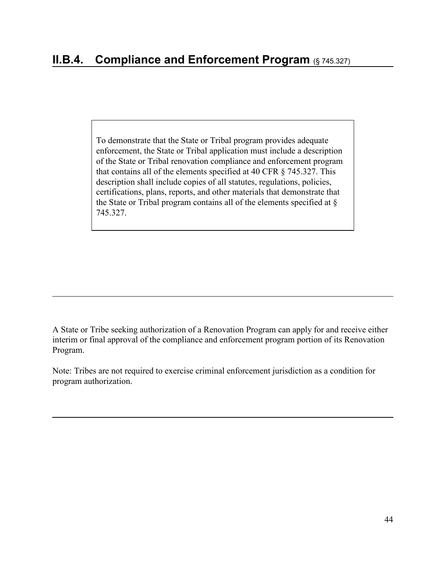To demonstrate that the State or Tribal program provides adequate enforcement, the State or Tribal application must include a description of the State or Tribal renovation compliance and enforcement program that contains all of the elements specified at 40 CFR § 745.327. This description shall include copies of all statutes, regulations, policies, certifications, plans, reports, and other materials that demonstrate that the State or Tribal program contains all of the elements specified at § 745.327.

A State or Tribe seeking authorization of a Renovation Program can apply for and receive either interim or final approval of the compliance and enforcement program portion of its Renovation Program.

Note: Tribes are not required to exercise criminal enforcement jurisdiction as a condition for program authorization.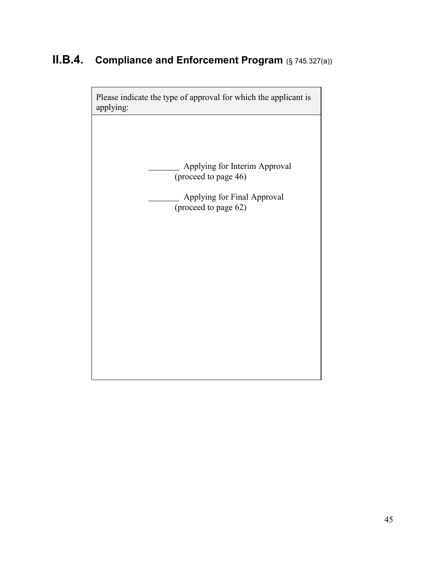# **II.B.4. Compliance and Enforcement Program** (§ 745.327(a))

Please indicate the type of approval for which the applicant is applying: Applying for Interim Approval (proceed to page 46) Applying for Final Approval  $($ proceed to page 62)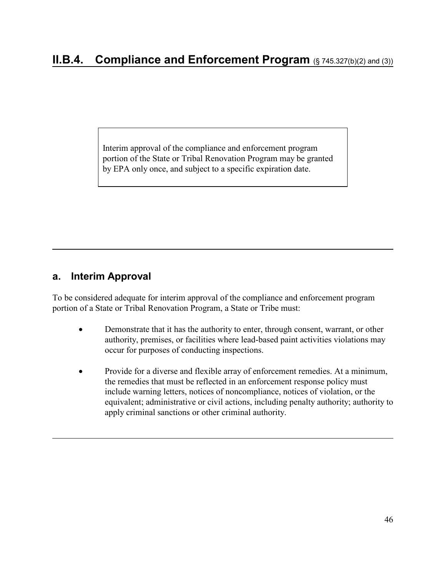Interim approval of the compliance and enforcement program portion of the State or Tribal Renovation Program may be granted by EPA only once, and subject to a specific expiration date.

#### **a. Interim Approval**

To be considered adequate for interim approval of the compliance and enforcement program portion of a State or Tribal Renovation Program, a State or Tribe must:

- Demonstrate that it has the authority to enter, through consent, warrant, or other authority, premises, or facilities where lead-based paint activities violations may occur for purposes of conducting inspections.
- Provide for a diverse and flexible array of enforcement remedies. At a minimum, the remedies that must be reflected in an enforcement response policy must include warning letters, notices of noncompliance, notices of violation, or the equivalent; administrative or civil actions, including penalty authority; authority to apply criminal sanctions or other criminal authority.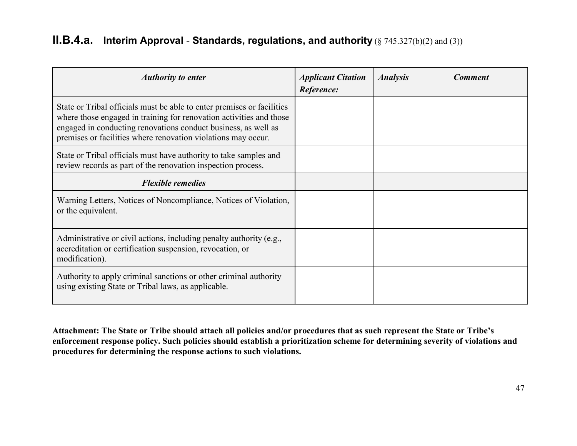## **II.B.4.a. Interim Approval** - **Standards, regulations, and authority** (§ 745.327(b)(2) and (3))

| <b>Authority to enter</b>                                                                                                                                                                                                                                                        | <b>Applicant Citation</b><br>Reference: | <b>Analysis</b> | <b>Comment</b> |
|----------------------------------------------------------------------------------------------------------------------------------------------------------------------------------------------------------------------------------------------------------------------------------|-----------------------------------------|-----------------|----------------|
| State or Tribal officials must be able to enter premises or facilities<br>where those engaged in training for renovation activities and those<br>engaged in conducting renovations conduct business, as well as<br>premises or facilities where renovation violations may occur. |                                         |                 |                |
| State or Tribal officials must have authority to take samples and<br>review records as part of the renovation inspection process.                                                                                                                                                |                                         |                 |                |
| <b>Flexible remedies</b>                                                                                                                                                                                                                                                         |                                         |                 |                |
| Warning Letters, Notices of Noncompliance, Notices of Violation,<br>or the equivalent.                                                                                                                                                                                           |                                         |                 |                |
| Administrative or civil actions, including penalty authority (e.g.,<br>accreditation or certification suspension, revocation, or<br>modification).                                                                                                                               |                                         |                 |                |
| Authority to apply criminal sanctions or other criminal authority<br>using existing State or Tribal laws, as applicable.                                                                                                                                                         |                                         |                 |                |

**Attachment: The State or Tribe should attach all policies and/or procedures that as such represent the State or Tribe's enforcement response policy. Such policies should establish a prioritization scheme for determining severity of violations and procedures for determining the response actions to such violations.**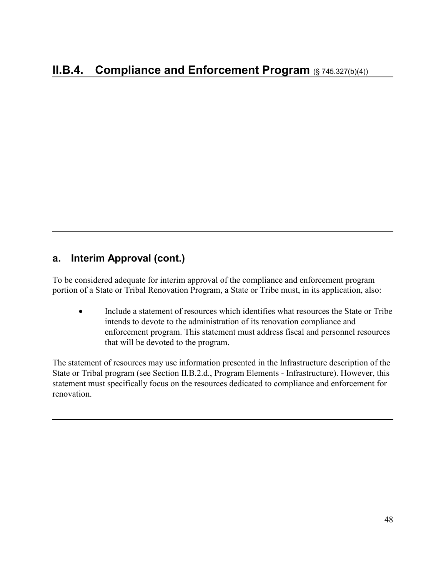### **a. Interim Approval (cont.)**

To be considered adequate for interim approval of the compliance and enforcement program portion of a State or Tribal Renovation Program, a State or Tribe must, in its application, also:

• Include a statement of resources which identifies what resources the State or Tribe intends to devote to the administration of its renovation compliance and enforcement program. This statement must address fiscal and personnel resources that will be devoted to the program.

The statement of resources may use information presented in the Infrastructure description of the State or Tribal program (see Section II.B.2.d., Program Elements - Infrastructure). However, this statement must specifically focus on the resources dedicated to compliance and enforcement for renovation.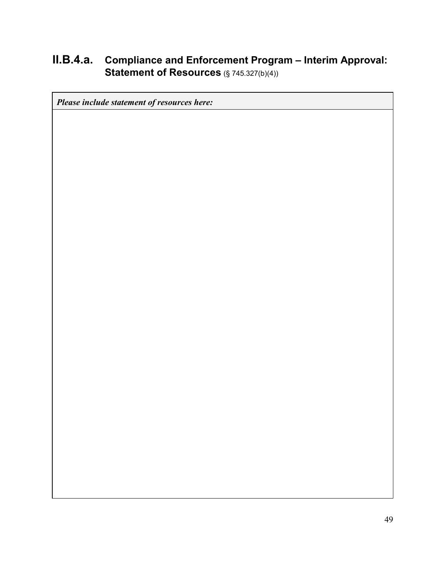## **II.B.4.a. Compliance and Enforcement Program – Interim Approval: Statement of Resources** (§ 745.327(b)(4))

*Please include statement of resources here:*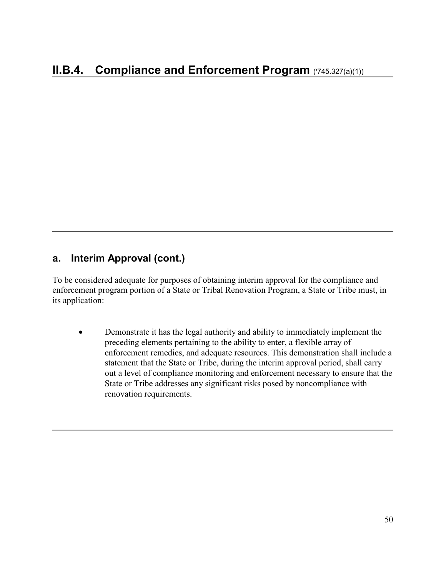#### **a. Interim Approval (cont.)**

To be considered adequate for purposes of obtaining interim approval for the compliance and enforcement program portion of a State or Tribal Renovation Program, a State or Tribe must, in its application:

• Demonstrate it has the legal authority and ability to immediately implement the preceding elements pertaining to the ability to enter, a flexible array of enforcement remedies, and adequate resources. This demonstration shall include a statement that the State or Tribe, during the interim approval period, shall carry out a level of compliance monitoring and enforcement necessary to ensure that the State or Tribe addresses any significant risks posed by noncompliance with renovation requirements.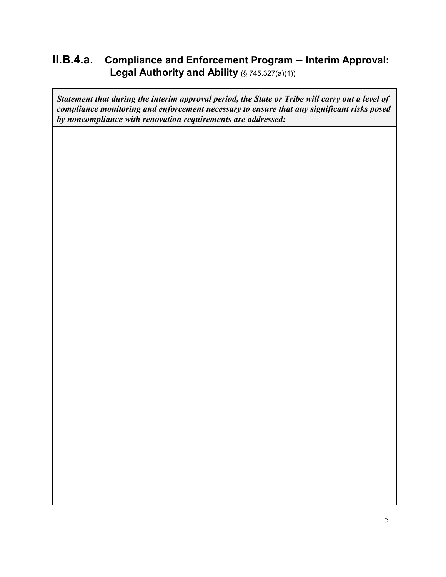## **II.B.4.a. Compliance and Enforcement Program – Interim Approval:**  Legal Authority and Ability (§ 745.327(a)(1))

*Statement that during the interim approval period, the State or Tribe will carry out a level of compliance monitoring and enforcement necessary to ensure that any significant risks posed by noncompliance with renovation requirements are addressed:*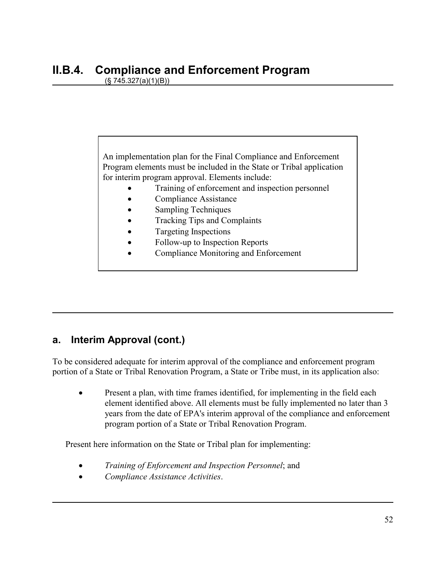An implementation plan for the Final Compliance and Enforcement Program elements must be included in the State or Tribal application for interim program approval. Elements include:

- Training of enforcement and inspection personnel
- Compliance Assistance
- Sampling Techniques
- Tracking Tips and Complaints
- Targeting Inspections
- Follow-up to Inspection Reports
- Compliance Monitoring and Enforcement

#### **a. Interim Approval (cont.)**

To be considered adequate for interim approval of the compliance and enforcement program portion of a State or Tribal Renovation Program, a State or Tribe must, in its application also:

Present a plan, with time frames identified, for implementing in the field each element identified above. All elements must be fully implemented no later than 3 years from the date of EPA's interim approval of the compliance and enforcement program portion of a State or Tribal Renovation Program.

Present here information on the State or Tribal plan for implementing:

- *Training of Enforcement and Inspection Personnel*; and
- *Compliance Assistance Activities*.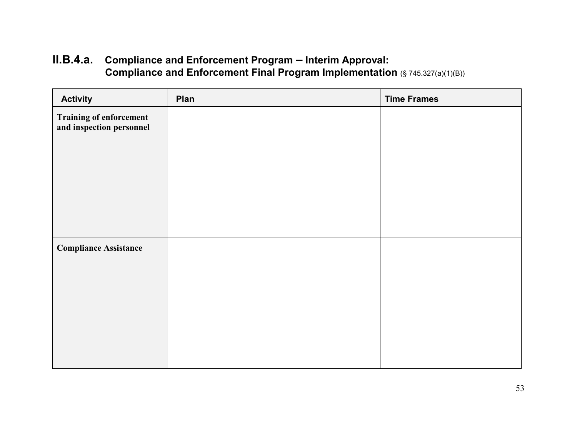# **II.B.4.a. Compliance and Enforcement Program – Interim Approval: Compliance and Enforcement Final Program Implementation** (§ 745.327(a)(1)(B))

| <b>Activity</b>                                            | Plan | <b>Time Frames</b> |
|------------------------------------------------------------|------|--------------------|
| <b>Training of enforcement</b><br>and inspection personnel |      |                    |
|                                                            |      |                    |
| <b>Compliance Assistance</b>                               |      |                    |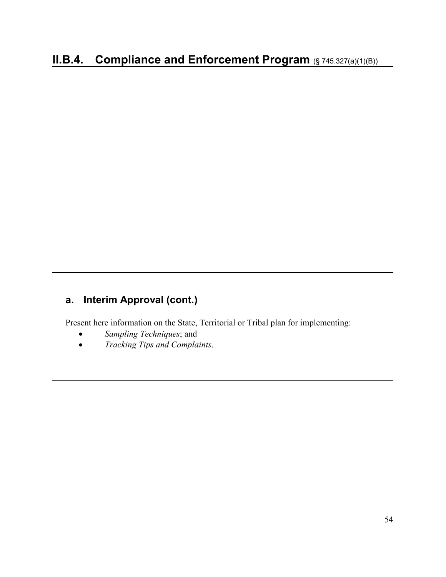# **a. Interim Approval (cont.)**

Present here information on the State, Territorial or Tribal plan for implementing:

- *Sampling Techniques*; and
- *Tracking Tips and Complaints*.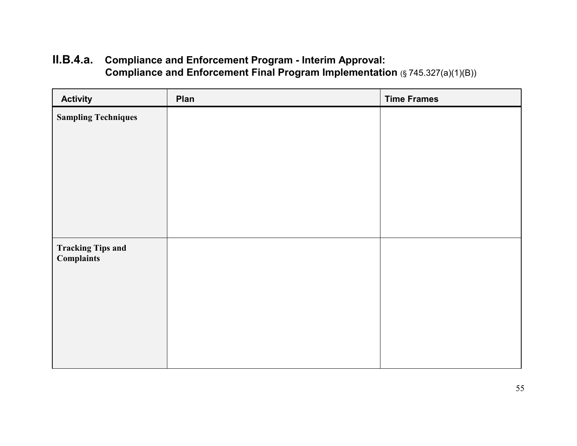# **II.B.4.a. Compliance and Enforcement Program - Interim Approval: Compliance and Enforcement Final Program Implementation (§ 745.327(a)(1)(B))**

| <b>Activity</b>                               | Plan | <b>Time Frames</b> |
|-----------------------------------------------|------|--------------------|
| <b>Sampling Techniques</b>                    |      |                    |
|                                               |      |                    |
|                                               |      |                    |
|                                               |      |                    |
|                                               |      |                    |
|                                               |      |                    |
| <b>Tracking Tips and</b><br><b>Complaints</b> |      |                    |
|                                               |      |                    |
|                                               |      |                    |
|                                               |      |                    |
|                                               |      |                    |
|                                               |      |                    |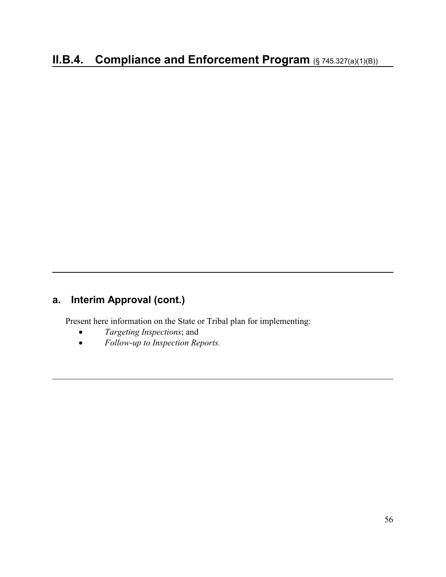# **a. Interim Approval (cont.)**

Present here information on the State or Tribal plan for implementing:

- *Targeting Inspections*; and
- *Follow-up to Inspection Reports.*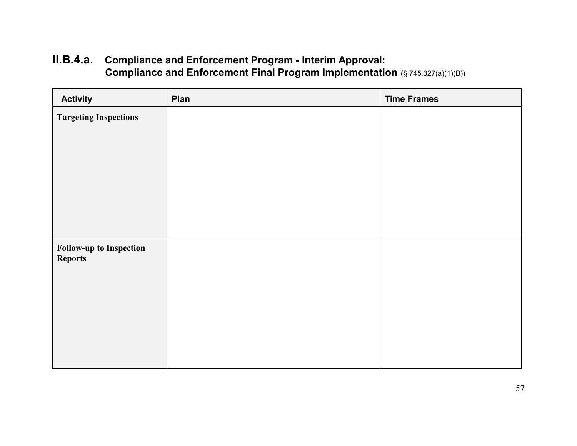# **II.B.4.a. Compliance and Enforcement Program - Interim Approval: Compliance and Enforcement Final Program Implementation** (§ 745.327(a)(1)(B))

| <b>Activity</b>                                  | Plan | <b>Time Frames</b> |
|--------------------------------------------------|------|--------------------|
| <b>Targeting Inspections</b>                     |      |                    |
|                                                  |      |                    |
| <b>Follow-up to Inspection</b><br><b>Reports</b> |      |                    |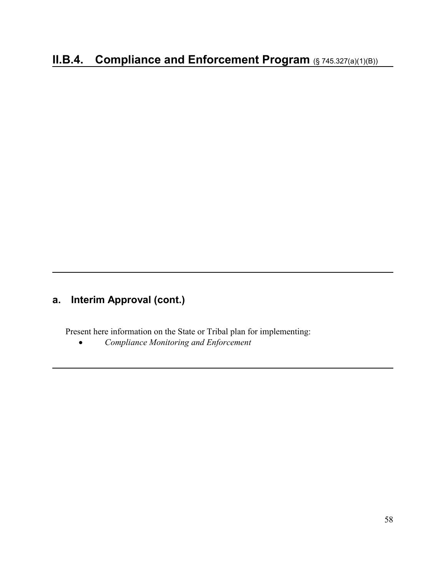# **a. Interim Approval (cont.)**

Present here information on the State or Tribal plan for implementing:

• *Compliance Monitoring and Enforcement*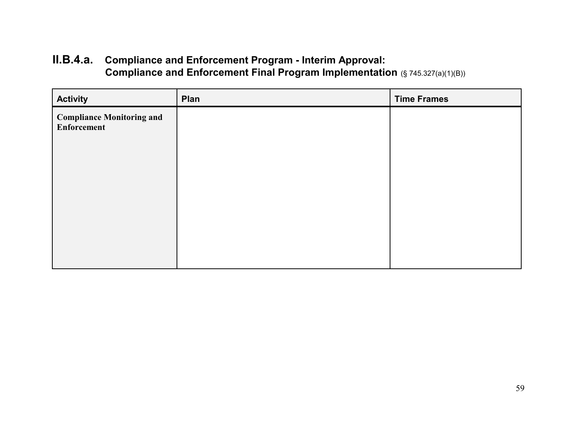# **II.B.4.a. Compliance and Enforcement Program - Interim Approval: Compliance and Enforcement Final Program Implementation** (§ 745.327(a)(1)(B))

| <b>Activity</b>                                        | Plan | <b>Time Frames</b> |
|--------------------------------------------------------|------|--------------------|
| <b>Compliance Monitoring and</b><br><b>Enforcement</b> |      |                    |
|                                                        |      |                    |
|                                                        |      |                    |
|                                                        |      |                    |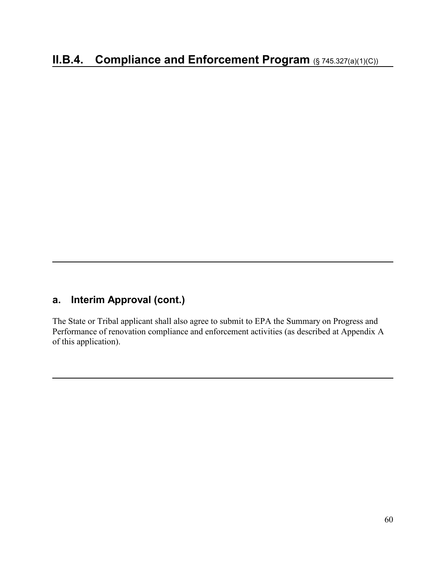## **a. Interim Approval (cont.)**

The State or Tribal applicant shall also agree to submit to EPA the Summary on Progress and Performance of renovation compliance and enforcement activities (as described at Appendix A of this application).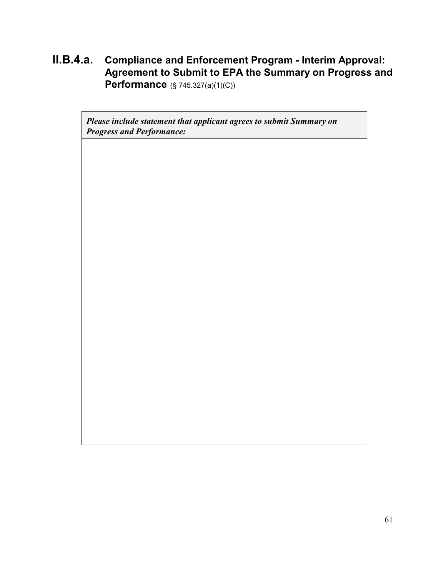**II.B.4.a. Compliance and Enforcement Program - Interim Approval: Agreement to Submit to EPA the Summary on Progress and Performance** (§ 745.327(a)(1)(C))

*Please include statement that applicant agrees to submit Summary on Progress and Performance:*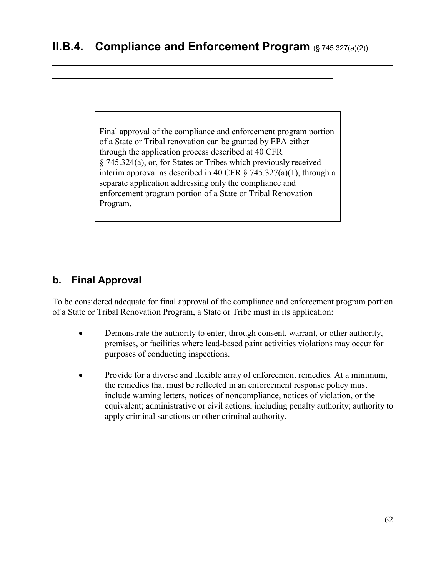Final approval of the compliance and enforcement program portion of a State or Tribal renovation can be granted by EPA either through the application process described at 40 CFR § 745.324(a), or, for States or Tribes which previously received interim approval as described in 40 CFR § 745.327(a)(1), through a separate application addressing only the compliance and enforcement program portion of a State or Tribal Renovation Program.

## **b. Final Approval**

 

To be considered adequate for final approval of the compliance and enforcement program portion of a State or Tribal Renovation Program, a State or Tribe must in its application:

- Demonstrate the authority to enter, through consent, warrant, or other authority, premises, or facilities where lead-based paint activities violations may occur for purposes of conducting inspections.
- Provide for a diverse and flexible array of enforcement remedies. At a minimum, the remedies that must be reflected in an enforcement response policy must include warning letters, notices of noncompliance, notices of violation, or the equivalent; administrative or civil actions, including penalty authority; authority to apply criminal sanctions or other criminal authority.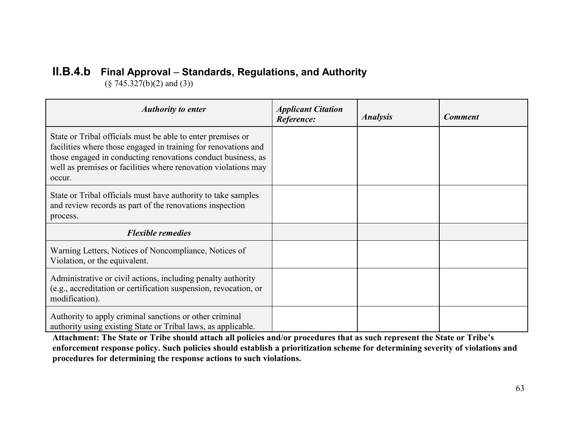# **II.B.4.b Final Approval** – **Standards, Regulations, and Authority**

 $(\S$  745.327(b)(2) and (3))

| <b>Authority to enter</b>                                                                                                                                                                                                                                                 | <b>Applicant Citation</b><br>Reference: | <b>Analysis</b> | <b>Comment</b> |
|---------------------------------------------------------------------------------------------------------------------------------------------------------------------------------------------------------------------------------------------------------------------------|-----------------------------------------|-----------------|----------------|
| State or Tribal officials must be able to enter premises or<br>facilities where those engaged in training for renovations and<br>those engaged in conducting renovations conduct business, as<br>well as premises or facilities where renovation violations may<br>occur. |                                         |                 |                |
| State or Tribal officials must have authority to take samples<br>and review records as part of the renovations inspection<br>process.                                                                                                                                     |                                         |                 |                |
| <b>Flexible remedies</b>                                                                                                                                                                                                                                                  |                                         |                 |                |
| Warning Letters, Notices of Noncompliance, Notices of<br>Violation, or the equivalent.                                                                                                                                                                                    |                                         |                 |                |
| Administrative or civil actions, including penalty authority<br>(e.g., accreditation or certification suspension, revocation, or<br>modification).                                                                                                                        |                                         |                 |                |
| Authority to apply criminal sanctions or other criminal<br>authority using existing State or Tribal laws, as applicable.                                                                                                                                                  |                                         |                 |                |

**Attachment: The State or Tribe should attach all policies and/or procedures that as such represent the State or Tribe's enforcement response policy. Such policies should establish a prioritization scheme for determining severity of violations and procedures for determining the response actions to such violations.**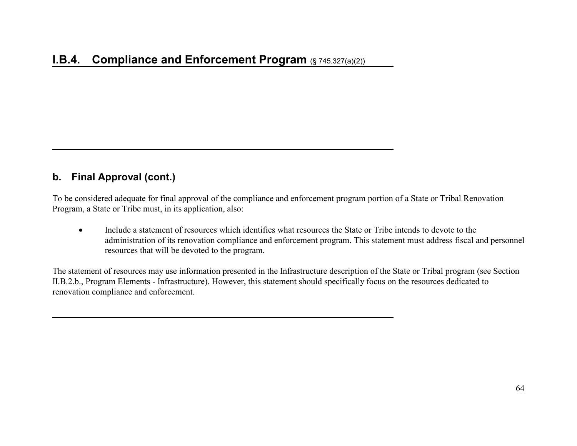#### **b. Final Approval (cont.)**

To be considered adequate for final approval of the compliance and enforcement program portion of a State or Tribal Renovation Program, a State or Tribe must, in its application, also:

• Include a statement of resources which identifies what resources the State or Tribe intends to devote to the administration of its renovation compliance and enforcement program. This statement must address fiscal and personnel resources that will be devoted to the program.

The statement of resources may use information presented in the Infrastructure description of the State or Tribal program (see Section II.B.2.b., Program Elements - Infrastructure). However, this statement should specifically focus on the resources dedicated to renovation compliance and enforcement.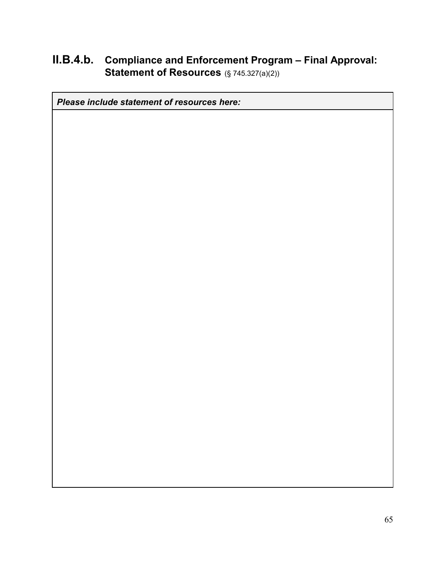# **II.B.4.b. Compliance and Enforcement Program – Final Approval: Statement of Resources** (§ 745.327(a)(2))

*Please include statement of resources here:*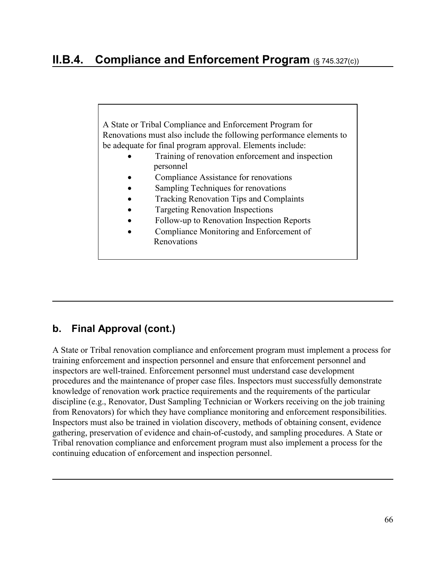A State or Tribal Compliance and Enforcement Program for Renovations must also include the following performance elements to be adequate for final program approval. Elements include:

- Training of renovation enforcement and inspection personnel
- Compliance Assistance for renovations
- Sampling Techniques for renovations
- Tracking Renovation Tips and Complaints
- Targeting Renovation Inspections
- Follow-up to Renovation Inspection Reports
- Compliance Monitoring and Enforcement of Renovations

## **b. Final Approval (cont.)**

A State or Tribal renovation compliance and enforcement program must implement a process for training enforcement and inspection personnel and ensure that enforcement personnel and inspectors are well-trained. Enforcement personnel must understand case development procedures and the maintenance of proper case files. Inspectors must successfully demonstrate knowledge of renovation work practice requirements and the requirements of the particular discipline (e.g., Renovator, Dust Sampling Technician or Workers receiving on the job training from Renovators) for which they have compliance monitoring and enforcement responsibilities. Inspectors must also be trained in violation discovery, methods of obtaining consent, evidence gathering, preservation of evidence and chain-of-custody, and sampling procedures. A State or Tribal renovation compliance and enforcement program must also implement a process for the continuing education of enforcement and inspection personnel.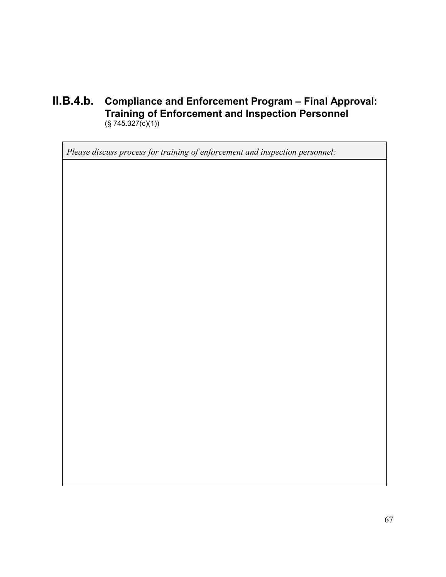#### **II.B.4.b. Compliance and Enforcement Program – Final Approval: Training of Enforcement and Inspection Personnel**  $(S 745.327(c)(1))$

*Please discuss process for training of enforcement and inspection personnel:*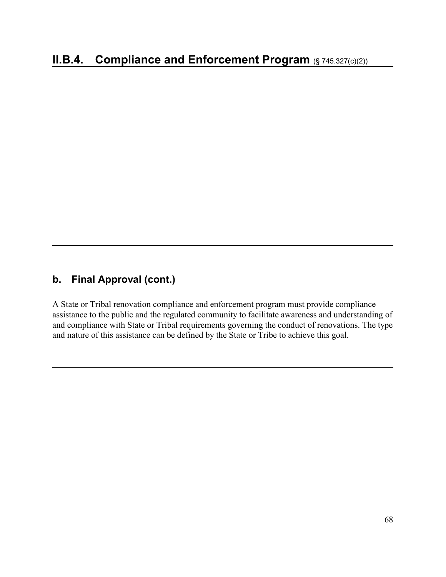## **b. Final Approval (cont.)**

A State or Tribal renovation compliance and enforcement program must provide compliance assistance to the public and the regulated community to facilitate awareness and understanding of and compliance with State or Tribal requirements governing the conduct of renovations. The type and nature of this assistance can be defined by the State or Tribe to achieve this goal.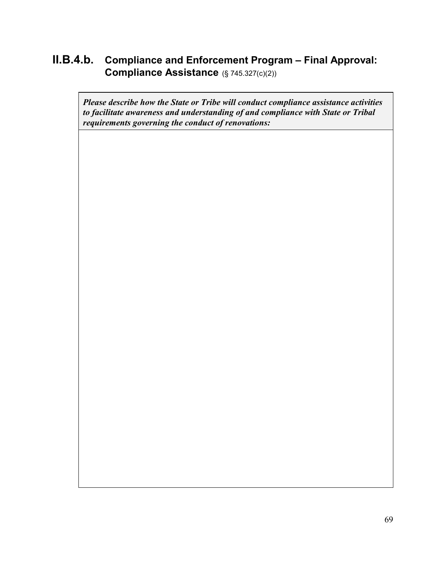## **II.B.4.b. Compliance and Enforcement Program – Final Approval: Compliance Assistance** (§ 745.327(c)(2))

*Please describe how the State or Tribe will conduct compliance assistance activities to facilitate awareness and understanding of and compliance with State or Tribal requirements governing the conduct of renovations:*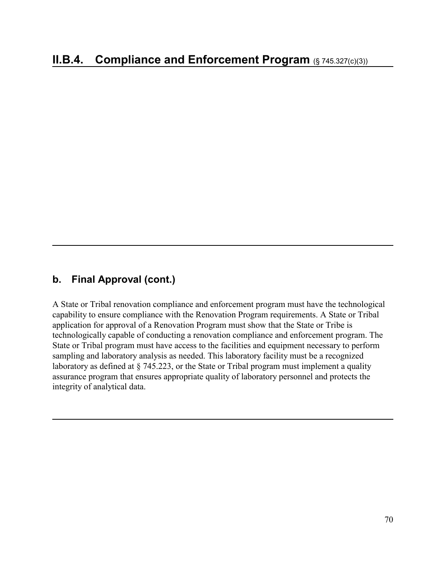#### **b. Final Approval (cont.)**

A State or Tribal renovation compliance and enforcement program must have the technological capability to ensure compliance with the Renovation Program requirements. A State or Tribal application for approval of a Renovation Program must show that the State or Tribe is technologically capable of conducting a renovation compliance and enforcement program. The State or Tribal program must have access to the facilities and equipment necessary to perform sampling and laboratory analysis as needed. This laboratory facility must be a recognized laboratory as defined at § 745.223, or the State or Tribal program must implement a quality assurance program that ensures appropriate quality of laboratory personnel and protects the integrity of analytical data.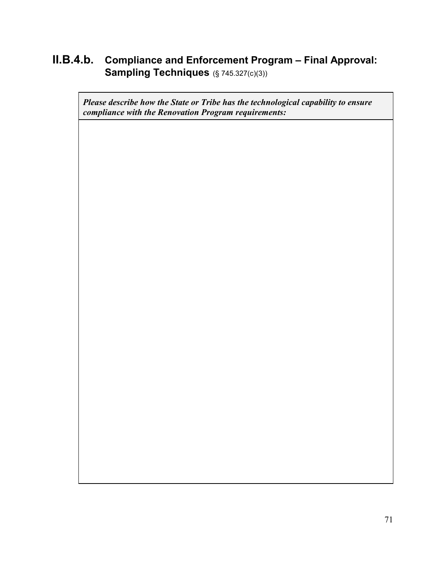## **II.B.4.b. Compliance and Enforcement Program – Final Approval: Sampling Techniques** (§ 745.327(c)(3))

*Please describe how the State or Tribe has the technological capability to ensure compliance with the Renovation Program requirements:*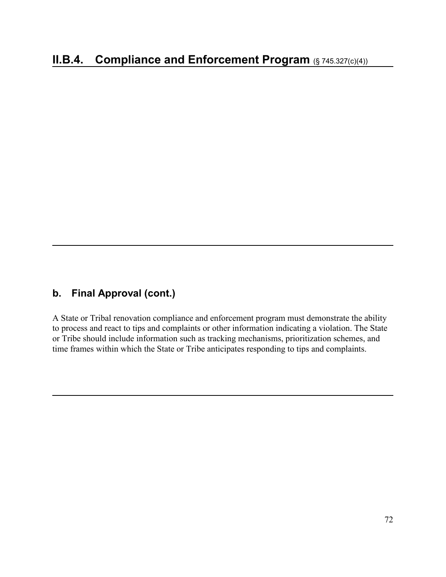### **b. Final Approval (cont.)**

A State or Tribal renovation compliance and enforcement program must demonstrate the ability to process and react to tips and complaints or other information indicating a violation. The State or Tribe should include information such as tracking mechanisms, prioritization schemes, and time frames within which the State or Tribe anticipates responding to tips and complaints.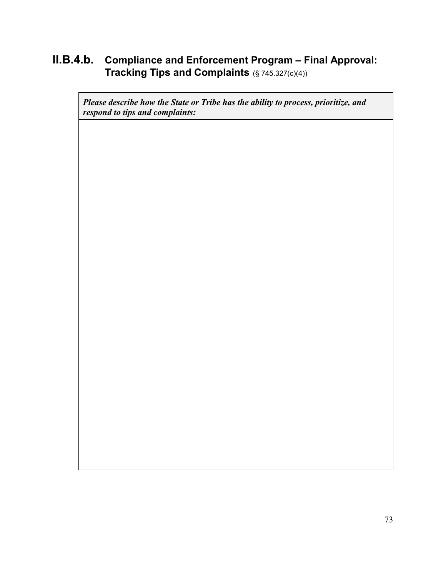## **II.B.4.b. Compliance and Enforcement Program – Final Approval: Tracking Tips and Complaints** (§ 745.327(c)(4))

*Please describe how the State or Tribe has the ability to process, prioritize, and respond to tips and complaints:*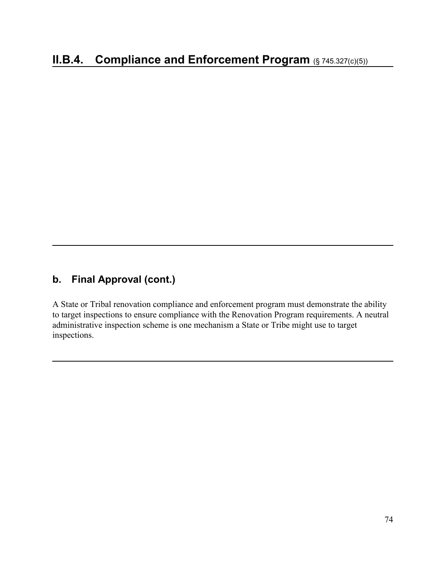A State or Tribal renovation compliance and enforcement program must demonstrate the ability to target inspections to ensure compliance with the Renovation Program requirements. A neutral administrative inspection scheme is one mechanism a State or Tribe might use to target inspections.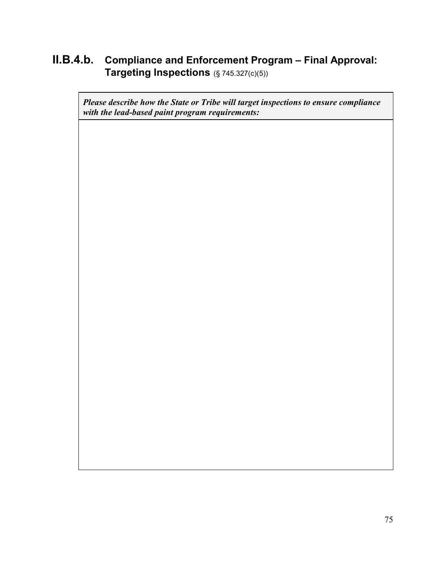## **II.B.4.b. Compliance and Enforcement Program – Final Approval: Targeting Inspections** (§ 745.327(c)(5))

*Please describe how the State or Tribe will target inspections to ensure compliance with the lead-based paint program requirements:*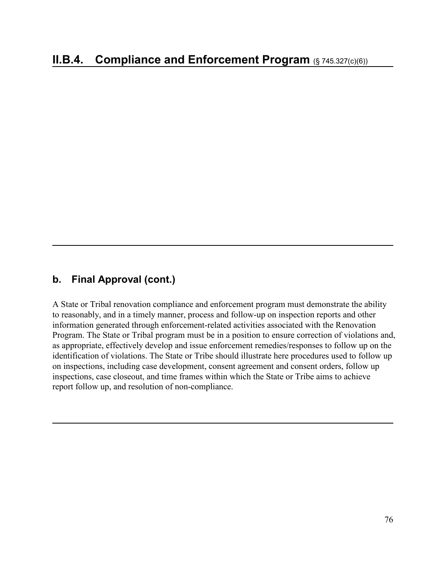A State or Tribal renovation compliance and enforcement program must demonstrate the ability to reasonably, and in a timely manner, process and follow-up on inspection reports and other information generated through enforcement-related activities associated with the Renovation Program. The State or Tribal program must be in a position to ensure correction of violations and, as appropriate, effectively develop and issue enforcement remedies/responses to follow up on the identification of violations. The State or Tribe should illustrate here procedures used to follow up on inspections, including case development, consent agreement and consent orders, follow up inspections, case closeout, and time frames within which the State or Tribe aims to achieve report follow up, and resolution of non-compliance.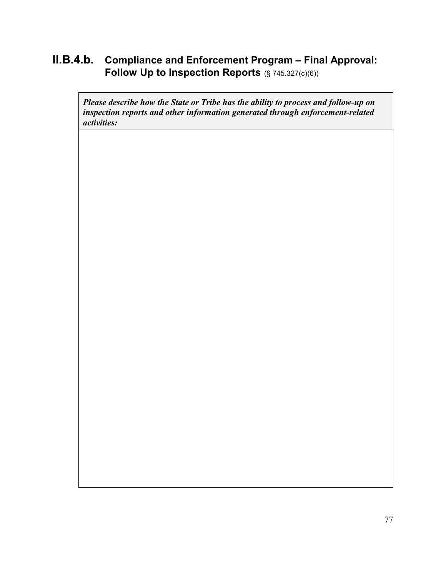## **II.B.4.b. Compliance and Enforcement Program – Final Approval: Follow Up to Inspection Reports** (§ 745.327(c)(6))

*Please describe how the State or Tribe has the ability to process and follow-up on inspection reports and other information generated through enforcement-related activities:*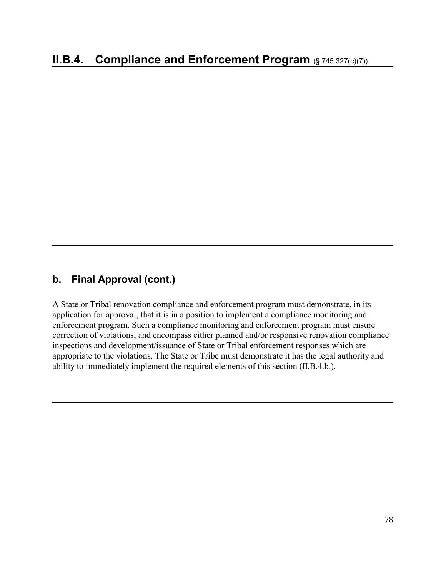A State or Tribal renovation compliance and enforcement program must demonstrate, in its application for approval, that it is in a position to implement a compliance monitoring and enforcement program. Such a compliance monitoring and enforcement program must ensure correction of violations, and encompass either planned and/or responsive renovation compliance inspections and development/issuance of State or Tribal enforcement responses which are appropriate to the violations. The State or Tribe must demonstrate it has the legal authority and ability to immediately implement the required elements of this section (II.B.4.b.).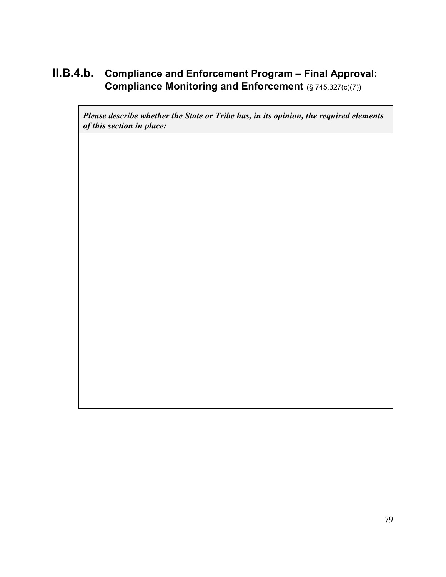# **II.B.4.b. Compliance and Enforcement Program – Final Approval: Compliance Monitoring and Enforcement** (§ 745.327(c)(7))

*Please describe whether the State or Tribe has, in its opinion, the required elements of this section in place:*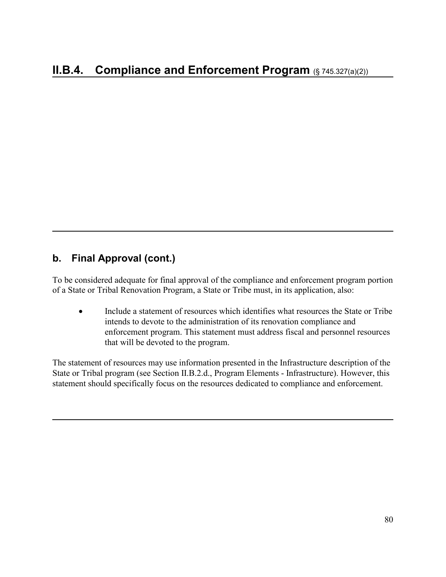To be considered adequate for final approval of the compliance and enforcement program portion of a State or Tribal Renovation Program, a State or Tribe must, in its application, also:

• Include a statement of resources which identifies what resources the State or Tribe intends to devote to the administration of its renovation compliance and enforcement program. This statement must address fiscal and personnel resources that will be devoted to the program.

The statement of resources may use information presented in the Infrastructure description of the State or Tribal program (see Section II.B.2.d., Program Elements - Infrastructure). However, this statement should specifically focus on the resources dedicated to compliance and enforcement.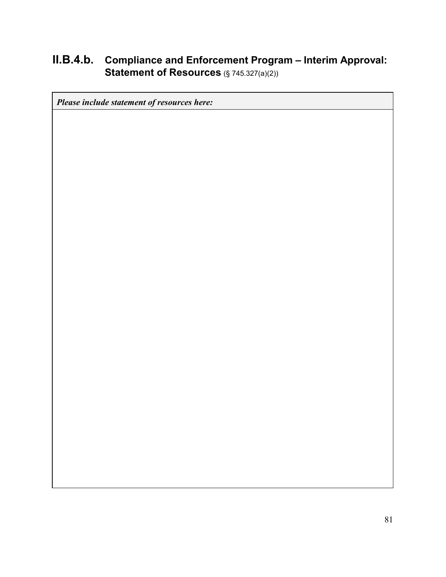# **II.B.4.b. Compliance and Enforcement Program – Interim Approval: Statement of Resources** (§ 745.327(a)(2))

*Please include statement of resources here:*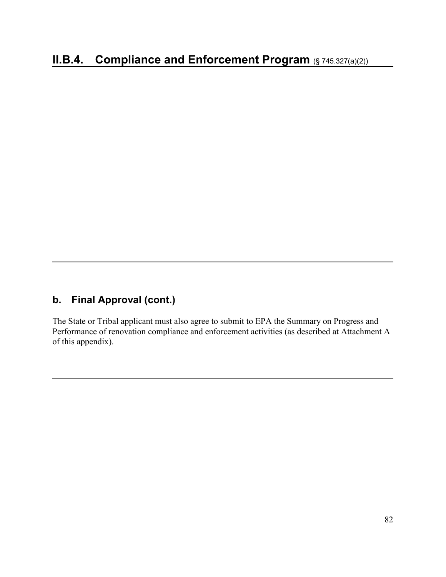The State or Tribal applicant must also agree to submit to EPA the Summary on Progress and Performance of renovation compliance and enforcement activities (as described at Attachment A of this appendix).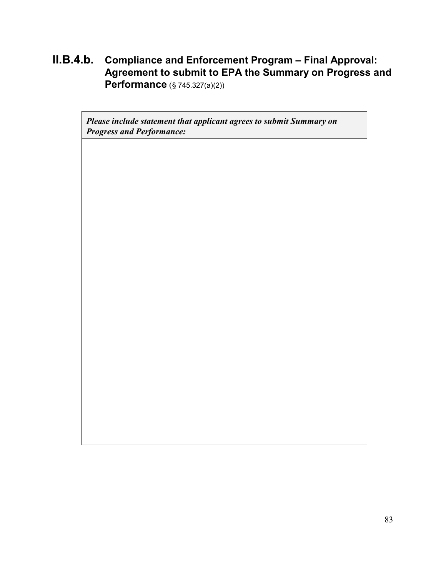**II.B.4.b. Compliance and Enforcement Program – Final Approval: Agreement to submit to EPA the Summary on Progress and Performance** (§ 745.327(a)(2))

*Please include statement that applicant agrees to submit Summary on Progress and Performance:*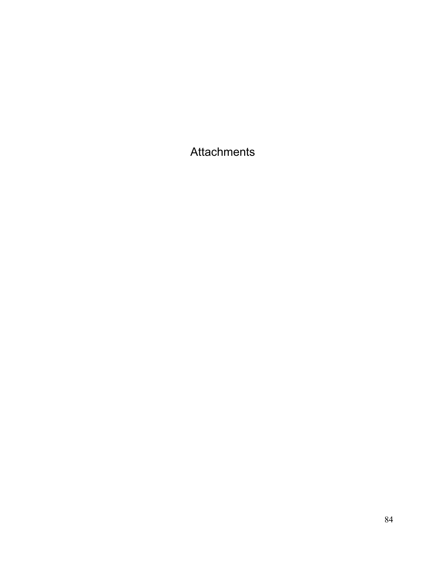Attachments